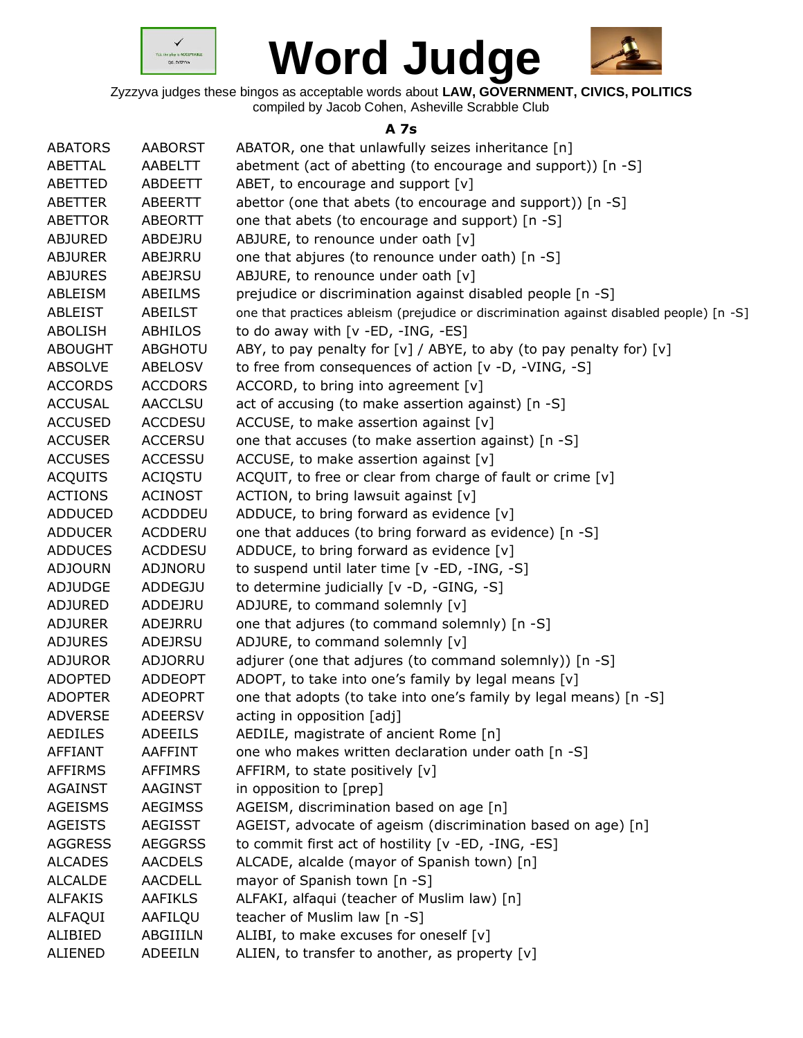



Zyzzyva judges these bingos as acceptable words about **LAW, GOVERNMENT, CIVICS, POLITICS** compiled by Jacob Cohen, Asheville Scrabble Club

#### **A 7s**

| <b>ABATORS</b> | <b>AABORST</b> | ABATOR, one that unlawfully seizes inheritance [n]                                      |
|----------------|----------------|-----------------------------------------------------------------------------------------|
| ABETTAL        | AABELTT        | abetment (act of abetting (to encourage and support)) [n -S]                            |
| ABETTED        | ABDEETT        | ABET, to encourage and support $[v]$                                                    |
| <b>ABETTER</b> | ABEERTT        | abettor (one that abets (to encourage and support)) [n -S]                              |
| <b>ABETTOR</b> | ABEORTT        | one that abets (to encourage and support) [n -S]                                        |
| <b>ABJURED</b> | ABDEJRU        | ABJURE, to renounce under oath [v]                                                      |
| <b>ABJURER</b> | ABEJRRU        | one that abjures (to renounce under oath) [n -S]                                        |
| <b>ABJURES</b> | ABEJRSU        | ABJURE, to renounce under oath [v]                                                      |
| ABLEISM        | ABEILMS        | prejudice or discrimination against disabled people [n -S]                              |
| ABLEIST        | <b>ABEILST</b> | one that practices ableism (prejudice or discrimination against disabled people) [n -S] |
| <b>ABOLISH</b> | <b>ABHILOS</b> | to do away with [v -ED, -ING, -ES]                                                      |
| <b>ABOUGHT</b> | <b>ABGHOTU</b> | ABY, to pay penalty for $[v]$ / ABYE, to aby (to pay penalty for) $[v]$                 |
| <b>ABSOLVE</b> | ABELOSV        | to free from consequences of action [v -D, -VING, -S]                                   |
| <b>ACCORDS</b> | <b>ACCDORS</b> | ACCORD, to bring into agreement [v]                                                     |
| <b>ACCUSAL</b> | <b>AACCLSU</b> | act of accusing (to make assertion against) [n -S]                                      |
| <b>ACCUSED</b> | <b>ACCDESU</b> | ACCUSE, to make assertion against [v]                                                   |
| <b>ACCUSER</b> | <b>ACCERSU</b> | one that accuses (to make assertion against) [n -S]                                     |
| <b>ACCUSES</b> | <b>ACCESSU</b> | ACCUSE, to make assertion against [v]                                                   |
| <b>ACQUITS</b> | <b>ACIQSTU</b> | ACQUIT, to free or clear from charge of fault or crime [v]                              |
| <b>ACTIONS</b> | <b>ACINOST</b> | ACTION, to bring lawsuit against [v]                                                    |
| <b>ADDUCED</b> | <b>ACDDDEU</b> | ADDUCE, to bring forward as evidence [v]                                                |
| <b>ADDUCER</b> | <b>ACDDERU</b> | one that adduces (to bring forward as evidence) [n -S]                                  |
| <b>ADDUCES</b> | <b>ACDDESU</b> | ADDUCE, to bring forward as evidence $[v]$                                              |
| <b>ADJOURN</b> | ADJNORU        | to suspend until later time [v -ED, -ING, -S]                                           |
| <b>ADJUDGE</b> | ADDEGJU        | to determine judicially [v -D, -GING, -S]                                               |
| <b>ADJURED</b> | ADDEJRU        | ADJURE, to command solemnly [v]                                                         |
| <b>ADJURER</b> | ADEJRRU        | one that adjures (to command solemnly) [n -S]                                           |
| <b>ADJURES</b> | ADEJRSU        | ADJURE, to command solemnly [v]                                                         |
| <b>ADJUROR</b> | ADJORRU        | adjurer (one that adjures (to command solemnly)) [n -S]                                 |
| <b>ADOPTED</b> | <b>ADDEOPT</b> | ADOPT, to take into one's family by legal means [v]                                     |
| <b>ADOPTER</b> | <b>ADEOPRT</b> | one that adopts (to take into one's family by legal means) [n -S]                       |
| <b>ADVERSE</b> | <b>ADEERSV</b> | acting in opposition [adj]                                                              |
| <b>AEDILES</b> | <b>ADEEILS</b> | AEDILE, magistrate of ancient Rome [n]                                                  |
| <b>AFFIANT</b> | AAFFINT        | one who makes written declaration under oath [n -S]                                     |
| <b>AFFIRMS</b> | <b>AFFIMRS</b> | AFFIRM, to state positively [v]                                                         |
| <b>AGAINST</b> | <b>AAGINST</b> | in opposition to [prep]                                                                 |
| <b>AGEISMS</b> | <b>AEGIMSS</b> | AGEISM, discrimination based on age [n]                                                 |
| <b>AGEISTS</b> | <b>AEGISST</b> | AGEIST, advocate of ageism (discrimination based on age) [n]                            |
| <b>AGGRESS</b> | <b>AEGGRSS</b> | to commit first act of hostility [v -ED, -ING, -ES]                                     |
| <b>ALCADES</b> | <b>AACDELS</b> | ALCADE, alcalde (mayor of Spanish town) [n]                                             |
| <b>ALCALDE</b> | AACDELL        | mayor of Spanish town [n -S]                                                            |
| <b>ALFAKIS</b> | <b>AAFIKLS</b> | ALFAKI, alfaqui (teacher of Muslim law) [n]                                             |
| ALFAQUI        | AAFILQU        | teacher of Muslim law [n -S]                                                            |
| ALIBIED        | ABGIIILN       | ALIBI, to make excuses for oneself [v]                                                  |
| ALIENED        | ADEEILN        | ALIEN, to transfer to another, as property [v]                                          |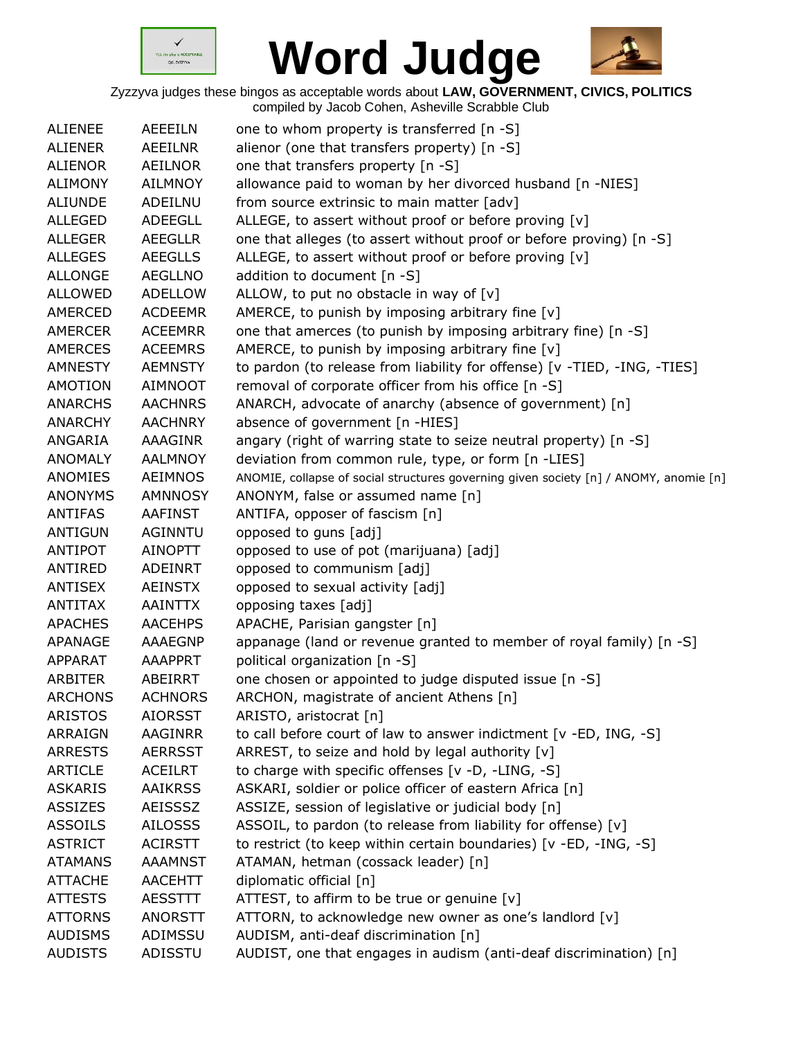



| <b>ALIENEE</b> | <b>AEEEILN</b> | one to whom property is transferred [n -S]                                            |
|----------------|----------------|---------------------------------------------------------------------------------------|
| <b>ALIENER</b> | <b>AEEILNR</b> | alienor (one that transfers property) [n -S]                                          |
| <b>ALIENOR</b> | <b>AEILNOR</b> | one that transfers property [n -S]                                                    |
| <b>ALIMONY</b> | <b>AILMNOY</b> | allowance paid to woman by her divorced husband [n -NIES]                             |
| <b>ALIUNDE</b> | ADEILNU        | from source extrinsic to main matter [adv]                                            |
| <b>ALLEGED</b> | ADEEGLL        | ALLEGE, to assert without proof or before proving [v]                                 |
| <b>ALLEGER</b> | <b>AEEGLLR</b> | one that alleges (to assert without proof or before proving) [n -S]                   |
| <b>ALLEGES</b> | <b>AEEGLLS</b> | ALLEGE, to assert without proof or before proving [v]                                 |
| <b>ALLONGE</b> | <b>AEGLLNO</b> | addition to document [n -S]                                                           |
| <b>ALLOWED</b> | <b>ADELLOW</b> | ALLOW, to put no obstacle in way of $[v]$                                             |
| AMERCED        | <b>ACDEEMR</b> | AMERCE, to punish by imposing arbitrary fine [v]                                      |
| AMERCER        | <b>ACEEMRR</b> | one that amerces (to punish by imposing arbitrary fine) [n -S]                        |
| <b>AMERCES</b> | <b>ACEEMRS</b> | AMERCE, to punish by imposing arbitrary fine $[v]$                                    |
| <b>AMNESTY</b> | <b>AEMNSTY</b> | to pardon (to release from liability for offense) [v -TIED, -ING, -TIES]              |
| <b>AMOTION</b> | <b>AIMNOOT</b> | removal of corporate officer from his office [n -S]                                   |
| <b>ANARCHS</b> | <b>AACHNRS</b> | ANARCH, advocate of anarchy (absence of government) [n]                               |
| <b>ANARCHY</b> | <b>AACHNRY</b> | absence of government [n -HIES]                                                       |
| ANGARIA        | AAAGINR        | angary (right of warring state to seize neutral property) [n -S]                      |
| <b>ANOMALY</b> | <b>AALMNOY</b> | deviation from common rule, type, or form [n -LIES]                                   |
| <b>ANOMIES</b> | <b>AEIMNOS</b> | ANOMIE, collapse of social structures governing given society [n] / ANOMY, anomie [n] |
| <b>ANONYMS</b> | <b>AMNNOSY</b> | ANONYM, false or assumed name [n]                                                     |
| <b>ANTIFAS</b> | <b>AAFINST</b> | ANTIFA, opposer of fascism [n]                                                        |
| <b>ANTIGUN</b> | AGINNTU        | opposed to guns [adj]                                                                 |
| ANTIPOT        | <b>AINOPTT</b> | opposed to use of pot (marijuana) [adj]                                               |
| ANTIRED        | ADEINRT        | opposed to communism [adj]                                                            |
| <b>ANTISEX</b> | <b>AEINSTX</b> | opposed to sexual activity [adj]                                                      |
| <b>ANTITAX</b> | <b>AAINTTX</b> | opposing taxes [adj]                                                                  |
| <b>APACHES</b> | <b>AACEHPS</b> | APACHE, Parisian gangster [n]                                                         |
| APANAGE        | AAAEGNP        | appanage (land or revenue granted to member of royal family) [n -S]                   |
| APPARAT        | <b>AAAPPRT</b> | political organization [n -S]                                                         |
| <b>ARBITER</b> | <b>ABEIRRT</b> | one chosen or appointed to judge disputed issue [n -S]                                |
| ARCHONS        | ACHNORS        | ARCHON, magistrate of ancient Athens [n]                                              |
| <b>ARISTOS</b> | <b>AIORSST</b> | ARISTO, aristocrat [n]                                                                |
| <b>ARRAIGN</b> | AAGINRR        | to call before court of law to answer indictment [v -ED, ING, -S]                     |
| <b>ARRESTS</b> | <b>AERRSST</b> | ARREST, to seize and hold by legal authority [v]                                      |
| <b>ARTICLE</b> | <b>ACEILRT</b> | to charge with specific offenses [v -D, -LING, -S]                                    |
| <b>ASKARIS</b> | <b>AAIKRSS</b> | ASKARI, soldier or police officer of eastern Africa [n]                               |
| <b>ASSIZES</b> | <b>AEISSSZ</b> | ASSIZE, session of legislative or judicial body [n]                                   |
| <b>ASSOILS</b> | <b>AILOSSS</b> | ASSOIL, to pardon (to release from liability for offense) [v]                         |
| <b>ASTRICT</b> | <b>ACIRSTT</b> | to restrict (to keep within certain boundaries) [v -ED, -ING, -S]                     |
| <b>ATAMANS</b> | <b>AAAMNST</b> | ATAMAN, hetman (cossack leader) [n]                                                   |
| <b>ATTACHE</b> | <b>AACEHTT</b> | diplomatic official [n]                                                               |
| <b>ATTESTS</b> | <b>AESSTTT</b> | ATTEST, to affirm to be true or genuine [v]                                           |
| <b>ATTORNS</b> | <b>ANORSTT</b> | ATTORN, to acknowledge new owner as one's landlord [v]                                |
| <b>AUDISMS</b> | ADIMSSU        | AUDISM, anti-deaf discrimination [n]                                                  |
| <b>AUDISTS</b> | ADISSTU        | AUDIST, one that engages in audism (anti-deaf discrimination) [n]                     |
|                |                |                                                                                       |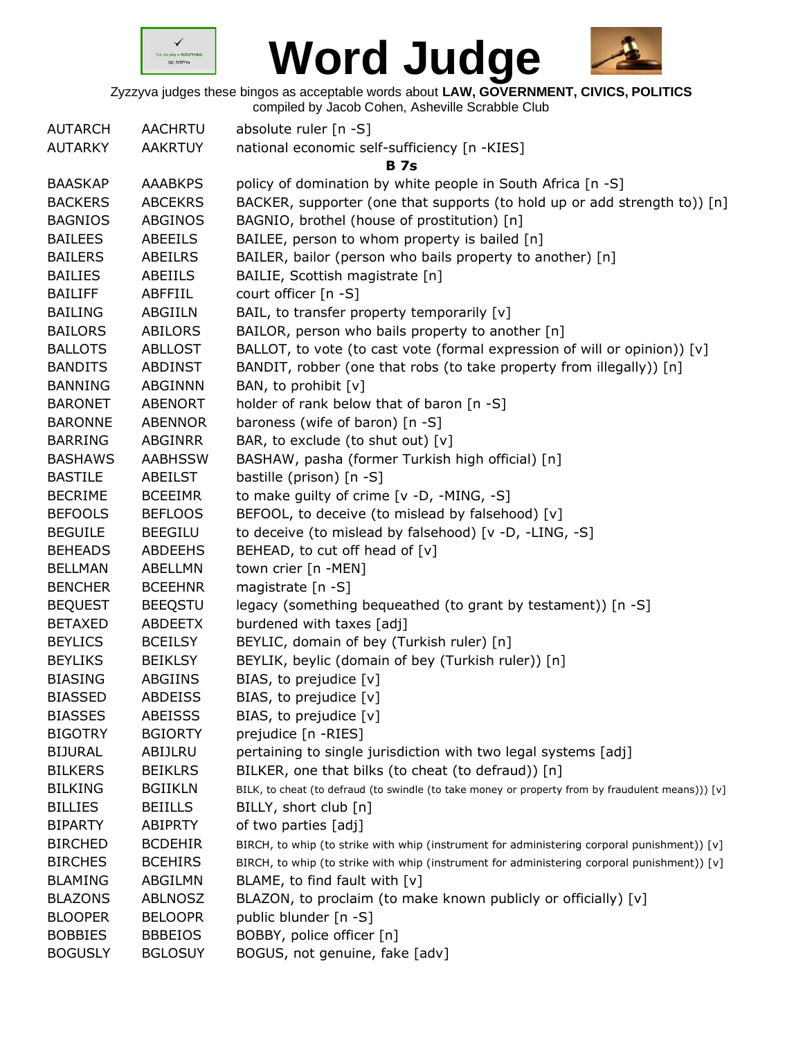



| <b>AUTARCH</b> | AACHRTU        | absolute ruler [n -S]                                                                             |
|----------------|----------------|---------------------------------------------------------------------------------------------------|
| <b>AUTARKY</b> | <b>AAKRTUY</b> | national economic self-sufficiency [n -KIES]                                                      |
|                |                | <b>B</b> 7s                                                                                       |
| <b>BAASKAP</b> | <b>AAABKPS</b> | policy of domination by white people in South Africa [n -S]                                       |
| <b>BACKERS</b> | <b>ABCEKRS</b> | BACKER, supporter (one that supports (to hold up or add strength to)) [n]                         |
| <b>BAGNIOS</b> | <b>ABGINOS</b> | BAGNIO, brothel (house of prostitution) [n]                                                       |
| <b>BAILEES</b> | <b>ABEEILS</b> | BAILEE, person to whom property is bailed [n]                                                     |
| <b>BAILERS</b> | <b>ABEILRS</b> | BAILER, bailor (person who bails property to another) [n]                                         |
| <b>BAILIES</b> | ABEIILS        | BAILIE, Scottish magistrate [n]                                                                   |
| <b>BAILIFF</b> | ABFFIIL        | court officer [n -S]                                                                              |
| <b>BAILING</b> | ABGIILN        | BAIL, to transfer property temporarily [v]                                                        |
| <b>BAILORS</b> | <b>ABILORS</b> | BAILOR, person who bails property to another [n]                                                  |
| <b>BALLOTS</b> | <b>ABLLOST</b> | BALLOT, to vote (to cast vote (formal expression of will or opinion)) [v]                         |
| <b>BANDITS</b> | ABDINST        | BANDIT, robber (one that robs (to take property from illegally)) [n]                              |
| <b>BANNING</b> | <b>ABGINNN</b> | BAN, to prohibit [v]                                                                              |
| <b>BARONET</b> | <b>ABENORT</b> | holder of rank below that of baron [n -S]                                                         |
| <b>BARONNE</b> | <b>ABENNOR</b> | baroness (wife of baron) [n -S]                                                                   |
| <b>BARRING</b> | ABGINRR        | BAR, to exclude (to shut out) [v]                                                                 |
| <b>BASHAWS</b> | <b>AABHSSW</b> | BASHAW, pasha (former Turkish high official) [n]                                                  |
| <b>BASTILE</b> | ABEILST        | bastille (prison) [n -S]                                                                          |
| <b>BECRIME</b> | <b>BCEEIMR</b> | to make guilty of crime [v -D, -MING, -S]                                                         |
| <b>BEFOOLS</b> | <b>BEFLOOS</b> | BEFOOL, to deceive (to mislead by falsehood) [v]                                                  |
| <b>BEGUILE</b> | <b>BEEGILU</b> | to deceive (to mislead by falsehood) [v -D, -LING, -S]                                            |
| <b>BEHEADS</b> | <b>ABDEEHS</b> | BEHEAD, to cut off head of [v]                                                                    |
| <b>BELLMAN</b> | ABELLMN        | town crier [n -MEN]                                                                               |
| <b>BENCHER</b> | <b>BCEEHNR</b> | magistrate [n -S]                                                                                 |
| <b>BEQUEST</b> | <b>BEEQSTU</b> | legacy (something bequeathed (to grant by testament)) [n -S]                                      |
| <b>BETAXED</b> | <b>ABDEETX</b> | burdened with taxes [adj]                                                                         |
| <b>BEYLICS</b> | <b>BCEILSY</b> | BEYLIC, domain of bey (Turkish ruler) [n]                                                         |
| <b>BEYLIKS</b> | <b>BEIKLSY</b> | BEYLIK, beylic (domain of bey (Turkish ruler)) [n]                                                |
| <b>BIASING</b> | ABGIINS        | BIAS, to prejudice [v]                                                                            |
| <b>BIASSED</b> | <b>ABDEISS</b> | BIAS, to prejudice [v]                                                                            |
| <b>BIASSES</b> | <b>ABEISSS</b> | BIAS, to prejudice [v]                                                                            |
| <b>BIGOTRY</b> | <b>BGIORTY</b> | prejudice [n -RIES]                                                                               |
| <b>BIJURAL</b> | ABIJLRU        | pertaining to single jurisdiction with two legal systems [adj]                                    |
| <b>BILKERS</b> | <b>BEIKLRS</b> | BILKER, one that bilks (to cheat (to defraud)) [n]                                                |
| <b>BILKING</b> | <b>BGIIKLN</b> | BILK, to cheat (to defraud (to swindle (to take money or property from by fraudulent means))) [v] |
| <b>BILLIES</b> | <b>BEIILLS</b> | BILLY, short club [n]                                                                             |
| <b>BIPARTY</b> | <b>ABIPRTY</b> | of two parties [adj]                                                                              |
| <b>BIRCHED</b> | <b>BCDEHIR</b> | BIRCH, to whip (to strike with whip (instrument for administering corporal punishment)) [v]       |
| <b>BIRCHES</b> | <b>BCEHIRS</b> | BIRCH, to whip (to strike with whip (instrument for administering corporal punishment)) [v]       |
| <b>BLAMING</b> | ABGILMN        | BLAME, to find fault with $[v]$                                                                   |
| <b>BLAZONS</b> | <b>ABLNOSZ</b> | BLAZON, to proclaim (to make known publicly or officially) [v]                                    |
| <b>BLOOPER</b> | <b>BELOOPR</b> | public blunder [n -S]                                                                             |
| <b>BOBBIES</b> | <b>BBBEIOS</b> | BOBBY, police officer [n]                                                                         |
| <b>BOGUSLY</b> | <b>BGLOSUY</b> | BOGUS, not genuine, fake [adv]                                                                    |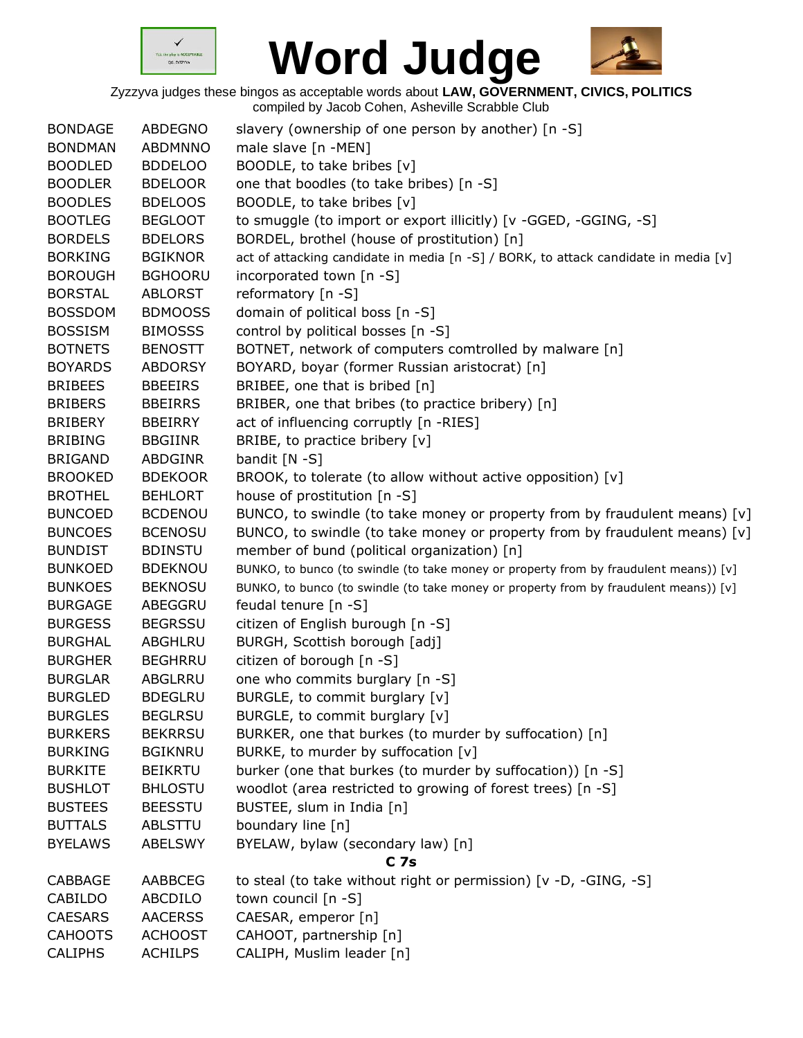



| <b>BONDAGE</b> | <b>ABDEGNO</b> | slavery (ownership of one person by another) [n -S]                                   |
|----------------|----------------|---------------------------------------------------------------------------------------|
| <b>BONDMAN</b> | ABDMNNO        | male slave [n -MEN]                                                                   |
| <b>BOODLED</b> | <b>BDDELOO</b> | BOODLE, to take bribes [v]                                                            |
| <b>BOODLER</b> | <b>BDELOOR</b> | one that boodles (to take bribes) [n -S]                                              |
| <b>BOODLES</b> | <b>BDELOOS</b> | BOODLE, to take bribes [v]                                                            |
| <b>BOOTLEG</b> | <b>BEGLOOT</b> | to smuggle (to import or export illicitly) [v -GGED, -GGING, -S]                      |
| <b>BORDELS</b> | <b>BDELORS</b> | BORDEL, brothel (house of prostitution) [n]                                           |
| <b>BORKING</b> | <b>BGIKNOR</b> | act of attacking candidate in media [n -S] / BORK, to attack candidate in media [v]   |
| <b>BOROUGH</b> | <b>BGHOORU</b> | incorporated town [n -S]                                                              |
| <b>BORSTAL</b> | <b>ABLORST</b> | reformatory [n -S]                                                                    |
| <b>BOSSDOM</b> | <b>BDMOOSS</b> | domain of political boss [n -S]                                                       |
| <b>BOSSISM</b> | <b>BIMOSSS</b> | control by political bosses [n -S]                                                    |
| <b>BOTNETS</b> | <b>BENOSTT</b> | BOTNET, network of computers comtrolled by malware [n]                                |
| <b>BOYARDS</b> | <b>ABDORSY</b> | BOYARD, boyar (former Russian aristocrat) [n]                                         |
| <b>BRIBEES</b> | <b>BBEEIRS</b> | BRIBEE, one that is bribed [n]                                                        |
| <b>BRIBERS</b> | <b>BBEIRRS</b> | BRIBER, one that bribes (to practice bribery) [n]                                     |
| <b>BRIBERY</b> | <b>BBEIRRY</b> | act of influencing corruptly [n -RIES]                                                |
| <b>BRIBING</b> | <b>BBGIINR</b> | BRIBE, to practice bribery [v]                                                        |
| <b>BRIGAND</b> | ABDGINR        | bandit $[N - S]$                                                                      |
| <b>BROOKED</b> | <b>BDEKOOR</b> | BROOK, to tolerate (to allow without active opposition) [v]                           |
| <b>BROTHEL</b> | <b>BEHLORT</b> | house of prostitution [n -S]                                                          |
| <b>BUNCOED</b> | <b>BCDENOU</b> | BUNCO, to swindle (to take money or property from by fraudulent means) [v]            |
| <b>BUNCOES</b> | <b>BCENOSU</b> | BUNCO, to swindle (to take money or property from by fraudulent means) $[v]$          |
| <b>BUNDIST</b> | <b>BDINSTU</b> | member of bund (political organization) [n]                                           |
| <b>BUNKOED</b> | <b>BDEKNOU</b> | BUNKO, to bunco (to swindle (to take money or property from by fraudulent means)) [v] |
| <b>BUNKOES</b> | <b>BEKNOSU</b> | BUNKO, to bunco (to swindle (to take money or property from by fraudulent means)) [v] |
| <b>BURGAGE</b> | ABEGGRU        | feudal tenure $[n - S]$                                                               |
| <b>BURGESS</b> | <b>BEGRSSU</b> | citizen of English burough [n -S]                                                     |
| <b>BURGHAL</b> | ABGHLRU        | BURGH, Scottish borough [adj]                                                         |
| <b>BURGHER</b> | <b>BEGHRRU</b> | citizen of borough [n -S]                                                             |
| <b>BURGLAR</b> | ABGLRRU        | one who commits burglary [n -S]                                                       |
| <b>BURGLED</b> | <b>BDEGLRU</b> | BURGLE, to commit burglary [v]                                                        |
| <b>BURGLES</b> | <b>BEGLRSU</b> | BURGLE, to commit burglary [v]                                                        |
| <b>BURKERS</b> | <b>BEKRRSU</b> | BURKER, one that burkes (to murder by suffocation) [n]                                |
| <b>BURKING</b> | <b>BGIKNRU</b> | BURKE, to murder by suffocation [v]                                                   |
| <b>BURKITE</b> | <b>BEIKRTU</b> | burker (one that burkes (to murder by suffocation)) [n -S]                            |
| <b>BUSHLOT</b> | <b>BHLOSTU</b> | woodlot (area restricted to growing of forest trees) [n -S]                           |
| <b>BUSTEES</b> | <b>BEESSTU</b> | BUSTEE, slum in India [n]                                                             |
| <b>BUTTALS</b> | <b>ABLSTTU</b> | boundary line [n]                                                                     |
| <b>BYELAWS</b> | <b>ABELSWY</b> | BYELAW, bylaw (secondary law) [n]                                                     |
|                |                | C <sub>7s</sub>                                                                       |
| CABBAGE        | AABBCEG        | to steal (to take without right or permission) [v -D, -GING, -S]                      |
| CABILDO        | ABCDILO        | town council [n -S]                                                                   |
| <b>CAESARS</b> | <b>AACERSS</b> | CAESAR, emperor [n]                                                                   |
| <b>CAHOOTS</b> | <b>ACHOOST</b> | CAHOOT, partnership [n]                                                               |
| <b>CALIPHS</b> | <b>ACHILPS</b> | CALIPH, Muslim leader [n]                                                             |
|                |                |                                                                                       |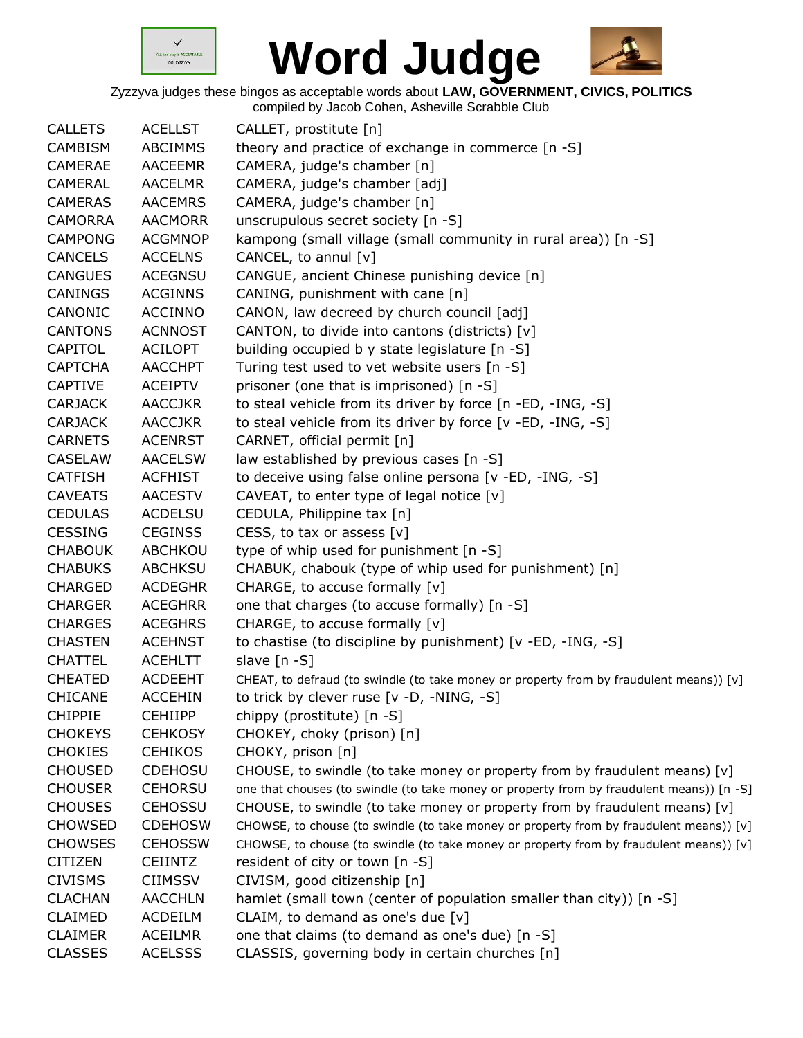



| <b>CALLETS</b> | <b>ACELLST</b> | CALLET, prostitute [n]                                                                    |
|----------------|----------------|-------------------------------------------------------------------------------------------|
| <b>CAMBISM</b> | <b>ABCIMMS</b> | theory and practice of exchange in commerce [n -S]                                        |
| <b>CAMERAE</b> | <b>AACEEMR</b> | CAMERA, judge's chamber [n]                                                               |
| <b>CAMERAL</b> | <b>AACELMR</b> | CAMERA, judge's chamber [adj]                                                             |
| <b>CAMERAS</b> | <b>AACEMRS</b> | CAMERA, judge's chamber [n]                                                               |
| <b>CAMORRA</b> | <b>AACMORR</b> | unscrupulous secret society [n -S]                                                        |
| <b>CAMPONG</b> | <b>ACGMNOP</b> | kampong (small village (small community in rural area)) [n -S]                            |
| <b>CANCELS</b> | <b>ACCELNS</b> | CANCEL, to annul [v]                                                                      |
| <b>CANGUES</b> | <b>ACEGNSU</b> | CANGUE, ancient Chinese punishing device [n]                                              |
| CANINGS        | <b>ACGINNS</b> | CANING, punishment with cane [n]                                                          |
| CANONIC        | <b>ACCINNO</b> | CANON, law decreed by church council [adj]                                                |
| <b>CANTONS</b> | <b>ACNNOST</b> | CANTON, to divide into cantons (districts) [v]                                            |
| CAPITOL        | ACILOPT        | building occupied b y state legislature [n -S]                                            |
| <b>CAPTCHA</b> | <b>AACCHPT</b> | Turing test used to vet website users [n -S]                                              |
| <b>CAPTIVE</b> | ACEIPTV        | prisoner (one that is imprisoned) [n -S]                                                  |
| <b>CARJACK</b> | <b>AACCJKR</b> | to steal vehicle from its driver by force [n -ED, -ING, -S]                               |
| <b>CARJACK</b> | <b>AACCJKR</b> | to steal vehicle from its driver by force [v -ED, -ING, -S]                               |
| <b>CARNETS</b> | <b>ACENRST</b> | CARNET, official permit [n]                                                               |
| <b>CASELAW</b> | <b>AACELSW</b> | law established by previous cases [n -S]                                                  |
| <b>CATFISH</b> | <b>ACFHIST</b> | to deceive using false online persona [v -ED, -ING, -S]                                   |
| <b>CAVEATS</b> | <b>AACESTV</b> | CAVEAT, to enter type of legal notice $[v]$                                               |
| <b>CEDULAS</b> | <b>ACDELSU</b> | CEDULA, Philippine tax [n]                                                                |
| <b>CESSING</b> | <b>CEGINSS</b> | CESS, to tax or assess $[v]$                                                              |
| <b>CHABOUK</b> | ABCHKOU        | type of whip used for punishment [n -S]                                                   |
| <b>CHABUKS</b> | <b>ABCHKSU</b> | CHABUK, chabouk (type of whip used for punishment) [n]                                    |
| <b>CHARGED</b> | <b>ACDEGHR</b> | CHARGE, to accuse formally [v]                                                            |
| <b>CHARGER</b> | <b>ACEGHRR</b> | one that charges (to accuse formally) [n -S]                                              |
| <b>CHARGES</b> | <b>ACEGHRS</b> | CHARGE, to accuse formally [v]                                                            |
| <b>CHASTEN</b> | <b>ACEHNST</b> | to chastise (to discipline by punishment) [v -ED, -ING, -S]                               |
| <b>CHATTEL</b> | <b>ACEHLTT</b> | slave $[n - S]$                                                                           |
| <b>CHEATED</b> | <b>ACDEEHT</b> | CHEAT, to defraud (to swindle (to take money or property from by fraudulent means)) [v]   |
| <b>CHICANE</b> | <b>ACCEHIN</b> | to trick by clever ruse [v -D, -NING, -S]                                                 |
| <b>CHIPPIE</b> | <b>CEHIIPP</b> | chippy (prostitute) [n -S]                                                                |
| <b>CHOKEYS</b> | <b>CEHKOSY</b> | CHOKEY, choky (prison) [n]                                                                |
| <b>CHOKIES</b> | <b>CEHIKOS</b> | CHOKY, prison [n]                                                                         |
| <b>CHOUSED</b> | <b>CDEHOSU</b> | CHOUSE, to swindle (to take money or property from by fraudulent means) $[v]$             |
| <b>CHOUSER</b> | <b>CEHORSU</b> | one that chouses (to swindle (to take money or property from by fraudulent means)) [n -S] |
| <b>CHOUSES</b> | <b>CEHOSSU</b> | CHOUSE, to swindle (to take money or property from by fraudulent means) $[v]$             |
| <b>CHOWSED</b> | <b>CDEHOSW</b> | CHOWSE, to chouse (to swindle (to take money or property from by fraudulent means)) [v]   |
| <b>CHOWSES</b> | <b>CEHOSSW</b> | CHOWSE, to chouse (to swindle (to take money or property from by fraudulent means)) [v]   |
| <b>CITIZEN</b> | <b>CEIINTZ</b> | resident of city or town [n -S]                                                           |
| <b>CIVISMS</b> | <b>CIIMSSV</b> | CIVISM, good citizenship [n]                                                              |
| <b>CLACHAN</b> | <b>AACCHLN</b> | hamlet (small town (center of population smaller than city)) [n -S]                       |
| CLAIMED        | <b>ACDEILM</b> | CLAIM, to demand as one's due $[v]$                                                       |
| <b>CLAIMER</b> | <b>ACEILMR</b> | one that claims (to demand as one's due) [n -S]                                           |
| <b>CLASSES</b> | <b>ACELSSS</b> | CLASSIS, governing body in certain churches [n]                                           |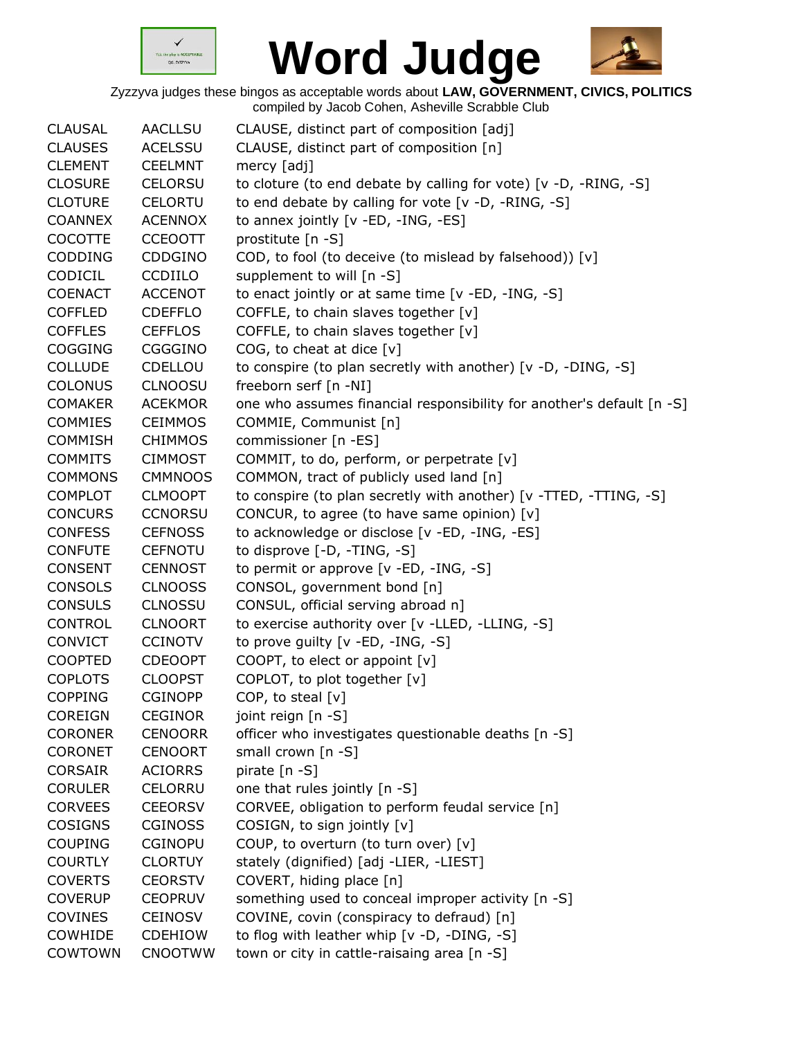



| <b>CLAUSAL</b> | <b>AACLLSU</b> | CLAUSE, distinct part of composition [adj]                            |
|----------------|----------------|-----------------------------------------------------------------------|
| <b>CLAUSES</b> | <b>ACELSSU</b> | CLAUSE, distinct part of composition [n]                              |
| <b>CLEMENT</b> | <b>CEELMNT</b> | mercy [adj]                                                           |
| <b>CLOSURE</b> | <b>CELORSU</b> | to cloture (to end debate by calling for vote) [v -D, -RING, -S]      |
| <b>CLOTURE</b> | <b>CELORTU</b> | to end debate by calling for vote [v -D, -RING, -S]                   |
| <b>COANNEX</b> | <b>ACENNOX</b> | to annex jointly [v -ED, -ING, -ES]                                   |
| <b>COCOTTE</b> | <b>CCEOOTT</b> | prostitute [n -S]                                                     |
| <b>CODDING</b> | CDDGINO        | COD, to fool (to deceive (to mislead by falsehood)) [v]               |
| CODICIL        | <b>CCDIILO</b> | supplement to will [n -S]                                             |
| <b>COENACT</b> | <b>ACCENOT</b> | to enact jointly or at same time [v -ED, -ING, -S]                    |
| <b>COFFLED</b> | <b>CDEFFLO</b> | COFFLE, to chain slaves together [v]                                  |
| <b>COFFLES</b> | <b>CEFFLOS</b> | COFFLE, to chain slaves together [v]                                  |
| <b>COGGING</b> | CGGGINO        | COG, to cheat at dice $[v]$                                           |
| <b>COLLUDE</b> | CDELLOU        | to conspire (to plan secretly with another) [v -D, -DING, -S]         |
| COLONUS        | CLNOOSU        | freeborn serf [n -NI]                                                 |
| <b>COMAKER</b> | <b>ACEKMOR</b> | one who assumes financial responsibility for another's default [n -S] |
| <b>COMMIES</b> | <b>CEIMMOS</b> | COMMIE, Communist [n]                                                 |
| <b>COMMISH</b> | <b>CHIMMOS</b> | commissioner [n -ES]                                                  |
| <b>COMMITS</b> | <b>CIMMOST</b> | COMMIT, to do, perform, or perpetrate [v]                             |
| <b>COMMONS</b> | <b>CMMNOOS</b> | COMMON, tract of publicly used land [n]                               |
| <b>COMPLOT</b> | <b>CLMOOPT</b> | to conspire (to plan secretly with another) [v -TTED, -TTING, -S]     |
| <b>CONCURS</b> | <b>CCNORSU</b> | CONCUR, to agree (to have same opinion) [v]                           |
| <b>CONFESS</b> | <b>CEFNOSS</b> | to acknowledge or disclose [v -ED, -ING, -ES]                         |
| <b>CONFUTE</b> | <b>CEFNOTU</b> | to disprove [-D, -TING, -S]                                           |
| <b>CONSENT</b> | <b>CENNOST</b> | to permit or approve [v -ED, -ING, -S]                                |
| CONSOLS        | <b>CLNOOSS</b> | CONSOL, government bond [n]                                           |
| <b>CONSULS</b> | <b>CLNOSSU</b> | CONSUL, official serving abroad n]                                    |
| <b>CONTROL</b> | <b>CLNOORT</b> | to exercise authority over [v -LLED, -LLING, -S]                      |
| <b>CONVICT</b> | <b>CCINOTV</b> | to prove guilty [v -ED, -ING, -S]                                     |
| <b>COOPTED</b> | <b>CDEOOPT</b> | COOPT, to elect or appoint [v]                                        |
| <b>COPLOTS</b> | <b>CLOOPST</b> | COPLOT, to plot together [v]                                          |
| <b>COPPING</b> | <b>CGINOPP</b> | COP, to steal $[v]$                                                   |
| <b>COREIGN</b> | <b>CEGINOR</b> | joint reign [n -S]                                                    |
| <b>CORONER</b> | <b>CENOORR</b> | officer who investigates questionable deaths [n -S]                   |
| <b>CORONET</b> | <b>CENOORT</b> | small crown $[n -S]$                                                  |
| <b>CORSAIR</b> | <b>ACIORRS</b> | pirate [n -S]                                                         |
| <b>CORULER</b> | <b>CELORRU</b> | one that rules jointly [n -S]                                         |
| <b>CORVEES</b> | <b>CEEORSV</b> | CORVEE, obligation to perform feudal service [n]                      |
| COSIGNS        | <b>CGINOSS</b> | COSIGN, to sign jointly [v]                                           |
| <b>COUPING</b> | <b>CGINOPU</b> | COUP, to overturn (to turn over) [v]                                  |
| <b>COURTLY</b> | <b>CLORTUY</b> | stately (dignified) [adj -LIER, -LIEST]                               |
| <b>COVERTS</b> | <b>CEORSTV</b> | COVERT, hiding place [n]                                              |
| <b>COVERUP</b> | <b>CEOPRUV</b> | something used to conceal improper activity [n -S]                    |
| <b>COVINES</b> | <b>CEINOSV</b> | COVINE, covin (conspiracy to defraud) [n]                             |
| COWHIDE        | <b>CDEHIOW</b> | to flog with leather whip [v -D, -DING, -S]                           |
| COWTOWN        | <b>CNOOTWW</b> | town or city in cattle-raisaing area [n -S]                           |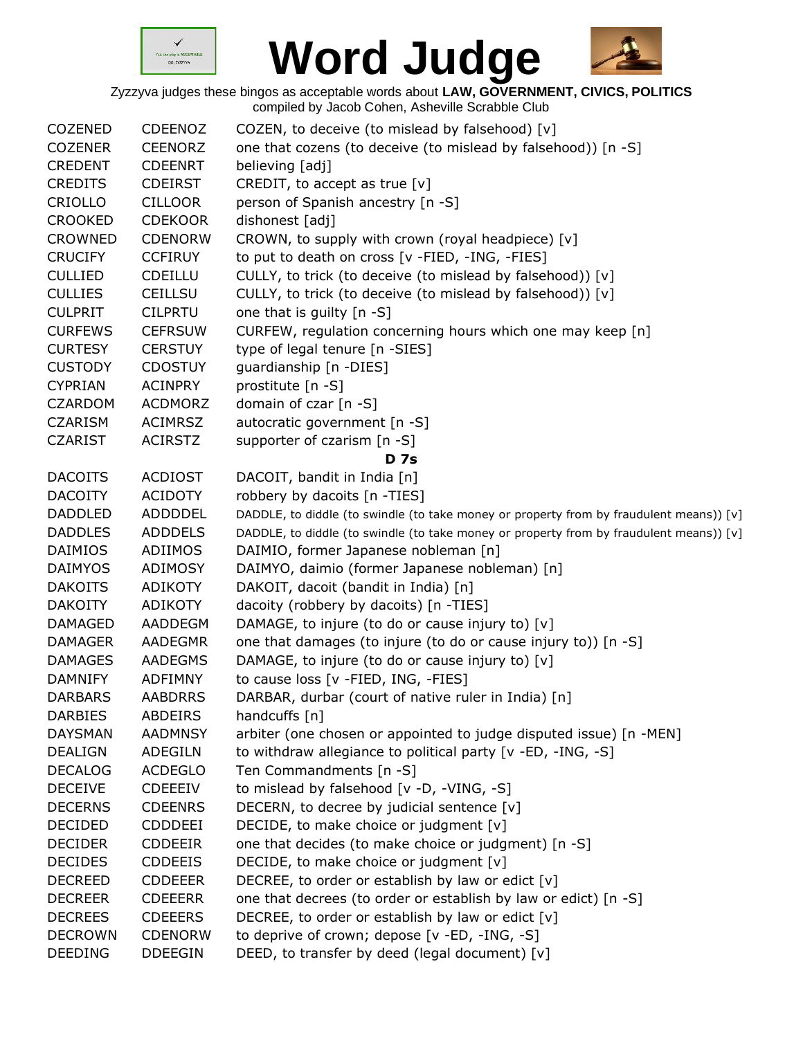



| <b>COZENED</b> | <b>CDEENOZ</b> | COZEN, to deceive (to mislead by falsehood) [v]                                         |
|----------------|----------------|-----------------------------------------------------------------------------------------|
| <b>COZENER</b> | <b>CEENORZ</b> | one that cozens (to deceive (to mislead by falsehood)) [n -S]                           |
| <b>CREDENT</b> | <b>CDEENRT</b> | believing [adj]                                                                         |
| <b>CREDITS</b> | <b>CDEIRST</b> | CREDIT, to accept as true $[v]$                                                         |
| CRIOLLO        | <b>CILLOOR</b> | person of Spanish ancestry [n -S]                                                       |
| <b>CROOKED</b> | <b>CDEKOOR</b> | dishonest [adj]                                                                         |
| <b>CROWNED</b> | <b>CDENORW</b> | CROWN, to supply with crown (royal headpiece) [v]                                       |
| <b>CRUCIFY</b> | <b>CCFIRUY</b> | to put to death on cross [v -FIED, -ING, -FIES]                                         |
| <b>CULLIED</b> | <b>CDEILLU</b> | CULLY, to trick (to deceive (to mislead by falsehood)) [v]                              |
| <b>CULLIES</b> | <b>CEILLSU</b> | CULLY, to trick (to deceive (to mislead by falsehood)) [v]                              |
| <b>CULPRIT</b> | <b>CILPRTU</b> | one that is guilty [n -S]                                                               |
| <b>CURFEWS</b> | <b>CEFRSUW</b> | CURFEW, regulation concerning hours which one may keep [n]                              |
| <b>CURTESY</b> | <b>CERSTUY</b> | type of legal tenure [n -SIES]                                                          |
| <b>CUSTODY</b> | <b>CDOSTUY</b> | guardianship [n -DIES]                                                                  |
| <b>CYPRIAN</b> | <b>ACINPRY</b> | prostitute [n -S]                                                                       |
| <b>CZARDOM</b> | <b>ACDMORZ</b> | domain of czar [n -S]                                                                   |
| <b>CZARISM</b> | <b>ACIMRSZ</b> | autocratic government [n -S]                                                            |
| <b>CZARIST</b> | <b>ACIRSTZ</b> | supporter of czarism [n -S]                                                             |
|                |                | D 7s                                                                                    |
| <b>DACOITS</b> | <b>ACDIOST</b> | DACOIT, bandit in India [n]                                                             |
| <b>DACOITY</b> | <b>ACIDOTY</b> | robbery by dacoits [n -TIES]                                                            |
| <b>DADDLED</b> | ADDDDEL        | DADDLE, to diddle (to swindle (to take money or property from by fraudulent means)) [v] |
| <b>DADDLES</b> | <b>ADDDELS</b> | DADDLE, to diddle (to swindle (to take money or property from by fraudulent means)) [v] |
| <b>DAIMIOS</b> | ADIIMOS        | DAIMIO, former Japanese nobleman [n]                                                    |
| <b>DAIMYOS</b> | <b>ADIMOSY</b> | DAIMYO, daimio (former Japanese nobleman) [n]                                           |
| <b>DAKOITS</b> | ADIKOTY        | DAKOIT, dacoit (bandit in India) [n]                                                    |
| <b>DAKOITY</b> | ADIKOTY        | dacoity (robbery by dacoits) [n -TIES]                                                  |
| <b>DAMAGED</b> | AADDEGM        | DAMAGE, to injure (to do or cause injury to) [v]                                        |
| <b>DAMAGER</b> | AADEGMR        | one that damages (to injure (to do or cause injury to)) [n -S]                          |
| <b>DAMAGES</b> | <b>AADEGMS</b> | DAMAGE, to injure (to do or cause injury to) [v]                                        |
| <b>DAMNIFY</b> | <b>ADFIMNY</b> | to cause loss [v -FIED, ING, -FIES]                                                     |
| <b>DARBARS</b> | AABDRRS        | DARBAR, durbar (court of native ruler in India) [n]                                     |
| <b>DARBIES</b> | <b>ABDEIRS</b> | handcuffs [n]                                                                           |
| <b>DAYSMAN</b> | <b>AADMNSY</b> | arbiter (one chosen or appointed to judge disputed issue) [n -MEN]                      |
| <b>DEALIGN</b> | ADEGILN        | to withdraw allegiance to political party [v -ED, -ING, -S]                             |
| <b>DECALOG</b> | <b>ACDEGLO</b> | Ten Commandments [n -S]                                                                 |
| <b>DECEIVE</b> | <b>CDEEEIV</b> | to mislead by falsehood [v -D, -VING, -S]                                               |
| <b>DECERNS</b> | <b>CDEENRS</b> | DECERN, to decree by judicial sentence [v]                                              |
| <b>DECIDED</b> | <b>CDDDEEI</b> | DECIDE, to make choice or judgment [v]                                                  |
| <b>DECIDER</b> | <b>CDDEEIR</b> | one that decides (to make choice or judgment) [n -S]                                    |
| <b>DECIDES</b> | <b>CDDEEIS</b> | DECIDE, to make choice or judgment [v]                                                  |
| <b>DECREED</b> | <b>CDDEEER</b> | DECREE, to order or establish by law or edict [v]                                       |
| <b>DECREER</b> | <b>CDEEERR</b> | one that decrees (to order or establish by law or edict) [n -S]                         |
| <b>DECREES</b> | <b>CDEEERS</b> | DECREE, to order or establish by law or edict [v]                                       |
| <b>DECROWN</b> | <b>CDENORW</b> | to deprive of crown; depose [v -ED, -ING, -S]                                           |
| <b>DEEDING</b> | <b>DDEEGIN</b> | DEED, to transfer by deed (legal document) [v]                                          |
|                |                |                                                                                         |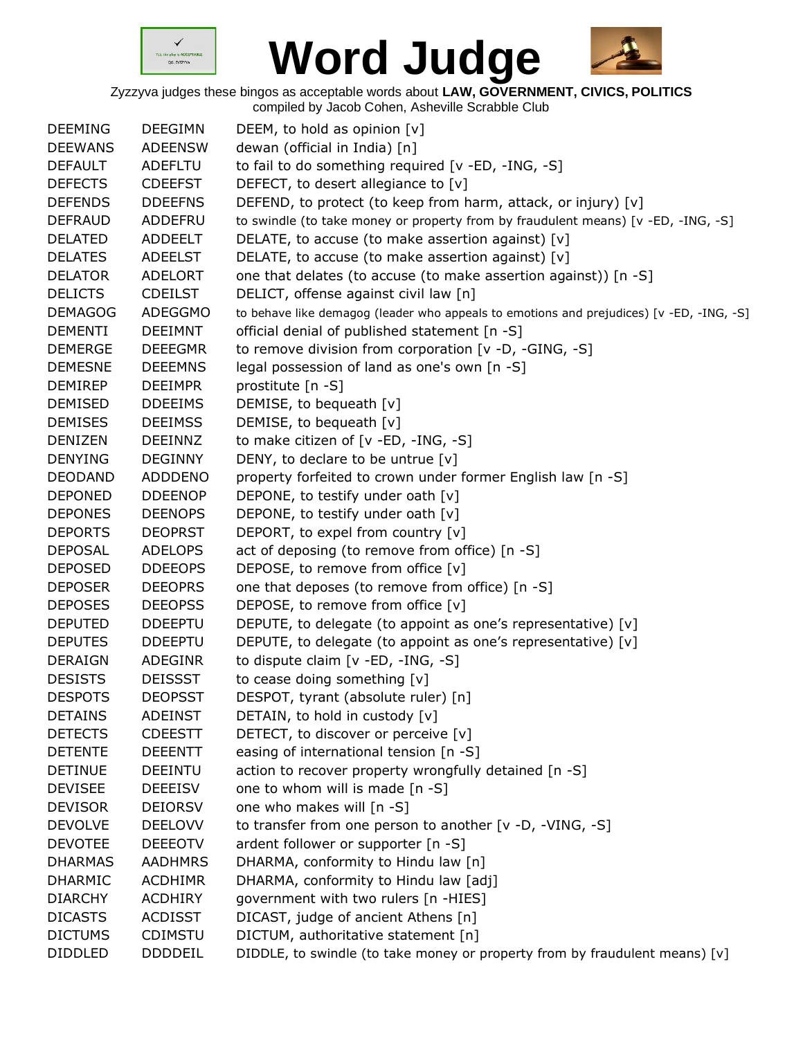



| <b>DEEMING</b> | <b>DEEGIMN</b> | DEEM, to hold as opinion $[v]$                                                           |
|----------------|----------------|------------------------------------------------------------------------------------------|
| <b>DEEWANS</b> | <b>ADEENSW</b> | dewan (official in India) [n]                                                            |
| <b>DEFAULT</b> | <b>ADEFLTU</b> | to fail to do something required [v -ED, -ING, -S]                                       |
| <b>DEFECTS</b> | <b>CDEEFST</b> | DEFECT, to desert allegiance to [v]                                                      |
| <b>DEFENDS</b> | <b>DDEEFNS</b> | DEFEND, to protect (to keep from harm, attack, or injury) [v]                            |
| <b>DEFRAUD</b> | ADDEFRU        | to swindle (to take money or property from by fraudulent means) [v -ED, -ING, -S]        |
| <b>DELATED</b> | ADDEELT        | DELATE, to accuse (to make assertion against) [v]                                        |
| <b>DELATES</b> | <b>ADEELST</b> | DELATE, to accuse (to make assertion against) [v]                                        |
| <b>DELATOR</b> | <b>ADELORT</b> | one that delates (to accuse (to make assertion against)) [n -S]                          |
| <b>DELICTS</b> | <b>CDEILST</b> | DELICT, offense against civil law [n]                                                    |
| <b>DEMAGOG</b> | <b>ADEGGMO</b> | to behave like demagog (leader who appeals to emotions and prejudices) [v -ED, -ING, -S] |
| <b>DEMENTI</b> | <b>DEEIMNT</b> | official denial of published statement [n -S]                                            |
| <b>DEMERGE</b> | <b>DEEEGMR</b> | to remove division from corporation [v -D, -GING, -S]                                    |
| <b>DEMESNE</b> | <b>DEEEMNS</b> | legal possession of land as one's own [n -S]                                             |
| <b>DEMIREP</b> | <b>DEEIMPR</b> | prostitute [n -S]                                                                        |
| <b>DEMISED</b> | <b>DDEEIMS</b> | DEMISE, to bequeath [v]                                                                  |
| <b>DEMISES</b> | <b>DEEIMSS</b> | DEMISE, to bequeath [v]                                                                  |
| <b>DENIZEN</b> | DEEINNZ        | to make citizen of [v -ED, -ING, -S]                                                     |
| <b>DENYING</b> | <b>DEGINNY</b> | DENY, to declare to be untrue $[v]$                                                      |
| <b>DEODAND</b> | <b>ADDDENO</b> | property forfeited to crown under former English law [n -S]                              |
| <b>DEPONED</b> | <b>DDEENOP</b> | DEPONE, to testify under oath [v]                                                        |
| <b>DEPONES</b> | <b>DEENOPS</b> | DEPONE, to testify under oath [v]                                                        |
| <b>DEPORTS</b> | <b>DEOPRST</b> | DEPORT, to expel from country [v]                                                        |
| <b>DEPOSAL</b> | <b>ADELOPS</b> | act of deposing (to remove from office) [n -S]                                           |
| <b>DEPOSED</b> | <b>DDEEOPS</b> | DEPOSE, to remove from office [v]                                                        |
| <b>DEPOSER</b> | <b>DEEOPRS</b> | one that deposes (to remove from office) [n -S]                                          |
| <b>DEPOSES</b> | <b>DEEOPSS</b> | DEPOSE, to remove from office [v]                                                        |
| <b>DEPUTED</b> | <b>DDEEPTU</b> | DEPUTE, to delegate (to appoint as one's representative) [v]                             |
| <b>DEPUTES</b> | <b>DDEEPTU</b> | DEPUTE, to delegate (to appoint as one's representative) [v]                             |
| <b>DERAIGN</b> | ADEGINR        | to dispute claim [v -ED, -ING, -S]                                                       |
| <b>DESISTS</b> | <b>DEISSST</b> | to cease doing something [v]                                                             |
| <b>DESPOTS</b> | <b>DEOPSST</b> | DESPOT, tyrant (absolute ruler) [n]                                                      |
| <b>DETAINS</b> | <b>ADEINST</b> | DETAIN, to hold in custody [v]                                                           |
| <b>DETECTS</b> | <b>CDEESTT</b> | DETECT, to discover or perceive [v]                                                      |
| <b>DETENTE</b> | <b>DEEENTT</b> | easing of international tension [n -S]                                                   |
| <b>DETINUE</b> | <b>DEEINTU</b> | action to recover property wrongfully detained [n -S]                                    |
| <b>DEVISEE</b> | <b>DEEEISV</b> | one to whom will is made [n -S]                                                          |
| <b>DEVISOR</b> | <b>DEIORSV</b> | one who makes will [n -S]                                                                |
| <b>DEVOLVE</b> | <b>DEELOVV</b> | to transfer from one person to another [v -D, -VING, -S]                                 |
| <b>DEVOTEE</b> | <b>DEEEOTV</b> | ardent follower or supporter [n -S]                                                      |
| <b>DHARMAS</b> | <b>AADHMRS</b> | DHARMA, conformity to Hindu law [n]                                                      |
| <b>DHARMIC</b> | <b>ACDHIMR</b> | DHARMA, conformity to Hindu law [adj]                                                    |
| <b>DIARCHY</b> | <b>ACDHIRY</b> | government with two rulers [n -HIES]                                                     |
| <b>DICASTS</b> | <b>ACDISST</b> | DICAST, judge of ancient Athens [n]                                                      |
| <b>DICTUMS</b> | <b>CDIMSTU</b> | DICTUM, authoritative statement [n]                                                      |
| <b>DIDDLED</b> | <b>DDDDEIL</b> | DIDDLE, to swindle (to take money or property from by fraudulent means) [v]              |
|                |                |                                                                                          |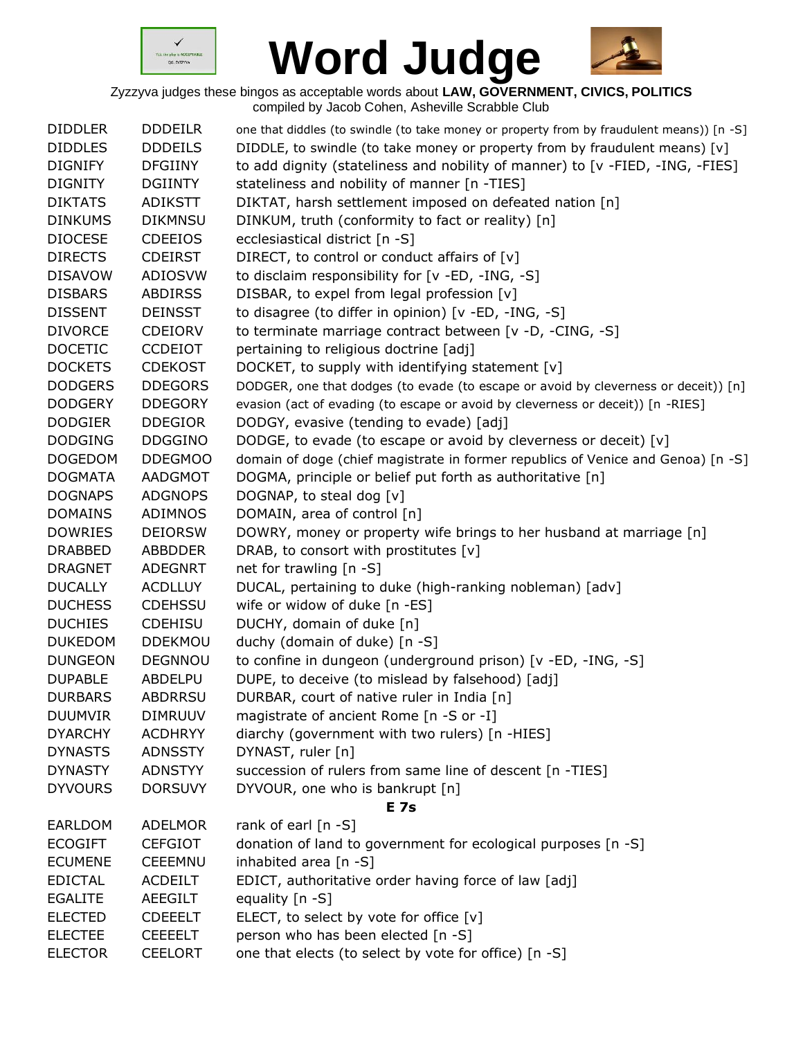



| <b>DDDEILR</b><br>one that diddles (to swindle (to take money or property from by fraudulent means)) [n -S]<br><b>DIDDLES</b><br><b>DDDEILS</b><br>DIDDLE, to swindle (to take money or property from by fraudulent means) $[v]$<br><b>DIGNIFY</b><br>to add dignity (stateliness and nobility of manner) to [v -FIED, -ING, -FIES]<br><b>DFGIINY</b><br><b>DIGNITY</b><br><b>DGIINTY</b><br>stateliness and nobility of manner [n -TIES]<br>DIKTAT, harsh settlement imposed on defeated nation [n]<br><b>DIKTATS</b><br>ADIKSTT<br><b>DIKMNSU</b><br>DINKUM, truth (conformity to fact or reality) [n]<br><b>DINKUMS</b><br><b>DIOCESE</b><br><b>CDEEIOS</b><br>ecclesiastical district [n -S]<br>DIRECT, to control or conduct affairs of [v]<br><b>DIRECTS</b><br><b>CDEIRST</b><br><b>DISAVOW</b><br><b>ADIOSVW</b><br>to disclaim responsibility for [v -ED, -ING, -S]<br><b>DISBARS</b><br>DISBAR, to expel from legal profession [v]<br><b>ABDIRSS</b><br><b>DISSENT</b><br>to disagree (to differ in opinion) [v -ED, -ING, -S]<br><b>DEINSST</b><br>to terminate marriage contract between [v -D, -CING, -S]<br><b>DIVORCE</b><br>CDEIORV<br>pertaining to religious doctrine [adj]<br><b>DOCETIC</b><br><b>CCDEIOT</b><br><b>DOCKETS</b><br><b>CDEKOST</b><br>DOCKET, to supply with identifying statement [v]<br><b>DODGERS</b><br><b>DDEGORS</b><br>DODGER, one that dodges (to evade (to escape or avoid by cleverness or deceit)) [n]<br><b>DODGERY</b><br><b>DDEGORY</b><br>evasion (act of evading (to escape or avoid by cleverness or deceit)) [n -RIES]<br><b>DODGIER</b><br><b>DDEGIOR</b><br>DODGY, evasive (tending to evade) [adj] |
|------------------------------------------------------------------------------------------------------------------------------------------------------------------------------------------------------------------------------------------------------------------------------------------------------------------------------------------------------------------------------------------------------------------------------------------------------------------------------------------------------------------------------------------------------------------------------------------------------------------------------------------------------------------------------------------------------------------------------------------------------------------------------------------------------------------------------------------------------------------------------------------------------------------------------------------------------------------------------------------------------------------------------------------------------------------------------------------------------------------------------------------------------------------------------------------------------------------------------------------------------------------------------------------------------------------------------------------------------------------------------------------------------------------------------------------------------------------------------------------------------------------------------------------------------------------------------------------------------------------------------------------------------------|
|                                                                                                                                                                                                                                                                                                                                                                                                                                                                                                                                                                                                                                                                                                                                                                                                                                                                                                                                                                                                                                                                                                                                                                                                                                                                                                                                                                                                                                                                                                                                                                                                                                                            |
|                                                                                                                                                                                                                                                                                                                                                                                                                                                                                                                                                                                                                                                                                                                                                                                                                                                                                                                                                                                                                                                                                                                                                                                                                                                                                                                                                                                                                                                                                                                                                                                                                                                            |
|                                                                                                                                                                                                                                                                                                                                                                                                                                                                                                                                                                                                                                                                                                                                                                                                                                                                                                                                                                                                                                                                                                                                                                                                                                                                                                                                                                                                                                                                                                                                                                                                                                                            |
|                                                                                                                                                                                                                                                                                                                                                                                                                                                                                                                                                                                                                                                                                                                                                                                                                                                                                                                                                                                                                                                                                                                                                                                                                                                                                                                                                                                                                                                                                                                                                                                                                                                            |
|                                                                                                                                                                                                                                                                                                                                                                                                                                                                                                                                                                                                                                                                                                                                                                                                                                                                                                                                                                                                                                                                                                                                                                                                                                                                                                                                                                                                                                                                                                                                                                                                                                                            |
|                                                                                                                                                                                                                                                                                                                                                                                                                                                                                                                                                                                                                                                                                                                                                                                                                                                                                                                                                                                                                                                                                                                                                                                                                                                                                                                                                                                                                                                                                                                                                                                                                                                            |
|                                                                                                                                                                                                                                                                                                                                                                                                                                                                                                                                                                                                                                                                                                                                                                                                                                                                                                                                                                                                                                                                                                                                                                                                                                                                                                                                                                                                                                                                                                                                                                                                                                                            |
|                                                                                                                                                                                                                                                                                                                                                                                                                                                                                                                                                                                                                                                                                                                                                                                                                                                                                                                                                                                                                                                                                                                                                                                                                                                                                                                                                                                                                                                                                                                                                                                                                                                            |
|                                                                                                                                                                                                                                                                                                                                                                                                                                                                                                                                                                                                                                                                                                                                                                                                                                                                                                                                                                                                                                                                                                                                                                                                                                                                                                                                                                                                                                                                                                                                                                                                                                                            |
|                                                                                                                                                                                                                                                                                                                                                                                                                                                                                                                                                                                                                                                                                                                                                                                                                                                                                                                                                                                                                                                                                                                                                                                                                                                                                                                                                                                                                                                                                                                                                                                                                                                            |
|                                                                                                                                                                                                                                                                                                                                                                                                                                                                                                                                                                                                                                                                                                                                                                                                                                                                                                                                                                                                                                                                                                                                                                                                                                                                                                                                                                                                                                                                                                                                                                                                                                                            |
|                                                                                                                                                                                                                                                                                                                                                                                                                                                                                                                                                                                                                                                                                                                                                                                                                                                                                                                                                                                                                                                                                                                                                                                                                                                                                                                                                                                                                                                                                                                                                                                                                                                            |
|                                                                                                                                                                                                                                                                                                                                                                                                                                                                                                                                                                                                                                                                                                                                                                                                                                                                                                                                                                                                                                                                                                                                                                                                                                                                                                                                                                                                                                                                                                                                                                                                                                                            |
|                                                                                                                                                                                                                                                                                                                                                                                                                                                                                                                                                                                                                                                                                                                                                                                                                                                                                                                                                                                                                                                                                                                                                                                                                                                                                                                                                                                                                                                                                                                                                                                                                                                            |
|                                                                                                                                                                                                                                                                                                                                                                                                                                                                                                                                                                                                                                                                                                                                                                                                                                                                                                                                                                                                                                                                                                                                                                                                                                                                                                                                                                                                                                                                                                                                                                                                                                                            |
|                                                                                                                                                                                                                                                                                                                                                                                                                                                                                                                                                                                                                                                                                                                                                                                                                                                                                                                                                                                                                                                                                                                                                                                                                                                                                                                                                                                                                                                                                                                                                                                                                                                            |
| <b>DODGING</b><br><b>DDGGINO</b><br>DODGE, to evade (to escape or avoid by cleverness or deceit) [v]                                                                                                                                                                                                                                                                                                                                                                                                                                                                                                                                                                                                                                                                                                                                                                                                                                                                                                                                                                                                                                                                                                                                                                                                                                                                                                                                                                                                                                                                                                                                                       |
| domain of doge (chief magistrate in former republics of Venice and Genoa) [n -S]<br><b>DOGEDOM</b><br><b>DDEGMOO</b>                                                                                                                                                                                                                                                                                                                                                                                                                                                                                                                                                                                                                                                                                                                                                                                                                                                                                                                                                                                                                                                                                                                                                                                                                                                                                                                                                                                                                                                                                                                                       |
| DOGMA, principle or belief put forth as authoritative [n]<br><b>DOGMATA</b><br>AADGMOT                                                                                                                                                                                                                                                                                                                                                                                                                                                                                                                                                                                                                                                                                                                                                                                                                                                                                                                                                                                                                                                                                                                                                                                                                                                                                                                                                                                                                                                                                                                                                                     |
| DOGNAP, to steal dog [v]<br><b>DOGNAPS</b><br><b>ADGNOPS</b>                                                                                                                                                                                                                                                                                                                                                                                                                                                                                                                                                                                                                                                                                                                                                                                                                                                                                                                                                                                                                                                                                                                                                                                                                                                                                                                                                                                                                                                                                                                                                                                               |
| <b>DOMAINS</b><br><b>ADIMNOS</b><br>DOMAIN, area of control [n]                                                                                                                                                                                                                                                                                                                                                                                                                                                                                                                                                                                                                                                                                                                                                                                                                                                                                                                                                                                                                                                                                                                                                                                                                                                                                                                                                                                                                                                                                                                                                                                            |
| DOWRY, money or property wife brings to her husband at marriage [n]<br><b>DOWRIES</b><br><b>DEIORSW</b>                                                                                                                                                                                                                                                                                                                                                                                                                                                                                                                                                                                                                                                                                                                                                                                                                                                                                                                                                                                                                                                                                                                                                                                                                                                                                                                                                                                                                                                                                                                                                    |
| DRAB, to consort with prostitutes [v]<br><b>DRABBED</b><br><b>ABBDDER</b>                                                                                                                                                                                                                                                                                                                                                                                                                                                                                                                                                                                                                                                                                                                                                                                                                                                                                                                                                                                                                                                                                                                                                                                                                                                                                                                                                                                                                                                                                                                                                                                  |
| net for trawling [n -S]<br><b>DRAGNET</b><br><b>ADEGNRT</b>                                                                                                                                                                                                                                                                                                                                                                                                                                                                                                                                                                                                                                                                                                                                                                                                                                                                                                                                                                                                                                                                                                                                                                                                                                                                                                                                                                                                                                                                                                                                                                                                |
| DUCAL, pertaining to duke (high-ranking nobleman) [adv]<br><b>DUCALLY</b><br><b>ACDLLUY</b>                                                                                                                                                                                                                                                                                                                                                                                                                                                                                                                                                                                                                                                                                                                                                                                                                                                                                                                                                                                                                                                                                                                                                                                                                                                                                                                                                                                                                                                                                                                                                                |
| <b>DUCHESS</b><br><b>CDEHSSU</b><br>wife or widow of duke [n -ES]                                                                                                                                                                                                                                                                                                                                                                                                                                                                                                                                                                                                                                                                                                                                                                                                                                                                                                                                                                                                                                                                                                                                                                                                                                                                                                                                                                                                                                                                                                                                                                                          |
| <b>DUCHIES</b><br>CDEHISU<br>DUCHY, domain of duke [n]                                                                                                                                                                                                                                                                                                                                                                                                                                                                                                                                                                                                                                                                                                                                                                                                                                                                                                                                                                                                                                                                                                                                                                                                                                                                                                                                                                                                                                                                                                                                                                                                     |
| duchy (domain of duke) [n -S]<br><b>DUKEDOM</b><br><b>DDEKMOU</b>                                                                                                                                                                                                                                                                                                                                                                                                                                                                                                                                                                                                                                                                                                                                                                                                                                                                                                                                                                                                                                                                                                                                                                                                                                                                                                                                                                                                                                                                                                                                                                                          |
| to confine in dungeon (underground prison) [v -ED, -ING, -S]<br><b>DUNGEON</b><br><b>DEGNNOU</b>                                                                                                                                                                                                                                                                                                                                                                                                                                                                                                                                                                                                                                                                                                                                                                                                                                                                                                                                                                                                                                                                                                                                                                                                                                                                                                                                                                                                                                                                                                                                                           |
| DUPE, to deceive (to mislead by falsehood) [adj]<br><b>DUPABLE</b><br>ABDELPU                                                                                                                                                                                                                                                                                                                                                                                                                                                                                                                                                                                                                                                                                                                                                                                                                                                                                                                                                                                                                                                                                                                                                                                                                                                                                                                                                                                                                                                                                                                                                                              |
| DURBAR, court of native ruler in India [n]<br><b>DURBARS</b><br><b>ABDRRSU</b>                                                                                                                                                                                                                                                                                                                                                                                                                                                                                                                                                                                                                                                                                                                                                                                                                                                                                                                                                                                                                                                                                                                                                                                                                                                                                                                                                                                                                                                                                                                                                                             |
| <b>DIMRUUV</b><br>magistrate of ancient Rome [n -S or -I]<br><b>DUUMVIR</b>                                                                                                                                                                                                                                                                                                                                                                                                                                                                                                                                                                                                                                                                                                                                                                                                                                                                                                                                                                                                                                                                                                                                                                                                                                                                                                                                                                                                                                                                                                                                                                                |
| diarchy (government with two rulers) [n -HIES]<br><b>DYARCHY</b><br><b>ACDHRYY</b>                                                                                                                                                                                                                                                                                                                                                                                                                                                                                                                                                                                                                                                                                                                                                                                                                                                                                                                                                                                                                                                                                                                                                                                                                                                                                                                                                                                                                                                                                                                                                                         |
| DYNAST, ruler [n]<br><b>DYNASTS</b><br><b>ADNSSTY</b>                                                                                                                                                                                                                                                                                                                                                                                                                                                                                                                                                                                                                                                                                                                                                                                                                                                                                                                                                                                                                                                                                                                                                                                                                                                                                                                                                                                                                                                                                                                                                                                                      |
| succession of rulers from same line of descent [n -TIES]<br><b>DYNASTY</b><br><b>ADNSTYY</b>                                                                                                                                                                                                                                                                                                                                                                                                                                                                                                                                                                                                                                                                                                                                                                                                                                                                                                                                                                                                                                                                                                                                                                                                                                                                                                                                                                                                                                                                                                                                                               |
| DYVOUR, one who is bankrupt [n]<br><b>DYVOURS</b><br><b>DORSUVY</b>                                                                                                                                                                                                                                                                                                                                                                                                                                                                                                                                                                                                                                                                                                                                                                                                                                                                                                                                                                                                                                                                                                                                                                                                                                                                                                                                                                                                                                                                                                                                                                                        |
| <b>E</b> 7s                                                                                                                                                                                                                                                                                                                                                                                                                                                                                                                                                                                                                                                                                                                                                                                                                                                                                                                                                                                                                                                                                                                                                                                                                                                                                                                                                                                                                                                                                                                                                                                                                                                |
| rank of earl [n -S]<br><b>EARLDOM</b><br><b>ADELMOR</b>                                                                                                                                                                                                                                                                                                                                                                                                                                                                                                                                                                                                                                                                                                                                                                                                                                                                                                                                                                                                                                                                                                                                                                                                                                                                                                                                                                                                                                                                                                                                                                                                    |
| <b>ECOGIFT</b><br><b>CEFGIOT</b><br>donation of land to government for ecological purposes [n -S]                                                                                                                                                                                                                                                                                                                                                                                                                                                                                                                                                                                                                                                                                                                                                                                                                                                                                                                                                                                                                                                                                                                                                                                                                                                                                                                                                                                                                                                                                                                                                          |
| inhabited area [n -S]<br><b>ECUMENE</b><br><b>CEEEMNU</b>                                                                                                                                                                                                                                                                                                                                                                                                                                                                                                                                                                                                                                                                                                                                                                                                                                                                                                                                                                                                                                                                                                                                                                                                                                                                                                                                                                                                                                                                                                                                                                                                  |
| EDICT, authoritative order having force of law [adj]<br><b>EDICTAL</b><br><b>ACDEILT</b>                                                                                                                                                                                                                                                                                                                                                                                                                                                                                                                                                                                                                                                                                                                                                                                                                                                                                                                                                                                                                                                                                                                                                                                                                                                                                                                                                                                                                                                                                                                                                                   |
| <b>EGALITE</b><br>AEEGILT<br>equality [n -S]                                                                                                                                                                                                                                                                                                                                                                                                                                                                                                                                                                                                                                                                                                                                                                                                                                                                                                                                                                                                                                                                                                                                                                                                                                                                                                                                                                                                                                                                                                                                                                                                               |
| ELECT, to select by vote for office [v]<br><b>ELECTED</b><br><b>CDEEELT</b>                                                                                                                                                                                                                                                                                                                                                                                                                                                                                                                                                                                                                                                                                                                                                                                                                                                                                                                                                                                                                                                                                                                                                                                                                                                                                                                                                                                                                                                                                                                                                                                |
| person who has been elected [n -S]<br><b>ELECTEE</b><br><b>CEEEELT</b>                                                                                                                                                                                                                                                                                                                                                                                                                                                                                                                                                                                                                                                                                                                                                                                                                                                                                                                                                                                                                                                                                                                                                                                                                                                                                                                                                                                                                                                                                                                                                                                     |
| one that elects (to select by vote for office) [n -S]<br><b>ELECTOR</b><br><b>CEELORT</b>                                                                                                                                                                                                                                                                                                                                                                                                                                                                                                                                                                                                                                                                                                                                                                                                                                                                                                                                                                                                                                                                                                                                                                                                                                                                                                                                                                                                                                                                                                                                                                  |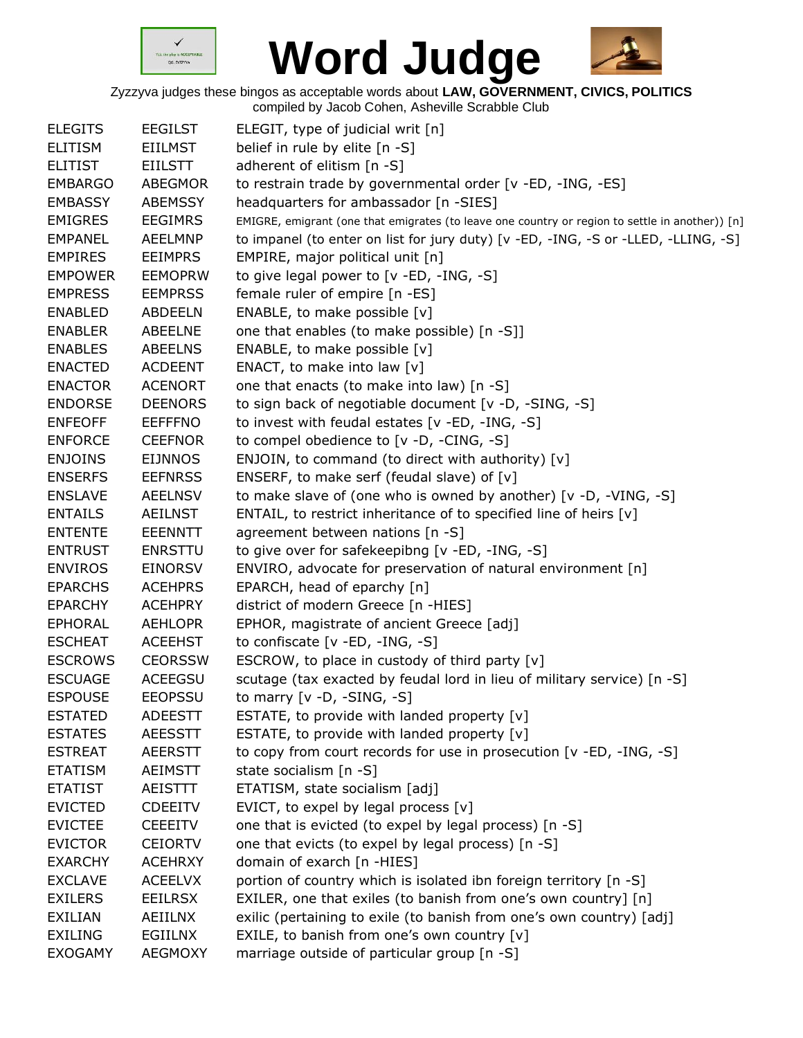



| <b>ELEGITS</b> | <b>EEGILST</b> | ELEGIT, type of judicial writ [n]                                                               |
|----------------|----------------|-------------------------------------------------------------------------------------------------|
| <b>ELITISM</b> | <b>EIILMST</b> | belief in rule by elite [n -S]                                                                  |
| <b>ELITIST</b> | <b>EIILSTT</b> | adherent of elitism [n -S]                                                                      |
| <b>EMBARGO</b> | ABEGMOR        | to restrain trade by governmental order [v -ED, -ING, -ES]                                      |
| <b>EMBASSY</b> | <b>ABEMSSY</b> | headquarters for ambassador [n -SIES]                                                           |
| <b>EMIGRES</b> | <b>EEGIMRS</b> | EMIGRE, emigrant (one that emigrates (to leave one country or region to settle in another)) [n] |
| <b>EMPANEL</b> | <b>AEELMNP</b> | to impanel (to enter on list for jury duty) [v -ED, -ING, -S or -LLED, -LLING, -S]              |
| <b>EMPIRES</b> | <b>EEIMPRS</b> | EMPIRE, major political unit [n]                                                                |
| <b>EMPOWER</b> | <b>EEMOPRW</b> | to give legal power to [v -ED, -ING, -S]                                                        |
| <b>EMPRESS</b> | <b>EEMPRSS</b> | female ruler of empire [n -ES]                                                                  |
| <b>ENABLED</b> | <b>ABDEELN</b> | ENABLE, to make possible [v]                                                                    |
| <b>ENABLER</b> | ABEELNE        | one that enables (to make possible) [n -S]]                                                     |
| <b>ENABLES</b> | <b>ABEELNS</b> | ENABLE, to make possible [v]                                                                    |
| <b>ENACTED</b> | <b>ACDEENT</b> | ENACT, to make into law [v]                                                                     |
| <b>ENACTOR</b> | <b>ACENORT</b> | one that enacts (to make into law) [n -S]                                                       |
| <b>ENDORSE</b> | <b>DEENORS</b> | to sign back of negotiable document [v -D, -SING, -S]                                           |
| <b>ENFEOFF</b> | <b>EEFFFNO</b> | to invest with feudal estates [v -ED, -ING, -S]                                                 |
| <b>ENFORCE</b> | <b>CEEFNOR</b> | to compel obedience to [v -D, -CING, -S]                                                        |
| <b>ENJOINS</b> | <b>EIJNNOS</b> | ENJOIN, to command (to direct with authority) [v]                                               |
| <b>ENSERFS</b> | <b>EEFNRSS</b> | ENSERF, to make serf (feudal slave) of $[v]$                                                    |
| <b>ENSLAVE</b> | <b>AEELNSV</b> | to make slave of (one who is owned by another) $[v -D, -VING, -S]$                              |
| <b>ENTAILS</b> | <b>AEILNST</b> | ENTAIL, to restrict inheritance of to specified line of heirs [v]                               |
| <b>ENTENTE</b> | <b>EEENNTT</b> | agreement between nations [n -S]                                                                |
| <b>ENTRUST</b> | <b>ENRSTTU</b> | to give over for safekeepibng [v -ED, -ING, -S]                                                 |
| <b>ENVIROS</b> | <b>EINORSV</b> | ENVIRO, advocate for preservation of natural environment [n]                                    |
| <b>EPARCHS</b> | <b>ACEHPRS</b> | EPARCH, head of eparchy [n]                                                                     |
| <b>EPARCHY</b> | <b>ACEHPRY</b> | district of modern Greece [n -HIES]                                                             |
| <b>EPHORAL</b> | <b>AEHLOPR</b> | EPHOR, magistrate of ancient Greece [adj]                                                       |
| <b>ESCHEAT</b> | <b>ACEEHST</b> | to confiscate $[v - ED, -ING, -S]$                                                              |
| <b>ESCROWS</b> | <b>CEORSSW</b> | ESCROW, to place in custody of third party [v]                                                  |
| <b>ESCUAGE</b> | <b>ACEEGSU</b> | scutage (tax exacted by feudal lord in lieu of military service) [n -S]                         |
| ESPOUSE        | <b>EEOPSSU</b> | to marry $[v -D, -SING, -S]$                                                                    |
| <b>ESTATED</b> | <b>ADEESTT</b> | ESTATE, to provide with landed property [v]                                                     |
| <b>ESTATES</b> | <b>AEESSTT</b> | ESTATE, to provide with landed property [v]                                                     |
| <b>ESTREAT</b> | <b>AEERSTT</b> | to copy from court records for use in prosecution [v -ED, -ING, -S]                             |
| <b>ETATISM</b> | AEIMSTT        | state socialism [n -S]                                                                          |
| <b>ETATIST</b> | AEISTTT        | ETATISM, state socialism [adj]                                                                  |
| <b>EVICTED</b> | <b>CDEEITV</b> | EVICT, to expel by legal process [v]                                                            |
| <b>EVICTEE</b> | <b>CEEEITV</b> | one that is evicted (to expel by legal process) [n -S]                                          |
| <b>EVICTOR</b> | <b>CEIORTV</b> | one that evicts (to expel by legal process) [n -S]                                              |
| <b>EXARCHY</b> | <b>ACEHRXY</b> | domain of exarch [n -HIES]                                                                      |
| <b>EXCLAVE</b> | <b>ACEELVX</b> | portion of country which is isolated ibn foreign territory [n -S]                               |
| <b>EXILERS</b> | <b>EEILRSX</b> | EXILER, one that exiles (to banish from one's own country] [n]                                  |
| EXILIAN        | AEIILNX        | exilic (pertaining to exile (to banish from one's own country) [adj]                            |
| <b>EXILING</b> | EGIILNX        | EXILE, to banish from one's own country [v]                                                     |
| <b>EXOGAMY</b> | <b>AEGMOXY</b> | marriage outside of particular group [n -S]                                                     |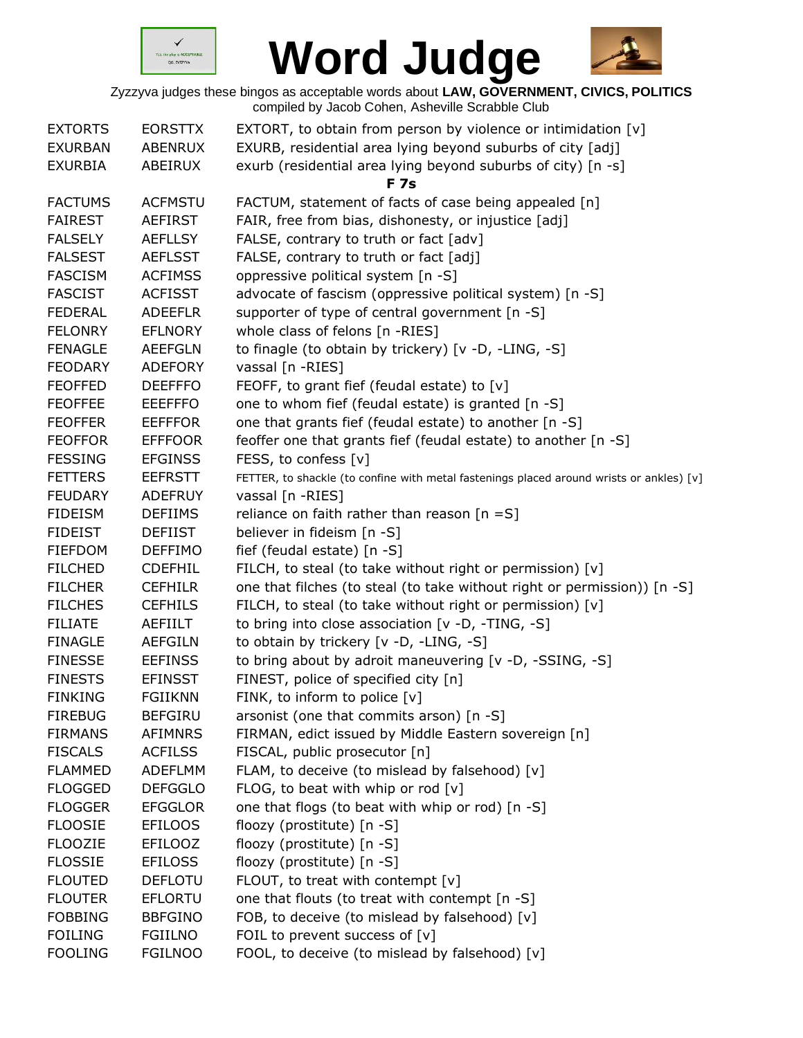



| <b>EXTORTS</b><br><b>EXURBAN</b> | <b>EORSTTX</b><br><b>ABENRUX</b> | EXTORT, to obtain from person by violence or intimidation [v]<br>EXURB, residential area lying beyond suburbs of city [adj] |
|----------------------------------|----------------------------------|-----------------------------------------------------------------------------------------------------------------------------|
| <b>EXURBIA</b>                   | ABEIRUX                          | exurb (residential area lying beyond suburbs of city) [n -s]<br><b>F7s</b>                                                  |
| <b>FACTUMS</b>                   | <b>ACFMSTU</b>                   | FACTUM, statement of facts of case being appealed [n]                                                                       |
| <b>FAIREST</b>                   | <b>AEFIRST</b>                   | FAIR, free from bias, dishonesty, or injustice [adj]                                                                        |
| <b>FALSELY</b>                   | <b>AEFLLSY</b>                   | FALSE, contrary to truth or fact [adv]                                                                                      |
| <b>FALSEST</b>                   | <b>AEFLSST</b>                   | FALSE, contrary to truth or fact [adj]                                                                                      |
| <b>FASCISM</b>                   | <b>ACFIMSS</b>                   | oppressive political system [n -S]                                                                                          |
| <b>FASCIST</b>                   | <b>ACFISST</b>                   | advocate of fascism (oppressive political system) [n -S]                                                                    |
| <b>FEDERAL</b>                   | <b>ADEEFLR</b>                   | supporter of type of central government [n -S]                                                                              |
| <b>FELONRY</b>                   | <b>EFLNORY</b>                   | whole class of felons [n -RIES]                                                                                             |
| <b>FENAGLE</b>                   | <b>AEEFGLN</b>                   | to finagle (to obtain by trickery) [v -D, -LING, -S]                                                                        |
| <b>FEODARY</b>                   | <b>ADEFORY</b>                   | vassal [n -RIES]                                                                                                            |
| <b>FEOFFED</b>                   | <b>DEEFFFO</b>                   | FEOFF, to grant fief (feudal estate) to [v]                                                                                 |
| <b>FEOFFEE</b>                   | <b>EEEFFFO</b>                   | one to whom fief (feudal estate) is granted [n -S]                                                                          |
| <b>FEOFFER</b>                   | <b>EEFFFOR</b>                   | one that grants fief (feudal estate) to another [n -S]                                                                      |
| <b>FEOFFOR</b>                   | <b>EFFFOOR</b>                   | feoffer one that grants fief (feudal estate) to another [n -S]                                                              |
| <b>FESSING</b>                   | <b>EFGINSS</b>                   | FESS, to confess [v]                                                                                                        |
| <b>FETTERS</b>                   | <b>EEFRSTT</b>                   | FETTER, to shackle (to confine with metal fastenings placed around wrists or ankles) [v]                                    |
| <b>FEUDARY</b>                   | <b>ADEFRUY</b>                   | vassal [n -RIES]                                                                                                            |
| <b>FIDEISM</b>                   | <b>DEFIIMS</b>                   | reliance on faith rather than reason $[n = S]$                                                                              |
| <b>FIDEIST</b>                   | <b>DEFIIST</b>                   | believer in fideism [n -S]                                                                                                  |
| <b>FIEFDOM</b>                   | <b>DEFFIMO</b>                   | fief (feudal estate) [n -S]                                                                                                 |
| <b>FILCHED</b>                   | <b>CDEFHIL</b>                   | FILCH, to steal (to take without right or permission) [v]                                                                   |
| <b>FILCHER</b>                   | <b>CEFHILR</b>                   | one that filches (to steal (to take without right or permission)) [n -S]                                                    |
| <b>FILCHES</b>                   | <b>CEFHILS</b>                   | FILCH, to steal (to take without right or permission) [v]                                                                   |
| <b>FILIATE</b>                   | AEFIILT                          | to bring into close association [v -D, -TING, -S]                                                                           |
| <b>FINAGLE</b>                   | <b>AEFGILN</b>                   | to obtain by trickery [v -D, -LING, -S]                                                                                     |
| <b>FINESSE</b>                   | <b>EEFINSS</b>                   | to bring about by adroit maneuvering [v -D, -SSING, -S]                                                                     |
| <b>FINESTS</b>                   | <b>EFINSST</b>                   | FINEST, police of specified city [n]                                                                                        |
| <b>FINKING</b>                   | <b>FGIIKNN</b>                   | FINK, to inform to police [v]                                                                                               |
| <b>FIREBUG</b>                   | <b>BEFGIRU</b>                   | arsonist (one that commits arson) [n -S]                                                                                    |
| <b>FIRMANS</b>                   | <b>AFIMNRS</b>                   | FIRMAN, edict issued by Middle Eastern sovereign [n]                                                                        |
| <b>FISCALS</b>                   | <b>ACFILSS</b>                   | FISCAL, public prosecutor [n]                                                                                               |
| <b>FLAMMED</b>                   | <b>ADEFLMM</b>                   | FLAM, to deceive (to mislead by falsehood) [v]                                                                              |
| <b>FLOGGED</b>                   | <b>DEFGGLO</b>                   | FLOG, to beat with whip or rod $[v]$                                                                                        |
| <b>FLOGGER</b>                   | <b>EFGGLOR</b>                   | one that flogs (to beat with whip or rod) [n -S]                                                                            |
| <b>FLOOSIE</b>                   | <b>EFILOOS</b>                   | floozy (prostitute) [n -S]                                                                                                  |
| <b>FLOOZIE</b>                   | <b>EFILOOZ</b>                   | floozy (prostitute) [n -S]                                                                                                  |
| <b>FLOSSIE</b>                   | <b>EFILOSS</b>                   | floozy (prostitute) [n -S]                                                                                                  |
| <b>FLOUTED</b>                   | <b>DEFLOTU</b>                   | FLOUT, to treat with contempt [v]                                                                                           |
| <b>FLOUTER</b>                   | <b>EFLORTU</b>                   | one that flouts (to treat with contempt [n -S]                                                                              |
| <b>FOBBING</b>                   | <b>BBFGINO</b>                   | FOB, to deceive (to mislead by falsehood) [v]                                                                               |
| <b>FOILING</b>                   | <b>FGIILNO</b>                   | FOIL to prevent success of [v]                                                                                              |
| <b>FOOLING</b>                   | <b>FGILNOO</b>                   | FOOL, to deceive (to mislead by falsehood) [v]                                                                              |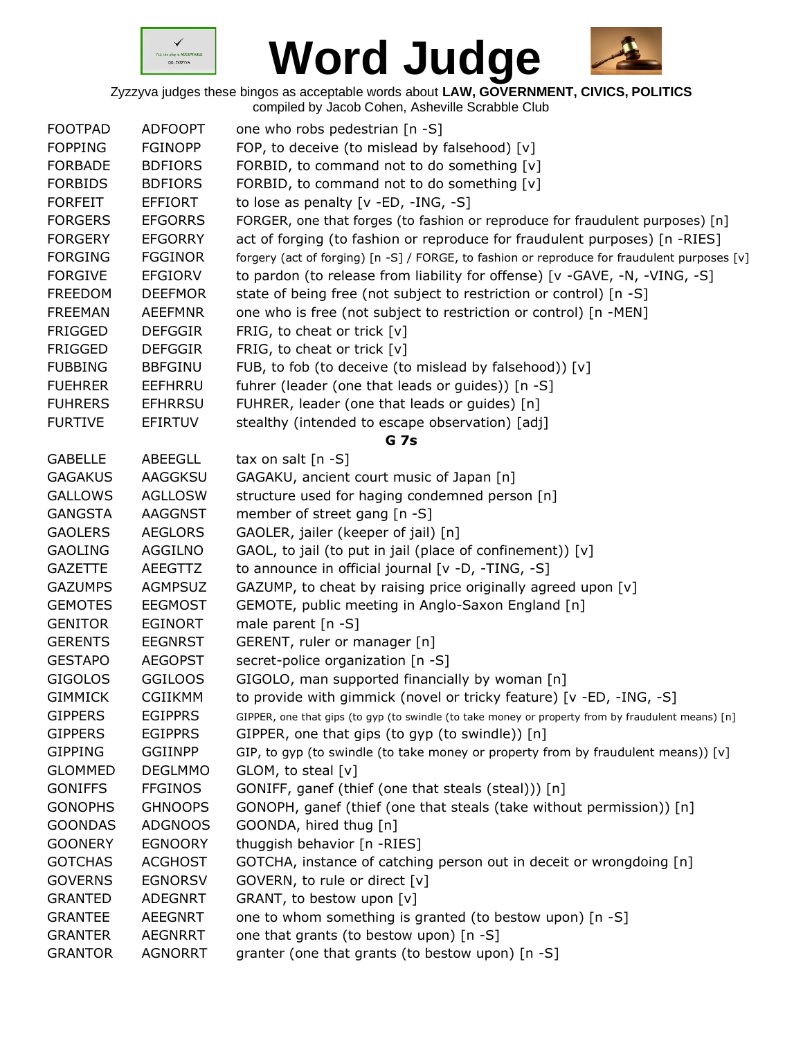



| <b>FOOTPAD</b> | <b>ADFOOPT</b> | one who robs pedestrian [n -S]                                                                     |
|----------------|----------------|----------------------------------------------------------------------------------------------------|
| <b>FOPPING</b> | <b>FGINOPP</b> | FOP, to deceive (to mislead by falsehood) [v]                                                      |
| <b>FORBADE</b> | <b>BDFIORS</b> | FORBID, to command not to do something [v]                                                         |
| <b>FORBIDS</b> | <b>BDFIORS</b> | FORBID, to command not to do something [v]                                                         |
| <b>FORFEIT</b> | EFFIORT        | to lose as penalty $[v - ED, -ING, -S]$                                                            |
| <b>FORGERS</b> | <b>EFGORRS</b> | FORGER, one that forges (to fashion or reproduce for fraudulent purposes) [n]                      |
| <b>FORGERY</b> | <b>EFGORRY</b> | act of forging (to fashion or reproduce for fraudulent purposes) [n -RIES]                         |
| <b>FORGING</b> | <b>FGGINOR</b> | forgery (act of forging) [n -S] / FORGE, to fashion or reproduce for fraudulent purposes [v]       |
| <b>FORGIVE</b> | <b>EFGIORV</b> | to pardon (to release from liability for offense) [v -GAVE, -N, -VING, -S]                         |
| <b>FREEDOM</b> | <b>DEEFMOR</b> | state of being free (not subject to restriction or control) [n -S]                                 |
| <b>FREEMAN</b> | <b>AEEFMNR</b> | one who is free (not subject to restriction or control) [n -MEN]                                   |
| <b>FRIGGED</b> | <b>DEFGGIR</b> | FRIG, to cheat or trick $[v]$                                                                      |
| <b>FRIGGED</b> | <b>DEFGGIR</b> | FRIG, to cheat or trick [v]                                                                        |
| <b>FUBBING</b> | <b>BBFGINU</b> | FUB, to fob (to deceive (to mislead by falsehood)) [v]                                             |
| <b>FUEHRER</b> | EEFHRRU        | fuhrer (leader (one that leads or guides)) [n -S]                                                  |
| <b>FUHRERS</b> | <b>EFHRRSU</b> | FUHRER, leader (one that leads or guides) [n]                                                      |
| <b>FURTIVE</b> | <b>EFIRTUV</b> | stealthy (intended to escape observation) [adj]                                                    |
|                |                | <b>G</b> 7s                                                                                        |
| <b>GABELLE</b> | <b>ABEEGLL</b> | tax on salt $[n -S]$                                                                               |
| <b>GAGAKUS</b> | AAGGKSU        | GAGAKU, ancient court music of Japan [n]                                                           |
| <b>GALLOWS</b> | <b>AGLLOSW</b> | structure used for haging condemned person [n]                                                     |
| <b>GANGSTA</b> | <b>AAGGNST</b> | member of street gang [n -S]                                                                       |
| <b>GAOLERS</b> | <b>AEGLORS</b> | GAOLER, jailer (keeper of jail) [n]                                                                |
| <b>GAOLING</b> | AGGILNO        | GAOL, to jail (to put in jail (place of confinement)) [v]                                          |
| <b>GAZETTE</b> | AEEGTTZ        | to announce in official journal [v -D, -TING, -S]                                                  |
| <b>GAZUMPS</b> | <b>AGMPSUZ</b> | GAZUMP, to cheat by raising price originally agreed upon [v]                                       |
| <b>GEMOTES</b> | <b>EEGMOST</b> | GEMOTE, public meeting in Anglo-Saxon England [n]                                                  |
| <b>GENITOR</b> | <b>EGINORT</b> | male parent [n -S]                                                                                 |
| <b>GERENTS</b> | <b>EEGNRST</b> | GERENT, ruler or manager [n]                                                                       |
| <b>GESTAPO</b> | <b>AEGOPST</b> | secret-police organization [n -S]                                                                  |
| <b>GIGOLOS</b> | <b>GGILOOS</b> | GIGOLO, man supported financially by woman [n]                                                     |
| <b>GIMMICK</b> | <b>CGIIKMM</b> | to provide with gimmick (novel or tricky feature) [v -ED, -ING, -S]                                |
| <b>GIPPERS</b> | <b>EGIPPRS</b> | GIPPER, one that gips (to gyp (to swindle (to take money or property from by fraudulent means) [n] |
| <b>GIPPERS</b> | <b>EGIPPRS</b> | GIPPER, one that gips (to gyp (to swindle)) [n]                                                    |
| <b>GIPPING</b> | <b>GGIINPP</b> | GIP, to gyp (to swindle (to take money or property from by fraudulent means)) $[v]$                |
| <b>GLOMMED</b> | <b>DEGLMMO</b> | GLOM, to steal [v]                                                                                 |
| <b>GONIFFS</b> | <b>FFGINOS</b> | GONIFF, ganef (thief (one that steals (steal))) [n]                                                |
| <b>GONOPHS</b> | <b>GHNOOPS</b> | GONOPH, ganef (thief (one that steals (take without permission)) [n]                               |
| <b>GOONDAS</b> | <b>ADGNOOS</b> | GOONDA, hired thug [n]                                                                             |
| <b>GOONERY</b> | <b>EGNOORY</b> | thuggish behavior [n -RIES]                                                                        |
| <b>GOTCHAS</b> | <b>ACGHOST</b> | GOTCHA, instance of catching person out in deceit or wrongdoing [n]                                |
| <b>GOVERNS</b> | <b>EGNORSV</b> | GOVERN, to rule or direct [v]                                                                      |
| <b>GRANTED</b> | <b>ADEGNRT</b> | GRANT, to bestow upon [v]                                                                          |
| <b>GRANTEE</b> | <b>AEEGNRT</b> | one to whom something is granted (to bestow upon) [n -S]                                           |
| <b>GRANTER</b> | <b>AEGNRRT</b> | one that grants (to bestow upon) [n -S]                                                            |
| <b>GRANTOR</b> | <b>AGNORRT</b> | granter (one that grants (to bestow upon) [n -S]                                                   |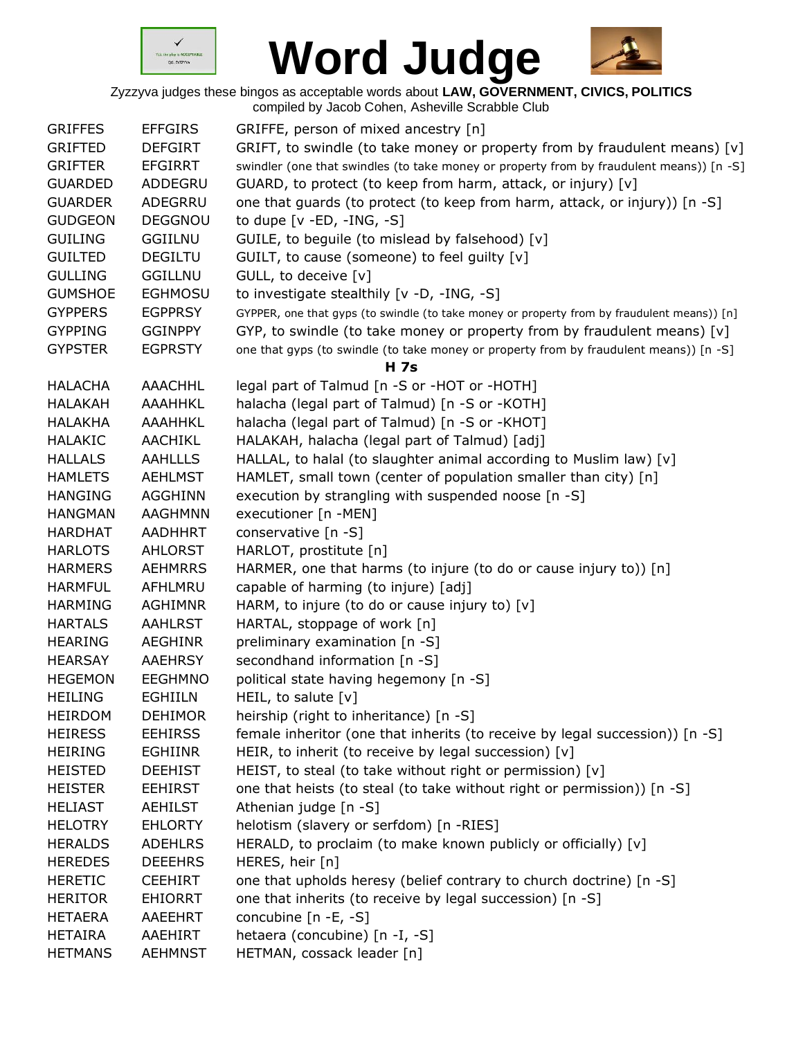



| <b>GRIFFES</b> | <b>EFFGIRS</b> | GRIFFE, person of mixed ancestry [n]                                                        |
|----------------|----------------|---------------------------------------------------------------------------------------------|
| <b>GRIFTED</b> | <b>DEFGIRT</b> | GRIFT, to swindle (to take money or property from by fraudulent means) $[v]$                |
| <b>GRIFTER</b> | <b>EFGIRRT</b> | swindler (one that swindles (to take money or property from by fraudulent means)) [n -S]    |
| <b>GUARDED</b> | ADDEGRU        | GUARD, to protect (to keep from harm, attack, or injury) [v]                                |
| <b>GUARDER</b> | ADEGRRU        | one that guards (to protect (to keep from harm, attack, or injury)) [n -S]                  |
| <b>GUDGEON</b> | <b>DEGGNOU</b> | to dupe $[v - ED, -ING, -S]$                                                                |
| <b>GUILING</b> | <b>GGIILNU</b> | GUILE, to beguile (to mislead by falsehood) [v]                                             |
| <b>GUILTED</b> | <b>DEGILTU</b> | GUILT, to cause (someone) to feel guilty [v]                                                |
| <b>GULLING</b> | <b>GGILLNU</b> | GULL, to deceive [v]                                                                        |
| <b>GUMSHOE</b> | <b>EGHMOSU</b> | to investigate stealthily [v -D, -ING, -S]                                                  |
| <b>GYPPERS</b> | <b>EGPPRSY</b> | GYPPER, one that gyps (to swindle (to take money or property from by fraudulent means)) [n] |
| <b>GYPPING</b> | <b>GGINPPY</b> | GYP, to swindle (to take money or property from by fraudulent means) [v]                    |
| <b>GYPSTER</b> | <b>EGPRSTY</b> | one that gyps (to swindle (to take money or property from by fraudulent means)) [n -S]      |
|                |                | <b>H</b> 7s                                                                                 |
| <b>HALACHA</b> | AAACHHL        | legal part of Talmud [n -S or -HOT or -HOTH]                                                |
| <b>HALAKAH</b> | AAAHHKL        | halacha (legal part of Talmud) [n -S or -KOTH]                                              |
| <b>HALAKHA</b> | AAAHHKL        | halacha (legal part of Talmud) [n -S or -KHOT]                                              |
| <b>HALAKIC</b> | AACHIKL        | HALAKAH, halacha (legal part of Talmud) [adj]                                               |
| <b>HALLALS</b> | <b>AAHLLLS</b> | HALLAL, to halal (to slaughter animal according to Muslim law) [v]                          |
| <b>HAMLETS</b> | <b>AEHLMST</b> | HAMLET, small town (center of population smaller than city) [n]                             |
| <b>HANGING</b> | <b>AGGHINN</b> | execution by strangling with suspended noose [n -S]                                         |
| <b>HANGMAN</b> | <b>AAGHMNN</b> | executioner [n -MEN]                                                                        |
| <b>HARDHAT</b> | AADHHRT        | conservative [n -S]                                                                         |
| <b>HARLOTS</b> | AHLORST        | HARLOT, prostitute [n]                                                                      |
| <b>HARMERS</b> | <b>AEHMRRS</b> | HARMER, one that harms (to injure (to do or cause injury to)) [n]                           |
| <b>HARMFUL</b> | AFHLMRU        | capable of harming (to injure) [adj]                                                        |
| <b>HARMING</b> | <b>AGHIMNR</b> | HARM, to injure (to do or cause injury to) [v]                                              |
| <b>HARTALS</b> | <b>AAHLRST</b> | HARTAL, stoppage of work [n]                                                                |
| <b>HEARING</b> | <b>AEGHINR</b> | preliminary examination [n -S]                                                              |
| <b>HEARSAY</b> | <b>AAEHRSY</b> | secondhand information [n -S]                                                               |
| <b>HEGEMON</b> | <b>EEGHMNO</b> | political state having hegemony [n -S]                                                      |
| <b>HEILING</b> | EGHIILN        | HEIL, to salute $[v]$                                                                       |
| <b>HEIRDOM</b> | <b>DEHIMOR</b> | heirship (right to inheritance) [n -S]                                                      |
| <b>HEIRESS</b> | <b>EEHIRSS</b> | female inheritor (one that inherits (to receive by legal succession)) [n -S]                |
| <b>HEIRING</b> | <b>EGHIINR</b> | HEIR, to inherit (to receive by legal succession) [v]                                       |
| <b>HEISTED</b> | <b>DEEHIST</b> | HEIST, to steal (to take without right or permission) [v]                                   |
| <b>HEISTER</b> | <b>EEHIRST</b> | one that heists (to steal (to take without right or permission)) [n -S]                     |
| <b>HELIAST</b> | AEHILST        | Athenian judge [n -S]                                                                       |
| <b>HELOTRY</b> | <b>EHLORTY</b> | helotism (slavery or serfdom) [n -RIES]                                                     |
| <b>HERALDS</b> | <b>ADEHLRS</b> | HERALD, to proclaim (to make known publicly or officially) [v]                              |
| <b>HEREDES</b> | <b>DEEEHRS</b> | HERES, heir [n]                                                                             |
| <b>HERETIC</b> | <b>CEEHIRT</b> | one that upholds heresy (belief contrary to church doctrine) [n -S]                         |
| <b>HERITOR</b> | <b>EHIORRT</b> | one that inherits (to receive by legal succession) [n -S]                                   |
| <b>HETAERA</b> | AAEEHRT        | concubine $[n -E, -S]$                                                                      |
| <b>HETAIRA</b> | AAEHIRT        | hetaera (concubine) [n -I, -S]                                                              |
| <b>HETMANS</b> | <b>AEHMNST</b> | HETMAN, cossack leader [n]                                                                  |
|                |                |                                                                                             |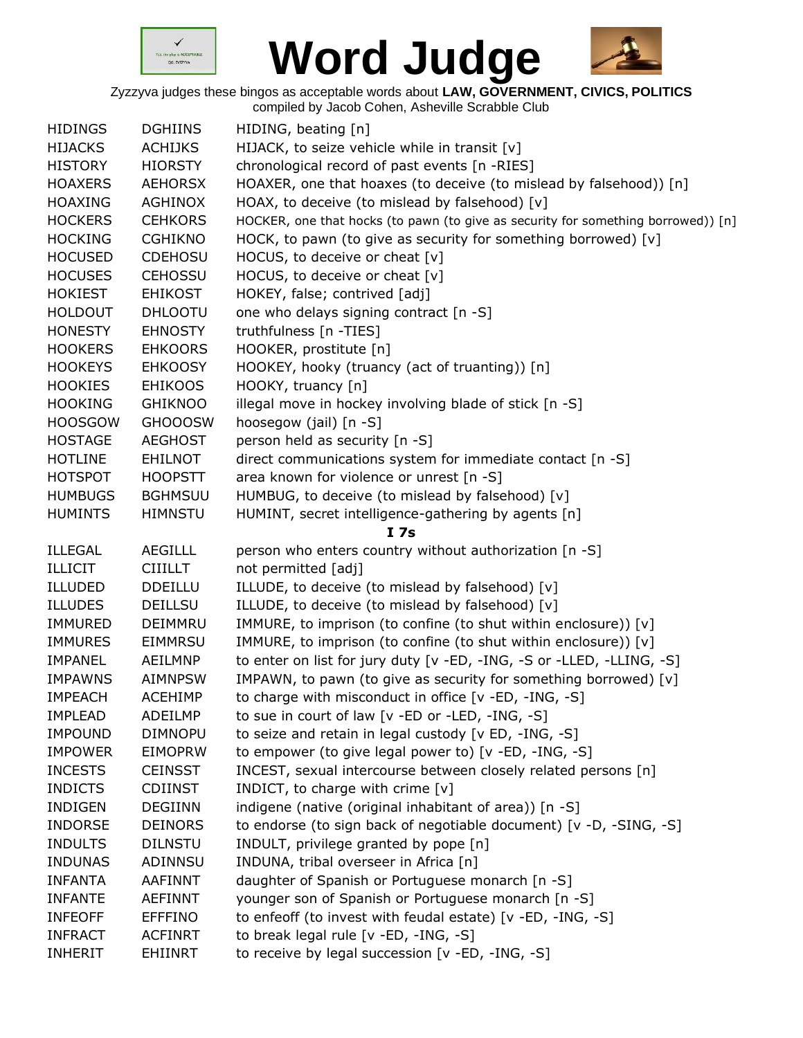



| <b>HIDINGS</b> | <b>DGHIINS</b> | HIDING, beating [n]                                                               |
|----------------|----------------|-----------------------------------------------------------------------------------|
| <b>HIJACKS</b> | <b>ACHIJKS</b> | HIJACK, to seize vehicle while in transit [v]                                     |
| <b>HISTORY</b> | <b>HIORSTY</b> | chronological record of past events [n -RIES]                                     |
| <b>HOAXERS</b> | <b>AEHORSX</b> | HOAXER, one that hoaxes (to deceive (to mislead by falsehood)) [n]                |
| <b>HOAXING</b> | <b>AGHINOX</b> | HOAX, to deceive (to mislead by falsehood) [v]                                    |
| <b>HOCKERS</b> | <b>CEHKORS</b> | HOCKER, one that hocks (to pawn (to give as security for something borrowed)) [n] |
| <b>HOCKING</b> | <b>CGHIKNO</b> | HOCK, to pawn (to give as security for something borrowed) [v]                    |
| <b>HOCUSED</b> | <b>CDEHOSU</b> | HOCUS, to deceive or cheat [v]                                                    |
| <b>HOCUSES</b> | <b>CEHOSSU</b> | HOCUS, to deceive or cheat [v]                                                    |
| <b>HOKIEST</b> | <b>EHIKOST</b> | HOKEY, false; contrived [adj]                                                     |
| <b>HOLDOUT</b> | <b>DHLOOTU</b> | one who delays signing contract [n -S]                                            |
| <b>HONESTY</b> | <b>EHNOSTY</b> | truthfulness [n -TIES]                                                            |
| <b>HOOKERS</b> | <b>EHKOORS</b> | HOOKER, prostitute [n]                                                            |
| <b>HOOKEYS</b> | <b>EHKOOSY</b> | HOOKEY, hooky (truancy (act of truanting)) [n]                                    |
| <b>HOOKIES</b> | <b>EHIKOOS</b> | HOOKY, truancy [n]                                                                |
| <b>HOOKING</b> | <b>GHIKNOO</b> | illegal move in hockey involving blade of stick [n -S]                            |
| <b>HOOSGOW</b> | <b>GHOOOSW</b> | hoosegow (jail) [n -S]                                                            |
| <b>HOSTAGE</b> | <b>AEGHOST</b> | person held as security [n -S]                                                    |
| <b>HOTLINE</b> | <b>EHILNOT</b> | direct communications system for immediate contact [n -S]                         |
| <b>HOTSPOT</b> | <b>HOOPSTT</b> | area known for violence or unrest [n -S]                                          |
| <b>HUMBUGS</b> | <b>BGHMSUU</b> | HUMBUG, to deceive (to mislead by falsehood) [v]                                  |
| <b>HUMINTS</b> | <b>HIMNSTU</b> | HUMINT, secret intelligence-gathering by agents [n]                               |
|                |                | I 7s                                                                              |
| <b>ILLEGAL</b> | <b>AEGILLL</b> | person who enters country without authorization [n -S]                            |
| <b>ILLICIT</b> | <b>CIIILLT</b> | not permitted [adj]                                                               |
| <b>ILLUDED</b> | <b>DDEILLU</b> | ILLUDE, to deceive (to mislead by falsehood) [v]                                  |
| <b>ILLUDES</b> | <b>DEILLSU</b> | ILLUDE, to deceive (to mislead by falsehood) [v]                                  |
| <b>IMMURED</b> | DEIMMRU        | IMMURE, to imprison (to confine (to shut within enclosure)) [v]                   |
| <b>IMMURES</b> | EIMMRSU        | IMMURE, to imprison (to confine (to shut within enclosure)) [v]                   |
| <b>IMPANEL</b> | AEILMNP        | to enter on list for jury duty [v -ED, -ING, -S or -LLED, -LLING, -S]             |
| <b>IMPAWNS</b> | <b>AIMNPSW</b> | IMPAWN, to pawn (to give as security for something borrowed) [v]                  |
| <b>IMPEACH</b> | <b>ACEHIMP</b> | to charge with misconduct in office [v -ED, -ING, -S]                             |
| <b>IMPLEAD</b> | ADEILMP        | to sue in court of law [v -ED or -LED, -ING, -S]                                  |
| <b>IMPOUND</b> | <b>DIMNOPU</b> | to seize and retain in legal custody [v ED, -ING, -S]                             |
| <b>IMPOWER</b> | <b>EIMOPRW</b> | to empower (to give legal power to) [v -ED, -ING, -S]                             |
| <b>INCESTS</b> | <b>CEINSST</b> | INCEST, sexual intercourse between closely related persons [n]                    |
| <b>INDICTS</b> | <b>CDIINST</b> | INDICT, to charge with crime [v]                                                  |
| <b>INDIGEN</b> | <b>DEGIINN</b> | indigene (native (original inhabitant of area)) [n -S]                            |
| <b>INDORSE</b> | <b>DEINORS</b> | to endorse (to sign back of negotiable document) [v -D, -SING, -S]                |
| <b>INDULTS</b> | <b>DILNSTU</b> | INDULT, privilege granted by pope [n]                                             |
| <b>INDUNAS</b> | ADINNSU        | INDUNA, tribal overseer in Africa [n]                                             |
| <b>INFANTA</b> | AAFINNT        | daughter of Spanish or Portuguese monarch [n -S]                                  |
| <b>INFANTE</b> | <b>AEFINNT</b> | younger son of Spanish or Portuguese monarch [n -S]                               |
| <b>INFEOFF</b> | <b>EFFFINO</b> | to enfeoff (to invest with feudal estate) [v -ED, -ING, -S]                       |
| <b>INFRACT</b> | <b>ACFINRT</b> | to break legal rule [v -ED, -ING, -S]                                             |
| <b>INHERIT</b> | <b>EHIINRT</b> | to receive by legal succession [v -ED, -ING, -S]                                  |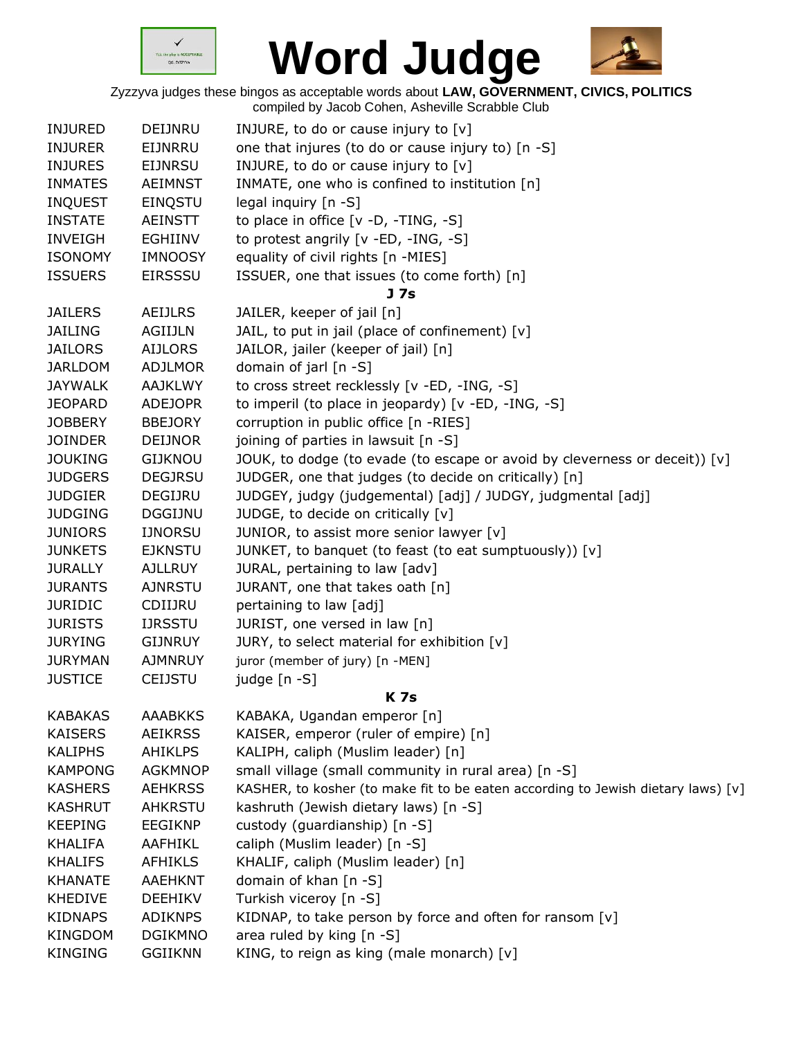



| <b>INJURED</b> | <b>DEIJNRU</b> | INJURE, to do or cause injury to $[v]$                                           |
|----------------|----------------|----------------------------------------------------------------------------------|
| <b>INJURER</b> | EIJNRRU        | one that injures (to do or cause injury to) [n -S]                               |
| <b>INJURES</b> | <b>EIJNRSU</b> | INJURE, to do or cause injury to [v]                                             |
| <b>INMATES</b> | <b>AEIMNST</b> | INMATE, one who is confined to institution [n]                                   |
| <b>INQUEST</b> | EINQSTU        | legal inquiry [n -S]                                                             |
| <b>INSTATE</b> | <b>AEINSTT</b> | to place in office [v -D, -TING, -S]                                             |
| <b>INVEIGH</b> | EGHIINV        | to protest angrily [v -ED, -ING, -S]                                             |
| <b>ISONOMY</b> | <b>IMNOOSY</b> | equality of civil rights [n -MIES]                                               |
| <b>ISSUERS</b> | <b>EIRSSSU</b> | ISSUER, one that issues (to come forth) [n]                                      |
|                |                | J 7s                                                                             |
| <b>JAILERS</b> | <b>AEIJLRS</b> | JAILER, keeper of jail [n]                                                       |
| <b>JAILING</b> | AGIIJLN        | JAIL, to put in jail (place of confinement) [v]                                  |
| <b>JAILORS</b> | AIJLORS        | JAILOR, jailer (keeper of jail) [n]                                              |
| <b>JARLDOM</b> | <b>ADJLMOR</b> | domain of jarl [n -S]                                                            |
| <b>JAYWALK</b> | <b>AAJKLWY</b> | to cross street recklessly [v -ED, -ING, -S]                                     |
| <b>JEOPARD</b> | <b>ADEJOPR</b> | to imperil (to place in jeopardy) [v -ED, -ING, -S]                              |
| <b>JOBBERY</b> | <b>BBEJORY</b> | corruption in public office [n -RIES]                                            |
| <b>JOINDER</b> | <b>DEIJNOR</b> | joining of parties in lawsuit [n -S]                                             |
| <b>JOUKING</b> | <b>GIJKNOU</b> | JOUK, to dodge (to evade (to escape or avoid by cleverness or deceit)) $[v]$     |
| <b>JUDGERS</b> | <b>DEGJRSU</b> | JUDGER, one that judges (to decide on critically) [n]                            |
| <b>JUDGIER</b> | DEGIJRU        | JUDGEY, judgy (judgemental) [adj] / JUDGY, judgmental [adj]                      |
| <b>JUDGING</b> | <b>DGGIJNU</b> | JUDGE, to decide on critically [v]                                               |
| <b>JUNIORS</b> | <b>IJNORSU</b> | JUNIOR, to assist more senior lawyer [v]                                         |
| <b>JUNKETS</b> | <b>EJKNSTU</b> | JUNKET, to banquet (to feast (to eat sumptuously)) [v]                           |
| <b>JURALLY</b> | <b>AJLLRUY</b> | JURAL, pertaining to law [adv]                                                   |
| <b>JURANTS</b> | <b>AJNRSTU</b> | JURANT, one that takes oath [n]                                                  |
| <b>JURIDIC</b> | CDIIJRU        | pertaining to law [adj]                                                          |
| <b>JURISTS</b> | <b>IJRSSTU</b> | JURIST, one versed in law [n]                                                    |
| <b>JURYING</b> | <b>GIJNRUY</b> | JURY, to select material for exhibition [v]                                      |
| <b>JURYMAN</b> | <b>AJMNRUY</b> | juror (member of jury) [n -MEN]                                                  |
| <b>JUSTICE</b> | <b>CEIJSTU</b> | judge [n -S]                                                                     |
|                |                | <b>K7s</b>                                                                       |
| <b>KABAKAS</b> | <b>AAABKKS</b> | KABAKA, Ugandan emperor [n]                                                      |
| <b>KAISERS</b> | <b>AEIKRSS</b> | KAISER, emperor (ruler of empire) [n]                                            |
| <b>KALIPHS</b> | <b>AHIKLPS</b> | KALIPH, caliph (Muslim leader) [n]                                               |
| <b>KAMPONG</b> | <b>AGKMNOP</b> | small village (small community in rural area) [n -S]                             |
| <b>KASHERS</b> | <b>AEHKRSS</b> | KASHER, to kosher (to make fit to be eaten according to Jewish dietary laws) [v] |
| <b>KASHRUT</b> | <b>AHKRSTU</b> | kashruth (Jewish dietary laws) [n -S]                                            |
| <b>KEEPING</b> | <b>EEGIKNP</b> | custody (guardianship) [n -S]                                                    |
| <b>KHALIFA</b> | AAFHIKL        | caliph (Muslim leader) [n -S]                                                    |
| <b>KHALIFS</b> | <b>AFHIKLS</b> | KHALIF, caliph (Muslim leader) [n]                                               |
| <b>KHANATE</b> | <b>AAEHKNT</b> | domain of khan [n -S]                                                            |
| <b>KHEDIVE</b> | <b>DEEHIKV</b> | Turkish viceroy [n -S]                                                           |
| <b>KIDNAPS</b> | <b>ADIKNPS</b> | KIDNAP, to take person by force and often for ransom [v]                         |
| KINGDOM        | <b>DGIKMNO</b> | area ruled by king [n -S]                                                        |
| <b>KINGING</b> | <b>GGIIKNN</b> | KING, to reign as king (male monarch) [v]                                        |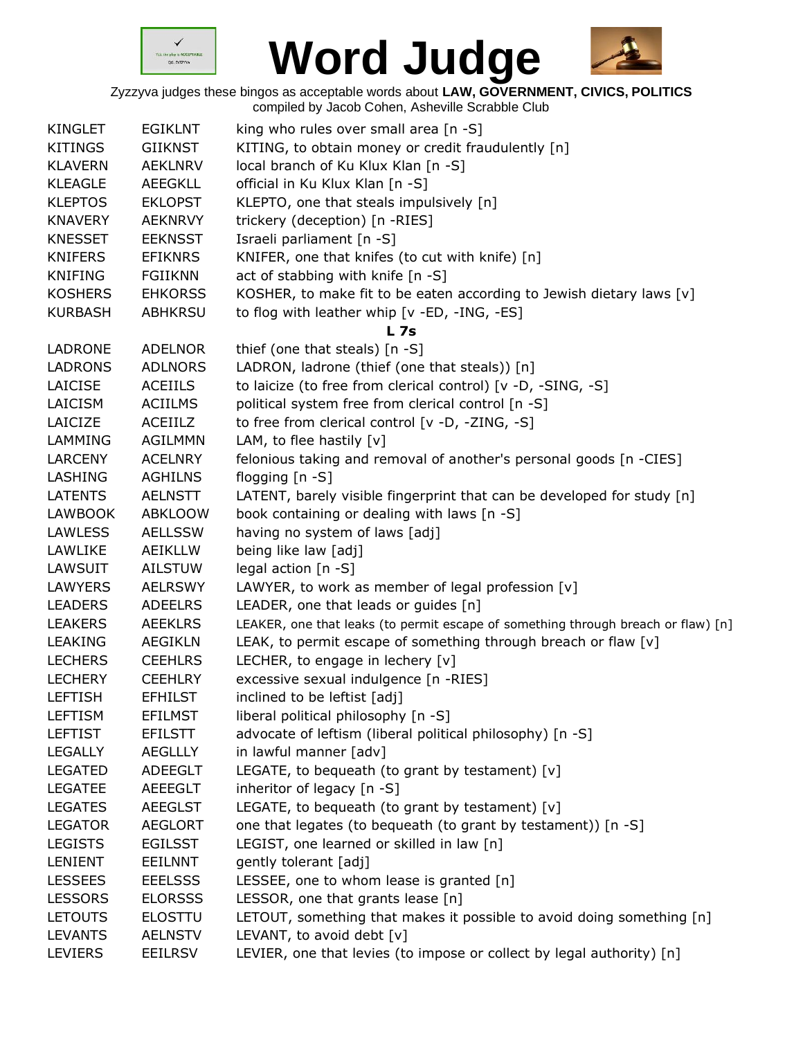



|                |                | sonipriod by casob corron, , ionovino corabbio crab                               |
|----------------|----------------|-----------------------------------------------------------------------------------|
| <b>KINGLET</b> | <b>EGIKLNT</b> | king who rules over small area [n -S]                                             |
| <b>KITINGS</b> | <b>GIIKNST</b> | KITING, to obtain money or credit fraudulently [n]                                |
| <b>KLAVERN</b> | <b>AEKLNRV</b> | local branch of Ku Klux Klan [n -S]                                               |
| <b>KLEAGLE</b> | <b>AEEGKLL</b> | official in Ku Klux Klan [n -S]                                                   |
| <b>KLEPTOS</b> | <b>EKLOPST</b> | KLEPTO, one that steals impulsively [n]                                           |
| <b>KNAVERY</b> | <b>AEKNRVY</b> | trickery (deception) [n -RIES]                                                    |
| <b>KNESSET</b> | <b>EEKNSST</b> | Israeli parliament [n -S]                                                         |
| <b>KNIFERS</b> | <b>EFIKNRS</b> | KNIFER, one that knifes (to cut with knife) [n]                                   |
| <b>KNIFING</b> | <b>FGIIKNN</b> | act of stabbing with knife [n -S]                                                 |
| <b>KOSHERS</b> | <b>EHKORSS</b> | KOSHER, to make fit to be eaten according to Jewish dietary laws [v]              |
| <b>KURBASH</b> | <b>ABHKRSU</b> | to flog with leather whip [v -ED, -ING, -ES]                                      |
|                |                | L <sub>7s</sub>                                                                   |
| LADRONE        | <b>ADELNOR</b> | thief (one that steals) [n -S]                                                    |
| <b>LADRONS</b> | <b>ADLNORS</b> | LADRON, ladrone (thief (one that steals)) [n]                                     |
| LAICISE        | <b>ACEIILS</b> | to laicize (to free from clerical control) [v -D, -SING, -S]                      |
| LAICISM        | <b>ACIILMS</b> | political system free from clerical control [n -S]                                |
| LAICIZE        | <b>ACEIILZ</b> | to free from clerical control [v -D, -ZING, -S]                                   |
| LAMMING        | <b>AGILMMN</b> | LAM, to flee hastily $[v]$                                                        |
| <b>LARCENY</b> | <b>ACELNRY</b> | felonious taking and removal of another's personal goods [n -CIES]                |
| <b>LASHING</b> | <b>AGHILNS</b> | flogging [n -S]                                                                   |
| <b>LATENTS</b> | <b>AELNSTT</b> | LATENT, barely visible fingerprint that can be developed for study [n]            |
| <b>LAWBOOK</b> | <b>ABKLOOW</b> | book containing or dealing with laws [n -S]                                       |
| <b>LAWLESS</b> | <b>AELLSSW</b> | having no system of laws [adj]                                                    |
| LAWLIKE        | <b>AEIKLLW</b> | being like law [adj]                                                              |
| LAWSUIT        | <b>AILSTUW</b> | legal action [n -S]                                                               |
| <b>LAWYERS</b> | <b>AELRSWY</b> | LAWYER, to work as member of legal profession [v]                                 |
| <b>LEADERS</b> | <b>ADEELRS</b> | LEADER, one that leads or guides [n]                                              |
| <b>LEAKERS</b> | <b>AEEKLRS</b> | LEAKER, one that leaks (to permit escape of something through breach or flaw) [n] |
| <b>LEAKING</b> | <b>AEGIKLN</b> | LEAK, to permit escape of something through breach or flaw [v]                    |
| <b>LECHERS</b> | <b>CEEHLRS</b> | LECHER, to engage in lechery [v]                                                  |
| <b>LECHERY</b> | <b>CEEHLRY</b> | excessive sexual indulgence [n -RIES]                                             |
| <b>LEFTISH</b> | <b>EFHILST</b> | inclined to be leftist [adj]                                                      |
| <b>LEFTISM</b> | <b>EFILMST</b> | liberal political philosophy [n -S]                                               |
| <b>LEFTIST</b> | <b>EFILSTT</b> | advocate of leftism (liberal political philosophy) [n -S]                         |
| <b>LEGALLY</b> | <b>AEGLLLY</b> | in lawful manner [adv]                                                            |
| <b>LEGATED</b> | <b>ADEEGLT</b> | LEGATE, to bequeath (to grant by testament) [v]                                   |
| <b>LEGATEE</b> | <b>AEEEGLT</b> | inheritor of legacy [n -S]                                                        |
| <b>LEGATES</b> | <b>AEEGLST</b> | LEGATE, to bequeath (to grant by testament) $[v]$                                 |
| <b>LEGATOR</b> | <b>AEGLORT</b> | one that legates (to bequeath (to grant by testament)) [n -S]                     |
| <b>LEGISTS</b> | <b>EGILSST</b> | LEGIST, one learned or skilled in law [n]                                         |
| LENIENT        | <b>EEILNNT</b> | gently tolerant [adj]                                                             |
| <b>LESSEES</b> | <b>EEELSSS</b> | LESSEE, one to whom lease is granted [n]                                          |
| <b>LESSORS</b> | <b>ELORSSS</b> | LESSOR, one that grants lease [n]                                                 |
| <b>LETOUTS</b> | <b>ELOSTTU</b> | LETOUT, something that makes it possible to avoid doing something [n]             |
| <b>LEVANTS</b> | <b>AELNSTV</b> | LEVANT, to avoid debt [v]                                                         |
| <b>LEVIERS</b> | <b>EEILRSV</b> | LEVIER, one that levies (to impose or collect by legal authority) [n]             |
|                |                |                                                                                   |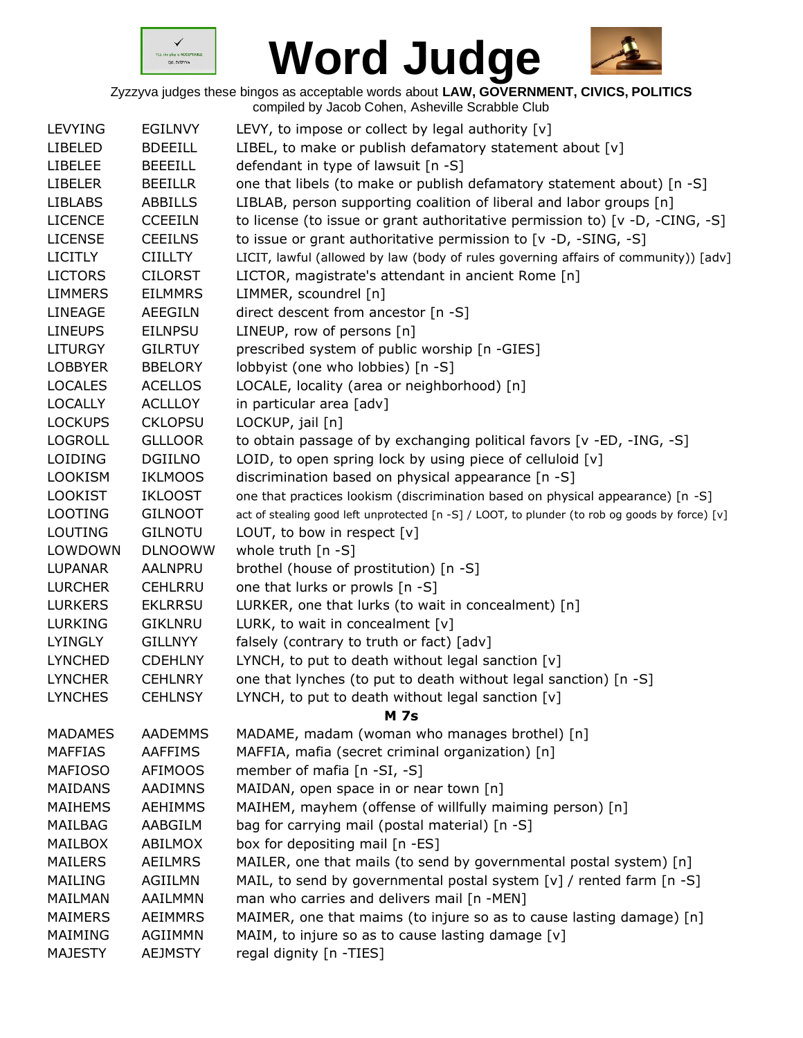



|                |                | $5.104 \times 10^{10}$ and $2.101$ , $1.011$ . The state of the state of the state of the state of the state of the state of the state of the state of the state of the state of the state of the state of the state of the state of |
|----------------|----------------|--------------------------------------------------------------------------------------------------------------------------------------------------------------------------------------------------------------------------------------|
| <b>LEVYING</b> | <b>EGILNVY</b> | LEVY, to impose or collect by legal authority [v]                                                                                                                                                                                    |
| <b>LIBELED</b> | <b>BDEEILL</b> | LIBEL, to make or publish defamatory statement about [v]                                                                                                                                                                             |
| <b>LIBELEE</b> | <b>BEEEILL</b> | defendant in type of lawsuit [n -S]                                                                                                                                                                                                  |
| <b>LIBELER</b> | <b>BEEILLR</b> | one that libels (to make or publish defamatory statement about) [n -S]                                                                                                                                                               |
| <b>LIBLABS</b> | ABBILLS        | LIBLAB, person supporting coalition of liberal and labor groups [n]                                                                                                                                                                  |
| <b>LICENCE</b> | <b>CCEEILN</b> | to license (to issue or grant authoritative permission to) [v -D, -CING, -S]                                                                                                                                                         |
| <b>LICENSE</b> | <b>CEEILNS</b> | to issue or grant authoritative permission to [v -D, -SING, -S]                                                                                                                                                                      |
| <b>LICITLY</b> | <b>CIILLTY</b> | LICIT, lawful (allowed by law (body of rules governing affairs of community)) [adv]                                                                                                                                                  |
| <b>LICTORS</b> | <b>CILORST</b> | LICTOR, magistrate's attendant in ancient Rome [n]                                                                                                                                                                                   |
| <b>LIMMERS</b> | <b>EILMMRS</b> | LIMMER, scoundrel [n]                                                                                                                                                                                                                |
| LINEAGE        | <b>AEEGILN</b> | direct descent from ancestor [n -S]                                                                                                                                                                                                  |
| <b>LINEUPS</b> | <b>EILNPSU</b> | LINEUP, row of persons [n]                                                                                                                                                                                                           |
| <b>LITURGY</b> | <b>GILRTUY</b> | prescribed system of public worship [n -GIES]                                                                                                                                                                                        |
| <b>LOBBYER</b> | <b>BBELORY</b> | lobbyist (one who lobbies) [n -S]                                                                                                                                                                                                    |
| <b>LOCALES</b> | <b>ACELLOS</b> | LOCALE, locality (area or neighborhood) [n]                                                                                                                                                                                          |
| <b>LOCALLY</b> | <b>ACLLLOY</b> | in particular area [adv]                                                                                                                                                                                                             |
| <b>LOCKUPS</b> | <b>CKLOPSU</b> | LOCKUP, jail [n]                                                                                                                                                                                                                     |
| <b>LOGROLL</b> | <b>GLLLOOR</b> | to obtain passage of by exchanging political favors [v -ED, -ING, -S]                                                                                                                                                                |
| <b>LOIDING</b> | <b>DGIILNO</b> | LOID, to open spring lock by using piece of celluloid [v]                                                                                                                                                                            |
| <b>LOOKISM</b> | <b>IKLMOOS</b> | discrimination based on physical appearance [n -S]                                                                                                                                                                                   |
| <b>LOOKIST</b> | <b>IKLOOST</b> | one that practices lookism (discrimination based on physical appearance) [n -S]                                                                                                                                                      |
| <b>LOOTING</b> | <b>GILNOOT</b> | act of stealing good left unprotected [n -S] / LOOT, to plunder (to rob og goods by force) [v]                                                                                                                                       |
| LOUTING        | <b>GILNOTU</b> | LOUT, to bow in respect $[v]$                                                                                                                                                                                                        |
| LOWDOWN        | <b>DLNOOWW</b> | whole truth $[n - S]$                                                                                                                                                                                                                |
| <b>LUPANAR</b> | AALNPRU        | brothel (house of prostitution) [n -S]                                                                                                                                                                                               |
| <b>LURCHER</b> | <b>CEHLRRU</b> | one that lurks or prowls [n -S]                                                                                                                                                                                                      |
| <b>LURKERS</b> | <b>EKLRRSU</b> | LURKER, one that lurks (to wait in concealment) [n]                                                                                                                                                                                  |
| <b>LURKING</b> | <b>GIKLNRU</b> | LURK, to wait in concealment $[v]$                                                                                                                                                                                                   |
| <b>LYINGLY</b> | <b>GILLNYY</b> | falsely (contrary to truth or fact) [adv]                                                                                                                                                                                            |
| <b>LYNCHED</b> | <b>CDEHLNY</b> | LYNCH, to put to death without legal sanction [v]                                                                                                                                                                                    |
| <b>LYNCHER</b> | <b>CEHLNRY</b> | one that lynches (to put to death without legal sanction) [n -S]                                                                                                                                                                     |
| <b>LYNCHES</b> | <b>CEHLNSY</b> | LYNCH, to put to death without legal sanction $[v]$                                                                                                                                                                                  |
|                |                | <b>M 7s</b>                                                                                                                                                                                                                          |
| <b>MADAMES</b> | <b>AADEMMS</b> | MADAME, madam (woman who manages brothel) [n]                                                                                                                                                                                        |
| <b>MAFFIAS</b> | <b>AAFFIMS</b> | MAFFIA, mafia (secret criminal organization) [n]                                                                                                                                                                                     |
| <b>MAFIOSO</b> | <b>AFIMOOS</b> | member of mafia [n -SI, -S]                                                                                                                                                                                                          |
| <b>MAIDANS</b> | <b>AADIMNS</b> | MAIDAN, open space in or near town [n]                                                                                                                                                                                               |
| <b>MAIHEMS</b> | <b>AEHIMMS</b> | MAIHEM, mayhem (offense of willfully maiming person) [n]                                                                                                                                                                             |
| MAILBAG        | AABGILM        | bag for carrying mail (postal material) [n -S]                                                                                                                                                                                       |
| <b>MAILBOX</b> | ABILMOX        | box for depositing mail [n -ES]                                                                                                                                                                                                      |
| <b>MAILERS</b> | <b>AEILMRS</b> | MAILER, one that mails (to send by governmental postal system) [n]                                                                                                                                                                   |
| <b>MAILING</b> | AGIILMN        | MAIL, to send by governmental postal system [v] / rented farm [n -S]                                                                                                                                                                 |
| MAILMAN        | AAILMMN        | man who carries and delivers mail [n -MEN]                                                                                                                                                                                           |
| <b>MAIMERS</b> | <b>AEIMMRS</b> | MAIMER, one that maims (to injure so as to cause lasting damage) [n]                                                                                                                                                                 |
| MAIMING        | AGIIMMN        | MAIM, to injure so as to cause lasting damage [v]                                                                                                                                                                                    |
| <b>MAJESTY</b> | <b>AEJMSTY</b> | regal dignity [n -TIES]                                                                                                                                                                                                              |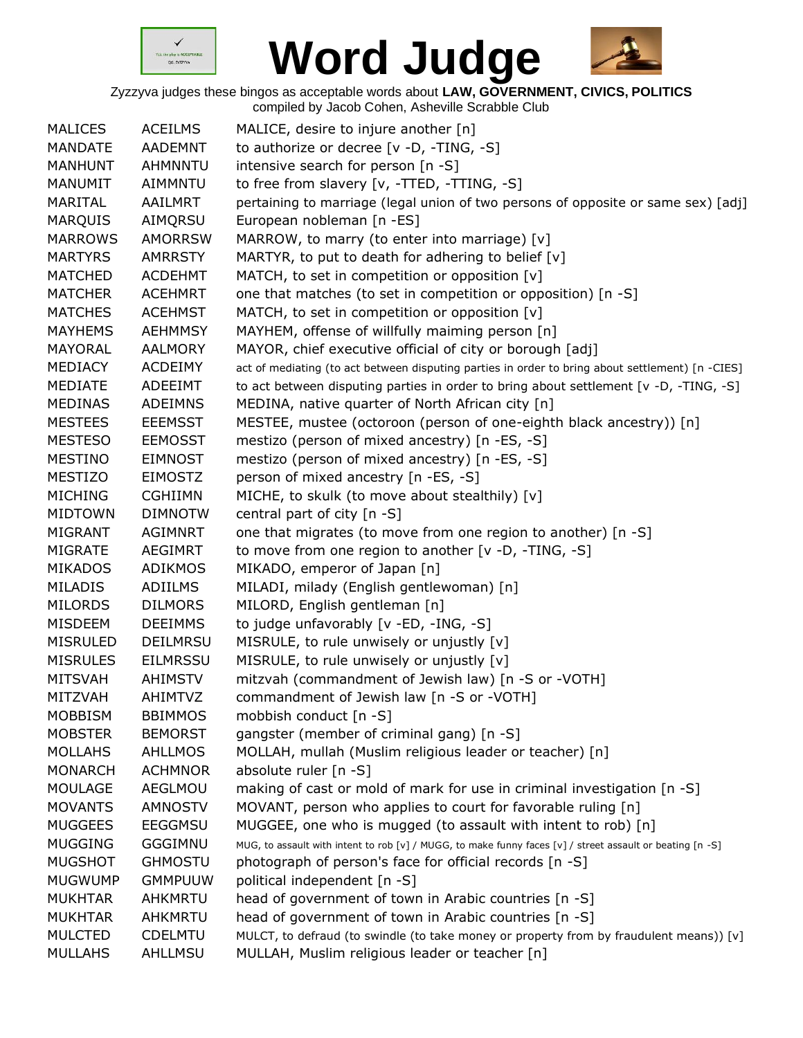



| <b>MALICES</b>  | <b>ACEILMS</b>  | MALICE, desire to injure another [n]                                                                      |
|-----------------|-----------------|-----------------------------------------------------------------------------------------------------------|
| <b>MANDATE</b>  | <b>AADEMNT</b>  | to authorize or decree [v -D, -TING, -S]                                                                  |
| <b>MANHUNT</b>  | <b>AHMNNTU</b>  | intensive search for person [n -S]                                                                        |
| <b>MANUMIT</b>  | <b>AIMMNTU</b>  | to free from slavery [v, -TTED, -TTING, -S]                                                               |
| MARITAL         | AAILMRT         | pertaining to marriage (legal union of two persons of opposite or same sex) [adj]                         |
| <b>MARQUIS</b>  | AIMQRSU         | European nobleman [n -ES]                                                                                 |
| <b>MARROWS</b>  | <b>AMORRSW</b>  | MARROW, to marry (to enter into marriage) [v]                                                             |
| <b>MARTYRS</b>  | <b>AMRRSTY</b>  | MARTYR, to put to death for adhering to belief [v]                                                        |
| <b>MATCHED</b>  | <b>ACDEHMT</b>  | MATCH, to set in competition or opposition [v]                                                            |
| <b>MATCHER</b>  | <b>ACEHMRT</b>  | one that matches (to set in competition or opposition) [n -S]                                             |
| <b>MATCHES</b>  | <b>ACEHMST</b>  | MATCH, to set in competition or opposition [v]                                                            |
| <b>MAYHEMS</b>  | <b>AEHMMSY</b>  | MAYHEM, offense of willfully maiming person [n]                                                           |
| MAYORAL         | <b>AALMORY</b>  | MAYOR, chief executive official of city or borough [adj]                                                  |
| MEDIACY         | <b>ACDEIMY</b>  | act of mediating (to act between disputing parties in order to bring about settlement) [n -CIES]          |
| <b>MEDIATE</b>  | ADEEIMT         | to act between disputing parties in order to bring about settlement [v -D, -TING, -S]                     |
| <b>MEDINAS</b>  | <b>ADEIMNS</b>  | MEDINA, native quarter of North African city [n]                                                          |
| <b>MESTEES</b>  | <b>EEEMSST</b>  | MESTEE, mustee (octoroon (person of one-eighth black ancestry)) [n]                                       |
| <b>MESTESO</b>  | <b>EEMOSST</b>  | mestizo (person of mixed ancestry) [n -ES, -S]                                                            |
| <b>MESTINO</b>  | <b>EIMNOST</b>  | mestizo (person of mixed ancestry) [n -ES, -S]                                                            |
| <b>MESTIZO</b>  | <b>EIMOSTZ</b>  | person of mixed ancestry [n -ES, -S]                                                                      |
| <b>MICHING</b>  | <b>CGHIIMN</b>  | MICHE, to skulk (to move about stealthily) [v]                                                            |
| <b>MIDTOWN</b>  | <b>DIMNOTW</b>  | central part of city $[n - S]$                                                                            |
| <b>MIGRANT</b>  | <b>AGIMNRT</b>  | one that migrates (to move from one region to another) [n -S]                                             |
| <b>MIGRATE</b>  | <b>AEGIMRT</b>  | to move from one region to another $[v -D, -TING, -S]$                                                    |
| <b>MIKADOS</b>  | <b>ADIKMOS</b>  | MIKADO, emperor of Japan [n]                                                                              |
| <b>MILADIS</b>  | <b>ADIILMS</b>  | MILADI, milady (English gentlewoman) [n]                                                                  |
| <b>MILORDS</b>  | <b>DILMORS</b>  | MILORD, English gentleman [n]                                                                             |
| <b>MISDEEM</b>  | <b>DEEIMMS</b>  | to judge unfavorably [v -ED, -ING, -S]                                                                    |
| <b>MISRULED</b> | <b>DEILMRSU</b> | MISRULE, to rule unwisely or unjustly [v]                                                                 |
| <b>MISRULES</b> | <b>EILMRSSU</b> | MISRULE, to rule unwisely or unjustly [v]                                                                 |
| <b>MITSVAH</b>  | <b>AHIMSTV</b>  | mitzvah (commandment of Jewish law) [n -S or -VOTH]                                                       |
| MITZVAH         | AHIMTVZ         | commandment of Jewish law [n -S or -VOTH]                                                                 |
| <b>MOBBISM</b>  | <b>BBIMMOS</b>  | mobbish conduct [n -S]                                                                                    |
| <b>MOBSTER</b>  | <b>BEMORST</b>  | gangster (member of criminal gang) [n -S]                                                                 |
| <b>MOLLAHS</b>  | <b>AHLLMOS</b>  | MOLLAH, mullah (Muslim religious leader or teacher) [n]                                                   |
| <b>MONARCH</b>  | <b>ACHMNOR</b>  | absolute ruler [n -S]                                                                                     |
| <b>MOULAGE</b>  | <b>AEGLMOU</b>  | making of cast or mold of mark for use in criminal investigation [n -S]                                   |
| <b>MOVANTS</b>  | <b>AMNOSTV</b>  | MOVANT, person who applies to court for favorable ruling [n]                                              |
| <b>MUGGEES</b>  | <b>EEGGMSU</b>  | MUGGEE, one who is mugged (to assault with intent to rob) [n]                                             |
| <b>MUGGING</b>  | <b>GGGIMNU</b>  | MUG, to assault with intent to rob [v] / MUGG, to make funny faces [v] / street assault or beating [n -S] |
| <b>MUGSHOT</b>  | <b>GHMOSTU</b>  | photograph of person's face for official records [n -S]                                                   |
| <b>MUGWUMP</b>  | <b>GMMPUUW</b>  | political independent [n -S]                                                                              |
| <b>MUKHTAR</b>  | AHKMRTU         | head of government of town in Arabic countries [n -S]                                                     |
| <b>MUKHTAR</b>  | AHKMRTU         | head of government of town in Arabic countries [n -S]                                                     |
| <b>MULCTED</b>  | <b>CDELMTU</b>  | MULCT, to defraud (to swindle (to take money or property from by fraudulent means)) [v]                   |
| <b>MULLAHS</b>  | AHLLMSU         | MULLAH, Muslim religious leader or teacher [n]                                                            |
|                 |                 |                                                                                                           |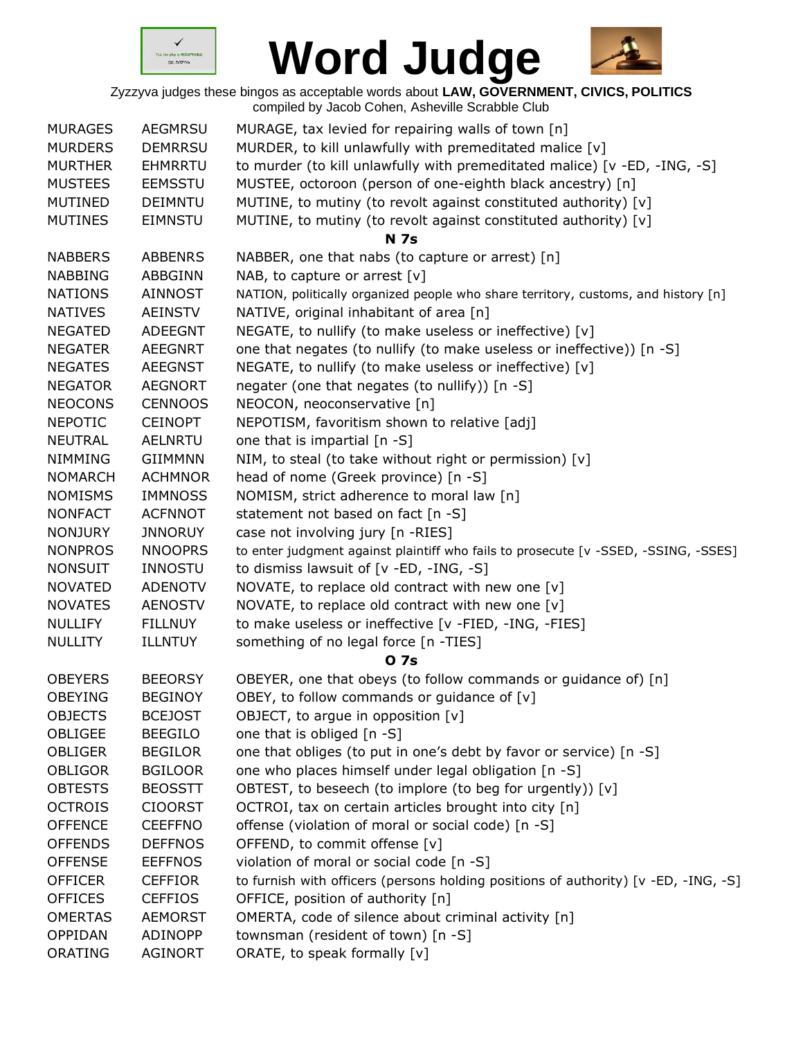



| <b>MURAGES</b> | <b>AEGMRSU</b> | MURAGE, tax levied for repairing walls of town [n]                                  |
|----------------|----------------|-------------------------------------------------------------------------------------|
| <b>MURDERS</b> | <b>DEMRRSU</b> | MURDER, to kill unlawfully with premeditated malice [v]                             |
| <b>MURTHER</b> | <b>EHMRRTU</b> | to murder (to kill unlawfully with premeditated malice) [v -ED, -ING, -S]           |
| <b>MUSTEES</b> | <b>EEMSSTU</b> | MUSTEE, octoroon (person of one-eighth black ancestry) [n]                          |
| <b>MUTINED</b> | <b>DEIMNTU</b> | MUTINE, to mutiny (to revolt against constituted authority) [v]                     |
| <b>MUTINES</b> | <b>EIMNSTU</b> | MUTINE, to mutiny (to revolt against constituted authority) [v]                     |
|                |                | <b>N</b> 7s                                                                         |
| <b>NABBERS</b> | <b>ABBENRS</b> | NABBER, one that nabs (to capture or arrest) [n]                                    |
| <b>NABBING</b> | <b>ABBGINN</b> | NAB, to capture or arrest $[v]$                                                     |
| <b>NATIONS</b> | <b>AINNOST</b> | NATION, politically organized people who share territory, customs, and history [n]  |
| <b>NATIVES</b> | <b>AEINSTV</b> | NATIVE, original inhabitant of area [n]                                             |
| <b>NEGATED</b> | <b>ADEEGNT</b> | NEGATE, to nullify (to make useless or ineffective) [v]                             |
| <b>NEGATER</b> | <b>AEEGNRT</b> | one that negates (to nullify (to make useless or ineffective)) [n -S]               |
| <b>NEGATES</b> | <b>AEEGNST</b> | NEGATE, to nullify (to make useless or ineffective) [v]                             |
| <b>NEGATOR</b> | <b>AEGNORT</b> | negater (one that negates (to nullify)) [n -S]                                      |
| <b>NEOCONS</b> | <b>CENNOOS</b> | NEOCON, neoconservative [n]                                                         |
| <b>NEPOTIC</b> | <b>CEINOPT</b> | NEPOTISM, favoritism shown to relative [adj]                                        |
| <b>NEUTRAL</b> | <b>AELNRTU</b> | one that is impartial [n -S]                                                        |
| <b>NIMMING</b> | <b>GIIMMNN</b> | NIM, to steal (to take without right or permission) [v]                             |
| <b>NOMARCH</b> | <b>ACHMNOR</b> | head of nome (Greek province) [n -S]                                                |
| <b>NOMISMS</b> | <b>IMMNOSS</b> | NOMISM, strict adherence to moral law [n]                                           |
| <b>NONFACT</b> | <b>ACFNNOT</b> | statement not based on fact [n -S]                                                  |
| <b>NONJURY</b> | <b>JNNORUY</b> | case not involving jury [n -RIES]                                                   |
| <b>NONPROS</b> | <b>NNOOPRS</b> | to enter judgment against plaintiff who fails to prosecute [v -SSED, -SSING, -SSES] |
| <b>NONSUIT</b> | <b>INNOSTU</b> | to dismiss lawsuit of [v -ED, -ING, -S]                                             |
| <b>NOVATED</b> | <b>ADENOTV</b> | NOVATE, to replace old contract with new one [v]                                    |
| <b>NOVATES</b> | <b>AENOSTV</b> | NOVATE, to replace old contract with new one [v]                                    |
| <b>NULLIFY</b> | <b>FILLNUY</b> | to make useless or ineffective [v -FIED, -ING, -FIES]                               |
| <b>NULLITY</b> | <b>ILLNTUY</b> | something of no legal force [n -TIES]                                               |
|                |                | <b>07s</b>                                                                          |
| <b>OBEYERS</b> | <b>BEEORSY</b> | OBEYER, one that obeys (to follow commands or guidance of) [n]                      |
| OBEYING        | <b>BEGINOY</b> | OBEY, to follow commands or guidance of $[v]$                                       |
| <b>OBJECTS</b> | <b>BCEJOST</b> | OBJECT, to argue in opposition [v]                                                  |
| <b>OBLIGEE</b> | <b>BEEGILO</b> | one that is obliged [n -S]                                                          |
| <b>OBLIGER</b> | <b>BEGILOR</b> | one that obliges (to put in one's debt by favor or service) [n -S]                  |
| <b>OBLIGOR</b> | <b>BGILOOR</b> | one who places himself under legal obligation [n -S]                                |
| <b>OBTESTS</b> | <b>BEOSSTT</b> | OBTEST, to beseech (to implore (to beg for urgently)) [v]                           |
| <b>OCTROIS</b> | <b>CIOORST</b> | OCTROI, tax on certain articles brought into city [n]                               |
| <b>OFFENCE</b> | <b>CEEFFNO</b> | offense (violation of moral or social code) [n -S]                                  |
| <b>OFFENDS</b> | <b>DEFFNOS</b> | OFFEND, to commit offense [v]                                                       |
| <b>OFFENSE</b> | <b>EEFFNOS</b> | violation of moral or social code [n -S]                                            |
| <b>OFFICER</b> | <b>CEFFIOR</b> | to furnish with officers (persons holding positions of authority) [v -ED, -ING, -S] |
| <b>OFFICES</b> | <b>CEFFIOS</b> | OFFICE, position of authority [n]                                                   |
| <b>OMERTAS</b> | <b>AEMORST</b> | OMERTA, code of silence about criminal activity [n]                                 |
| OPPIDAN        | ADINOPP        | townsman (resident of town) [n -S]                                                  |
| ORATING        | <b>AGINORT</b> | ORATE, to speak formally [v]                                                        |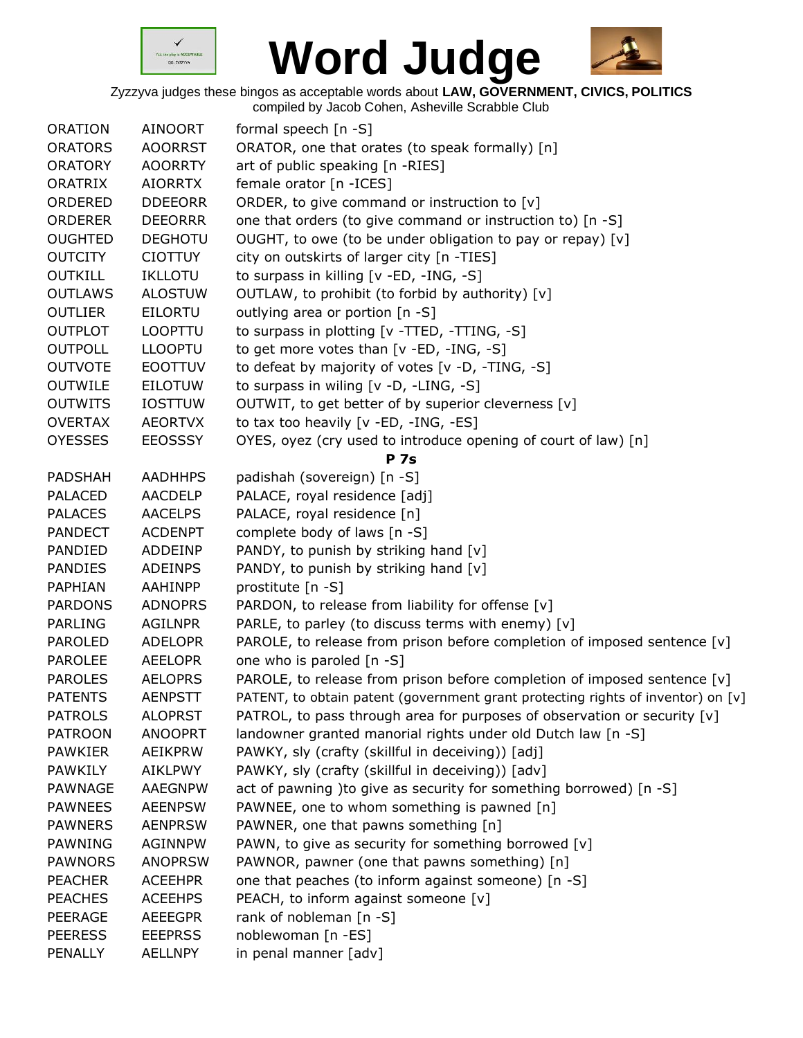



| <b>ORATION</b> | <b>AINOORT</b> | formal speech [n -S]                                                             |
|----------------|----------------|----------------------------------------------------------------------------------|
| <b>ORATORS</b> | <b>AOORRST</b> | ORATOR, one that orates (to speak formally) [n]                                  |
| <b>ORATORY</b> | <b>AOORRTY</b> | art of public speaking [n -RIES]                                                 |
| ORATRIX        | <b>AIORRTX</b> | female orator [n - ICES]                                                         |
| ORDERED        | <b>DDEEORR</b> | ORDER, to give command or instruction to [v]                                     |
| <b>ORDERER</b> | <b>DEEORRR</b> | one that orders (to give command or instruction to) [n -S]                       |
| <b>OUGHTED</b> | <b>DEGHOTU</b> | OUGHT, to owe (to be under obligation to pay or repay) [v]                       |
| <b>OUTCITY</b> | <b>CIOTTUY</b> | city on outskirts of larger city [n -TIES]                                       |
| <b>OUTKILL</b> | <b>IKLLOTU</b> | to surpass in killing [v -ED, -ING, -S]                                          |
| <b>OUTLAWS</b> | <b>ALOSTUW</b> | OUTLAW, to prohibit (to forbid by authority) [v]                                 |
| <b>OUTLIER</b> | <b>EILORTU</b> | outlying area or portion [n -S]                                                  |
| <b>OUTPLOT</b> | LOOPTTU        | to surpass in plotting [v -TTED, -TTING, -S]                                     |
| <b>OUTPOLL</b> | <b>LLOOPTU</b> | to get more votes than $[v - ED, -ING, -S]$                                      |
| <b>OUTVOTE</b> | <b>EOOTTUV</b> | to defeat by majority of votes [v -D, -TING, -S]                                 |
| <b>OUTWILE</b> | <b>EILOTUW</b> | to surpass in wiling [v -D, -LING, -S]                                           |
| <b>OUTWITS</b> | <b>IOSTTUW</b> | OUTWIT, to get better of by superior cleverness [v]                              |
| <b>OVERTAX</b> | <b>AEORTVX</b> | to tax too heavily [v -ED, -ING, -ES]                                            |
| <b>OYESSES</b> | <b>EEOSSSY</b> | OYES, oyez (cry used to introduce opening of court of law) [n]                   |
|                |                | <b>P</b> 7s                                                                      |
| <b>PADSHAH</b> | <b>AADHHPS</b> | padishah (sovereign) [n -S]                                                      |
| <b>PALACED</b> | <b>AACDELP</b> | PALACE, royal residence [adj]                                                    |
| <b>PALACES</b> | <b>AACELPS</b> | PALACE, royal residence [n]                                                      |
| <b>PANDECT</b> | <b>ACDENPT</b> | complete body of laws [n -S]                                                     |
| PANDIED        | ADDEINP        | PANDY, to punish by striking hand [v]                                            |
| <b>PANDIES</b> | <b>ADEINPS</b> | PANDY, to punish by striking hand [v]                                            |
| PAPHIAN        | AAHINPP        | prostitute [n -S]                                                                |
| <b>PARDONS</b> | <b>ADNOPRS</b> | PARDON, to release from liability for offense [v]                                |
| <b>PARLING</b> | <b>AGILNPR</b> | PARLE, to parley (to discuss terms with enemy) [v]                               |
| <b>PAROLED</b> | <b>ADELOPR</b> | PAROLE, to release from prison before completion of imposed sentence $[v]$       |
| <b>PAROLEE</b> | <b>AEELOPR</b> | one who is paroled [n -S]                                                        |
| <b>PAROLES</b> | <b>AELOPRS</b> | PAROLE, to release from prison before completion of imposed sentence [v]         |
| <b>PATENTS</b> | <b>AENPSTT</b> | PATENT, to obtain patent (government grant protecting rights of inventor) on [v] |
| <b>PATROLS</b> | <b>ALOPRST</b> | PATROL, to pass through area for purposes of observation or security [v]         |
| <b>PATROON</b> | <b>ANOOPRT</b> | landowner granted manorial rights under old Dutch law [n -S]                     |
| <b>PAWKIER</b> | <b>AEIKPRW</b> | PAWKY, sly (crafty (skillful in deceiving)) [adj]                                |
| <b>PAWKILY</b> | <b>AIKLPWY</b> | PAWKY, sly (crafty (skillful in deceiving)) [adv]                                |
| <b>PAWNAGE</b> | <b>AAEGNPW</b> | act of pawning ) to give as security for something borrowed) [n -S]              |
| <b>PAWNEES</b> | <b>AEENPSW</b> | PAWNEE, one to whom something is pawned [n]                                      |
| <b>PAWNERS</b> | <b>AENPRSW</b> | PAWNER, one that pawns something [n]                                             |
| PAWNING        | <b>AGINNPW</b> | PAWN, to give as security for something borrowed [v]                             |
| <b>PAWNORS</b> | <b>ANOPRSW</b> | PAWNOR, pawner (one that pawns something) [n]                                    |
| <b>PEACHER</b> | <b>ACEEHPR</b> | one that peaches (to inform against someone) [n -S]                              |
| <b>PEACHES</b> | <b>ACEEHPS</b> | PEACH, to inform against someone [v]                                             |
| PEERAGE        | <b>AEEEGPR</b> | rank of nobleman $[n - S]$                                                       |
| <b>PEERESS</b> | <b>EEEPRSS</b> | noblewoman [n -ES]                                                               |
| PENALLY        | <b>AELLNPY</b> | in penal manner [adv]                                                            |
|                |                |                                                                                  |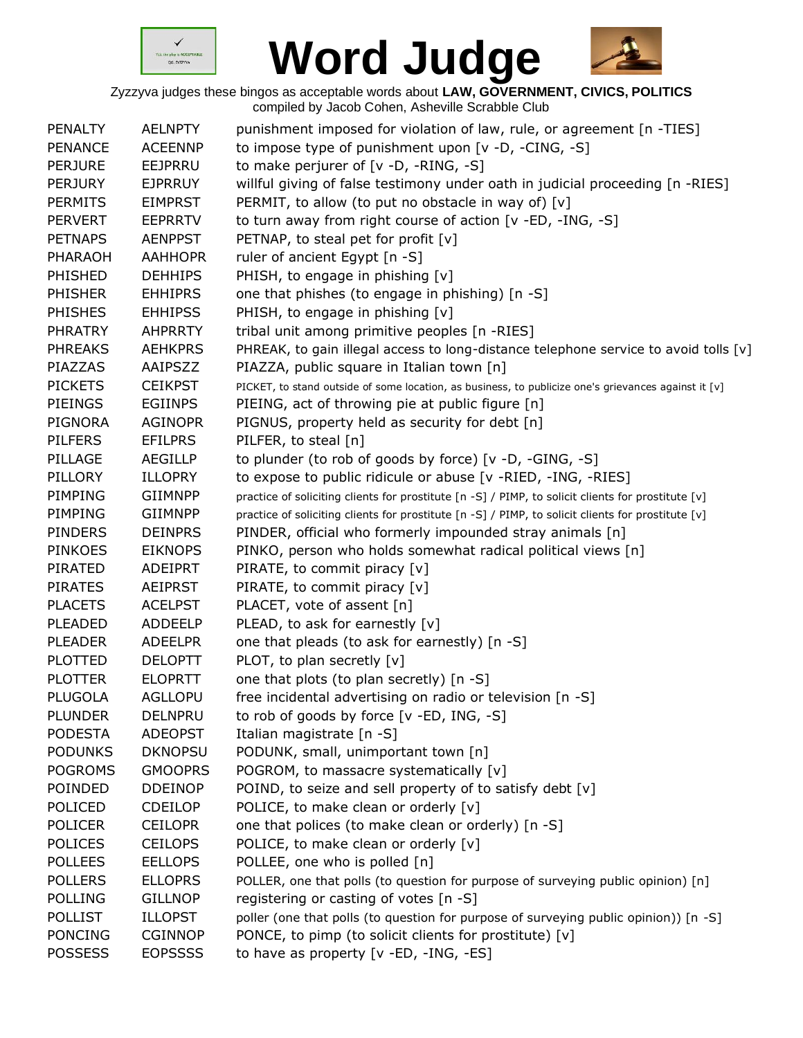



| <b>PENALTY</b> | <b>AELNPTY</b> | punishment imposed for violation of law, rule, or agreement [n -TIES]                                |
|----------------|----------------|------------------------------------------------------------------------------------------------------|
| <b>PENANCE</b> | <b>ACEENNP</b> | to impose type of punishment upon [v -D, -CING, -S]                                                  |
| <b>PERJURE</b> | EEJPRRU        | to make perjurer of [v -D, -RING, -S]                                                                |
| <b>PERJURY</b> | <b>EJPRRUY</b> | willful giving of false testimony under oath in judicial proceeding [n -RIES]                        |
| <b>PERMITS</b> | <b>EIMPRST</b> | PERMIT, to allow (to put no obstacle in way of) $[v]$                                                |
| <b>PERVERT</b> | <b>EEPRRTV</b> | to turn away from right course of action [v -ED, -ING, -S]                                           |
| <b>PETNAPS</b> | <b>AENPPST</b> | PETNAP, to steal pet for profit [v]                                                                  |
| <b>PHARAOH</b> | <b>AAHHOPR</b> | ruler of ancient Egypt [n -S]                                                                        |
| PHISHED        | <b>DEHHIPS</b> | PHISH, to engage in phishing [v]                                                                     |
| <b>PHISHER</b> | <b>EHHIPRS</b> | one that phishes (to engage in phishing) [n -S]                                                      |
| <b>PHISHES</b> | <b>EHHIPSS</b> | PHISH, to engage in phishing [v]                                                                     |
| <b>PHRATRY</b> | <b>AHPRRTY</b> | tribal unit among primitive peoples [n -RIES]                                                        |
| <b>PHREAKS</b> | <b>AEHKPRS</b> | PHREAK, to gain illegal access to long-distance telephone service to avoid tolls [v]                 |
| PIAZZAS        | AAIPSZZ        | PIAZZA, public square in Italian town [n]                                                            |
| <b>PICKETS</b> | <b>CEIKPST</b> | PICKET, to stand outside of some location, as business, to publicize one's grievances against it [v] |
| <b>PIEINGS</b> | <b>EGIINPS</b> | PIEING, act of throwing pie at public figure [n]                                                     |
| <b>PIGNORA</b> | <b>AGINOPR</b> | PIGNUS, property held as security for debt [n]                                                       |
| <b>PILFERS</b> | <b>EFILPRS</b> | PILFER, to steal [n]                                                                                 |
| PILLAGE        | <b>AEGILLP</b> | to plunder (to rob of goods by force) [v -D, -GING, -S]                                              |
| PILLORY        | <b>ILLOPRY</b> | to expose to public ridicule or abuse [v -RIED, -ING, -RIES]                                         |
| PIMPING        | GIIMNPP        | practice of soliciting clients for prostitute [n -S] / PIMP, to solicit clients for prostitute [v]   |
| PIMPING        | <b>GIIMNPP</b> | practice of soliciting clients for prostitute [n -S] / PIMP, to solicit clients for prostitute [v]   |
| <b>PINDERS</b> | <b>DEINPRS</b> | PINDER, official who formerly impounded stray animals [n]                                            |
| <b>PINKOES</b> | <b>EIKNOPS</b> | PINKO, person who holds somewhat radical political views [n]                                         |
| PIRATED        | <b>ADEIPRT</b> | PIRATE, to commit piracy [v]                                                                         |
| <b>PIRATES</b> | AEIPRST        | PIRATE, to commit piracy [v]                                                                         |
| <b>PLACETS</b> | <b>ACELPST</b> | PLACET, vote of assent [n]                                                                           |
| PLEADED        | <b>ADDEELP</b> | PLEAD, to ask for earnestly [v]                                                                      |
| <b>PLEADER</b> | <b>ADEELPR</b> | one that pleads (to ask for earnestly) [n -S]                                                        |
| <b>PLOTTED</b> | <b>DELOPTT</b> | PLOT, to plan secretly [v]                                                                           |
| <b>PLOTTER</b> | <b>ELOPRTT</b> | one that plots (to plan secretly) [n -S]                                                             |
| PLUGOLA        | AGLLOPU        | free incidental advertising on radio or television [n -S]                                            |
| <b>PLUNDER</b> | <b>DELNPRU</b> | to rob of goods by force [v -ED, ING, -S]                                                            |
| <b>PODESTA</b> | <b>ADEOPST</b> | Italian magistrate [n -S]                                                                            |
| <b>PODUNKS</b> | <b>DKNOPSU</b> | PODUNK, small, unimportant town [n]                                                                  |
| <b>POGROMS</b> | <b>GMOOPRS</b> | POGROM, to massacre systematically [v]                                                               |
| POINDED        | <b>DDEINOP</b> | POIND, to seize and sell property of to satisfy debt [v]                                             |
| POLICED        | <b>CDEILOP</b> | POLICE, to make clean or orderly [v]                                                                 |
| <b>POLICER</b> | <b>CEILOPR</b> | one that polices (to make clean or orderly) [n -S]                                                   |
| <b>POLICES</b> | <b>CEILOPS</b> | POLICE, to make clean or orderly [v]                                                                 |
| <b>POLLEES</b> | <b>EELLOPS</b> | POLLEE, one who is polled [n]                                                                        |
| <b>POLLERS</b> | <b>ELLOPRS</b> | POLLER, one that polls (to question for purpose of surveying public opinion) [n]                     |
| <b>POLLING</b> | <b>GILLNOP</b> | registering or casting of votes [n -S]                                                               |
| <b>POLLIST</b> | <b>ILLOPST</b> | poller (one that polls (to question for purpose of surveying public opinion)) [n -S]                 |
| <b>PONCING</b> | <b>CGINNOP</b> | PONCE, to pimp (to solicit clients for prostitute) [v]                                               |
| <b>POSSESS</b> | <b>EOPSSSS</b> | to have as property [v -ED, -ING, -ES]                                                               |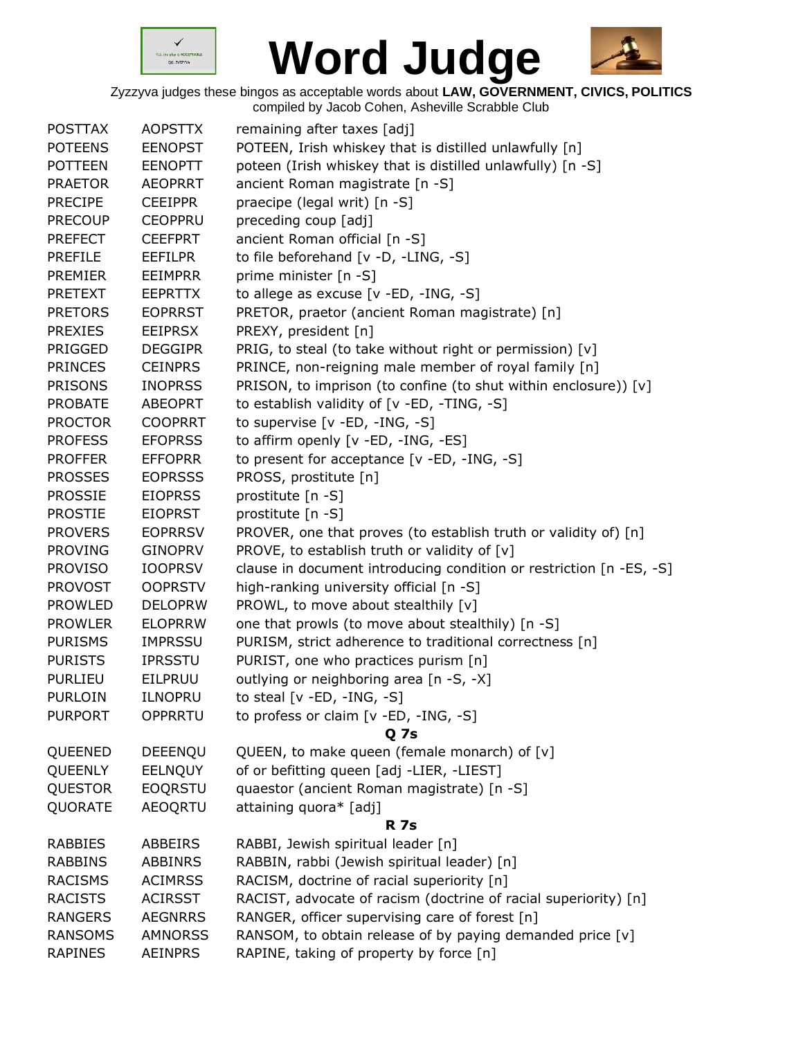



| <b>POSTTAX</b> | <b>AOPSTTX</b> | remaining after taxes [adj]                                         |
|----------------|----------------|---------------------------------------------------------------------|
| <b>POTEENS</b> | <b>EENOPST</b> | POTEEN, Irish whiskey that is distilled unlawfully [n]              |
| <b>POTTEEN</b> | <b>EENOPTT</b> | poteen (Irish whiskey that is distilled unlawfully) [n -S]          |
| <b>PRAETOR</b> | <b>AEOPRRT</b> | ancient Roman magistrate [n -S]                                     |
| <b>PRECIPE</b> | <b>CEEIPPR</b> | praecipe (legal writ) [n -S]                                        |
| <b>PRECOUP</b> | <b>CEOPPRU</b> | preceding coup [adj]                                                |
| <b>PREFECT</b> | <b>CEEFPRT</b> | ancient Roman official [n -S]                                       |
| <b>PREFILE</b> | <b>EEFILPR</b> | to file beforehand [v -D, -LING, -S]                                |
| <b>PREMIER</b> | <b>EEIMPRR</b> | prime minister [n -S]                                               |
| <b>PRETEXT</b> | <b>EEPRTTX</b> | to allege as excuse $[v - ED, -ING, -S]$                            |
| <b>PRETORS</b> | <b>EOPRRST</b> | PRETOR, praetor (ancient Roman magistrate) [n]                      |
| <b>PREXIES</b> | <b>EEIPRSX</b> | PREXY, president [n]                                                |
| PRIGGED        | <b>DEGGIPR</b> | PRIG, to steal (to take without right or permission) [v]            |
| <b>PRINCES</b> | <b>CEINPRS</b> | PRINCE, non-reigning male member of royal family [n]                |
| <b>PRISONS</b> | <b>INOPRSS</b> | PRISON, to imprison (to confine (to shut within enclosure)) [v]     |
| <b>PROBATE</b> | <b>ABEOPRT</b> | to establish validity of [v -ED, -TING, -S]                         |
| <b>PROCTOR</b> | <b>COOPRRT</b> | to supervise [v -ED, -ING, -S]                                      |
| <b>PROFESS</b> | <b>EFOPRSS</b> | to affirm openly [v -ED, -ING, -ES]                                 |
| <b>PROFFER</b> | <b>EFFOPRR</b> | to present for acceptance [v -ED, -ING, -S]                         |
| <b>PROSSES</b> | <b>EOPRSSS</b> | PROSS, prostitute [n]                                               |
| <b>PROSSIE</b> | <b>EIOPRSS</b> | prostitute [n -S]                                                   |
| <b>PROSTIE</b> | <b>EIOPRST</b> | prostitute [n -S]                                                   |
| <b>PROVERS</b> | <b>EOPRRSV</b> | PROVER, one that proves (to establish truth or validity of) [n]     |
| <b>PROVING</b> | <b>GINOPRV</b> | PROVE, to establish truth or validity of [v]                        |
| <b>PROVISO</b> | <b>IOOPRSV</b> | clause in document introducing condition or restriction [n -ES, -S] |
| <b>PROVOST</b> | <b>OOPRSTV</b> | high-ranking university official [n -S]                             |
| <b>PROWLED</b> | <b>DELOPRW</b> | PROWL, to move about stealthily [v]                                 |
| <b>PROWLER</b> | <b>ELOPRRW</b> | one that prowls (to move about stealthily) [n -S]                   |
| <b>PURISMS</b> | <b>IMPRSSU</b> | PURISM, strict adherence to traditional correctness [n]             |
| <b>PURISTS</b> | <b>IPRSSTU</b> | PURIST, one who practices purism [n]                                |
| <b>PURLIEU</b> | EILPRUU        | outlying or neighboring area [n -S, -X]                             |
| <b>PURLOIN</b> | <b>ILNOPRU</b> | to steal [v -ED, -ING, -S]                                          |
| <b>PURPORT</b> | <b>OPPRRTU</b> | to profess or claim [v -ED, -ING, -S]                               |
|                |                | <b>Q</b> 7s                                                         |
| QUEENED        | DEEENQU        | QUEEN, to make queen (female monarch) of [v]                        |
| <b>QUEENLY</b> | <b>EELNQUY</b> | of or befitting queen [adj -LIER, -LIEST]                           |
| <b>QUESTOR</b> | <b>EOQRSTU</b> | quaestor (ancient Roman magistrate) [n -S]                          |
| QUORATE        | <b>AEOQRTU</b> | attaining quora* [adj]                                              |
|                |                | <b>R</b> 7s                                                         |
| <b>RABBIES</b> | <b>ABBEIRS</b> | RABBI, Jewish spiritual leader [n]                                  |
| <b>RABBINS</b> | <b>ABBINRS</b> | RABBIN, rabbi (Jewish spiritual leader) [n]                         |
| <b>RACISMS</b> | <b>ACIMRSS</b> | RACISM, doctrine of racial superiority [n]                          |
| <b>RACISTS</b> | <b>ACIRSST</b> | RACIST, advocate of racism (doctrine of racial superiority) [n]     |
| <b>RANGERS</b> | <b>AEGNRRS</b> | RANGER, officer supervising care of forest [n]                      |
| <b>RANSOMS</b> | <b>AMNORSS</b> | RANSOM, to obtain release of by paying demanded price [v]           |
| <b>RAPINES</b> | <b>AEINPRS</b> | RAPINE, taking of property by force [n]                             |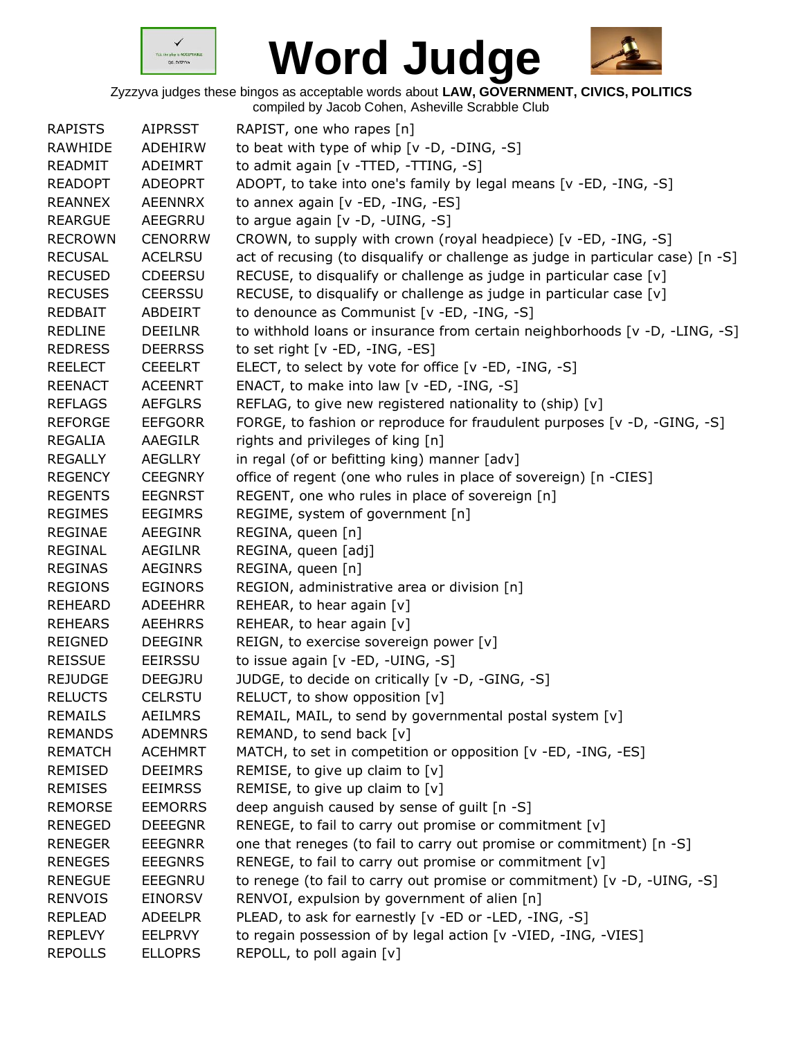



| <b>RAPISTS</b> | <b>AIPRSST</b> | RAPIST, one who rapes [n]                                                       |
|----------------|----------------|---------------------------------------------------------------------------------|
| RAWHIDE        | ADEHIRW        | to beat with type of whip [v -D, -DING, -S]                                     |
| READMIT        | ADEIMRT        | to admit again [v -TTED, -TTING, -S]                                            |
| <b>READOPT</b> | <b>ADEOPRT</b> | ADOPT, to take into one's family by legal means [v -ED, -ING, -S]               |
| <b>REANNEX</b> | <b>AEENNRX</b> | to annex again [v -ED, -ING, -ES]                                               |
| <b>REARGUE</b> | AEEGRRU        | to argue again [v -D, -UING, -S]                                                |
| <b>RECROWN</b> | <b>CENORRW</b> | CROWN, to supply with crown (royal headpiece) [v -ED, -ING, -S]                 |
| <b>RECUSAL</b> | <b>ACELRSU</b> | act of recusing (to disqualify or challenge as judge in particular case) [n -S] |
| <b>RECUSED</b> | <b>CDEERSU</b> | RECUSE, to disqualify or challenge as judge in particular case [v]              |
| <b>RECUSES</b> | <b>CEERSSU</b> | RECUSE, to disqualify or challenge as judge in particular case [v]              |
| <b>REDBAIT</b> | ABDEIRT        | to denounce as Communist [v -ED, -ING, -S]                                      |
| <b>REDLINE</b> | <b>DEEILNR</b> | to withhold loans or insurance from certain neighborhoods [v -D, -LING, -S]     |
| <b>REDRESS</b> | <b>DEERRSS</b> | to set right [v -ED, -ING, -ES]                                                 |
| <b>REELECT</b> | <b>CEEELRT</b> | ELECT, to select by vote for office [v -ED, -ING, -S]                           |
| <b>REENACT</b> | <b>ACEENRT</b> | ENACT, to make into law [v -ED, -ING, -S]                                       |
| <b>REFLAGS</b> | <b>AEFGLRS</b> | REFLAG, to give new registered nationality to (ship) [v]                        |
| <b>REFORGE</b> | <b>EEFGORR</b> | FORGE, to fashion or reproduce for fraudulent purposes [v -D, -GING, -S]        |
| REGALIA        | AAEGILR        | rights and privileges of king [n]                                               |
| <b>REGALLY</b> | <b>AEGLLRY</b> | in regal (of or befitting king) manner [adv]                                    |
| <b>REGENCY</b> | <b>CEEGNRY</b> | office of regent (one who rules in place of sovereign) [n -CIES]                |
| <b>REGENTS</b> | <b>EEGNRST</b> | REGENT, one who rules in place of sovereign [n]                                 |
| <b>REGIMES</b> | <b>EEGIMRS</b> |                                                                                 |
|                |                | REGIME, system of government [n]                                                |
| <b>REGINAE</b> | AEEGINR        | REGINA, queen [n]                                                               |
| <b>REGINAL</b> | <b>AEGILNR</b> | REGINA, queen [adj]                                                             |
| <b>REGINAS</b> | <b>AEGINRS</b> | REGINA, queen [n]                                                               |
| <b>REGIONS</b> | <b>EGINORS</b> | REGION, administrative area or division [n]                                     |
| <b>REHEARD</b> | <b>ADEEHRR</b> | REHEAR, to hear again [v]                                                       |
| <b>REHEARS</b> | <b>AEEHRRS</b> | REHEAR, to hear again [v]                                                       |
| <b>REIGNED</b> | <b>DEEGINR</b> | REIGN, to exercise sovereign power [v]                                          |
| <b>REISSUE</b> | <b>EEIRSSU</b> | to issue again [v -ED, -UING, -S]                                               |
| <b>REJUDGE</b> | <b>DEEGJRU</b> | JUDGE, to decide on critically [v -D, -GING, -S]                                |
| <b>RELUCTS</b> | <b>CELRSTU</b> | RELUCT, to show opposition [v]                                                  |
| <b>REMAILS</b> | <b>AEILMRS</b> | REMAIL, MAIL, to send by governmental postal system [v]                         |
| <b>REMANDS</b> | <b>ADEMNRS</b> | REMAND, to send back [v]                                                        |
| <b>REMATCH</b> | <b>ACEHMRT</b> | MATCH, to set in competition or opposition [v -ED, -ING, -ES]                   |
| REMISED        | <b>DEEIMRS</b> | REMISE, to give up claim to $[v]$                                               |
| <b>REMISES</b> | <b>EEIMRSS</b> | REMISE, to give up claim to $[v]$                                               |
| <b>REMORSE</b> | <b>EEMORRS</b> | deep anguish caused by sense of guilt [n -S]                                    |
| <b>RENEGED</b> | <b>DEEEGNR</b> | RENEGE, to fail to carry out promise or commitment [v]                          |
| <b>RENEGER</b> | <b>EEEGNRR</b> | one that reneges (to fail to carry out promise or commitment) [n -S]            |
| <b>RENEGES</b> | <b>EEEGNRS</b> | RENEGE, to fail to carry out promise or commitment [v]                          |
| <b>RENEGUE</b> | <b>EEEGNRU</b> | to renege (to fail to carry out promise or commitment) [v -D, -UING, -S]        |
| <b>RENVOIS</b> | <b>EINORSV</b> | RENVOI, expulsion by government of alien [n]                                    |
| <b>REPLEAD</b> | <b>ADEELPR</b> | PLEAD, to ask for earnestly [v -ED or -LED, -ING, -S]                           |
| <b>REPLEVY</b> | <b>EELPRVY</b> | to regain possession of by legal action [v -VIED, -ING, -VIES]                  |
| <b>REPOLLS</b> | <b>ELLOPRS</b> | REPOLL, to poll again [v]                                                       |
|                |                |                                                                                 |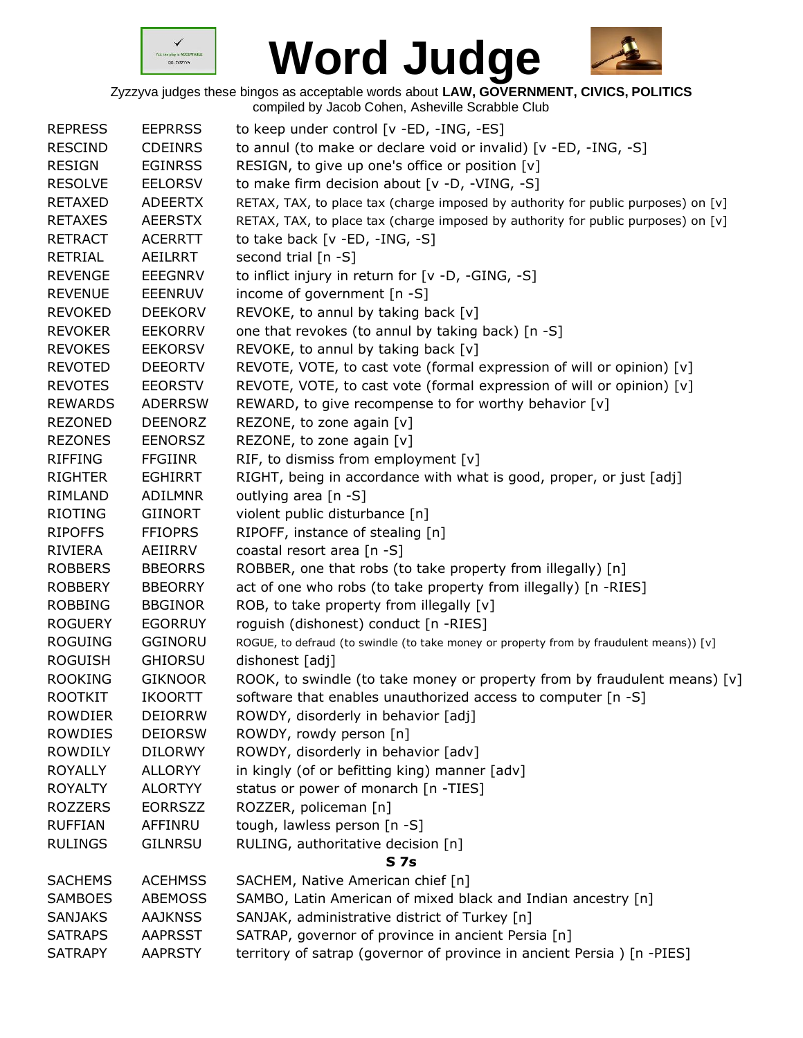



| <b>REPRESS</b> | <b>EEPRRSS</b> | to keep under control [v -ED, -ING, -ES]                                                |
|----------------|----------------|-----------------------------------------------------------------------------------------|
| <b>RESCIND</b> | <b>CDEINRS</b> | to annul (to make or declare void or invalid) [v -ED, -ING, -S]                         |
| <b>RESIGN</b>  | <b>EGINRSS</b> | RESIGN, to give up one's office or position [v]                                         |
| <b>RESOLVE</b> | <b>EELORSV</b> | to make firm decision about [v -D, -VING, -S]                                           |
| <b>RETAXED</b> | <b>ADEERTX</b> | RETAX, TAX, to place tax (charge imposed by authority for public purposes) on [v]       |
| <b>RETAXES</b> | <b>AEERSTX</b> | RETAX, TAX, to place tax (charge imposed by authority for public purposes) on [v]       |
| <b>RETRACT</b> | <b>ACERRTT</b> | to take back $[v - ED, -ING, -S]$                                                       |
| <b>RETRIAL</b> | AEILRRT        | second trial [n -S]                                                                     |
| <b>REVENGE</b> | <b>EEEGNRV</b> | to inflict injury in return for [v -D, -GING, -S]                                       |
| <b>REVENUE</b> | <b>EEENRUV</b> | income of government [n -S]                                                             |
| <b>REVOKED</b> | <b>DEEKORV</b> | REVOKE, to annul by taking back [v]                                                     |
| <b>REVOKER</b> | <b>EEKORRV</b> | one that revokes (to annul by taking back) [n -S]                                       |
| <b>REVOKES</b> | <b>EEKORSV</b> | REVOKE, to annul by taking back [v]                                                     |
| <b>REVOTED</b> | <b>DEEORTV</b> | REVOTE, VOTE, to cast vote (formal expression of will or opinion) [v]                   |
| <b>REVOTES</b> | <b>EEORSTV</b> | REVOTE, VOTE, to cast vote (formal expression of will or opinion) [v]                   |
| <b>REWARDS</b> | <b>ADERRSW</b> | REWARD, to give recompense to for worthy behavior [v]                                   |
| <b>REZONED</b> | <b>DEENORZ</b> | REZONE, to zone again [v]                                                               |
| <b>REZONES</b> | <b>EENORSZ</b> | REZONE, to zone again [v]                                                               |
| <b>RIFFING</b> | <b>FFGIINR</b> | RIF, to dismiss from employment [v]                                                     |
| <b>RIGHTER</b> | <b>EGHIRRT</b> | RIGHT, being in accordance with what is good, proper, or just [adj]                     |
| RIMLAND        | <b>ADILMNR</b> | outlying area [n -S]                                                                    |
| <b>RIOTING</b> | <b>GIINORT</b> | violent public disturbance [n]                                                          |
| <b>RIPOFFS</b> | <b>FFIOPRS</b> | RIPOFF, instance of stealing [n]                                                        |
| RIVIERA        | AEIIRRV        | coastal resort area [n -S]                                                              |
| <b>ROBBERS</b> | <b>BBEORRS</b> | ROBBER, one that robs (to take property from illegally) [n]                             |
| <b>ROBBERY</b> | <b>BBEORRY</b> | act of one who robs (to take property from illegally) [n -RIES]                         |
| <b>ROBBING</b> | <b>BBGINOR</b> | ROB, to take property from illegally [v]                                                |
| <b>ROGUERY</b> | <b>EGORRUY</b> | roguish (dishonest) conduct [n -RIES]                                                   |
| <b>ROGUING</b> | <b>GGINORU</b> | ROGUE, to defraud (to swindle (to take money or property from by fraudulent means)) [v] |
| <b>ROGUISH</b> | <b>GHIORSU</b> | dishonest [adj]                                                                         |
| <b>ROOKING</b> | <b>GIKNOOR</b> | ROOK, to swindle (to take money or property from by fraudulent means) $[v]$             |
| <b>ROOTKIT</b> | <b>IKOORTT</b> | software that enables unauthorized access to computer $[n -S]$                          |
| <b>ROWDIER</b> | <b>DEIORRW</b> | ROWDY, disorderly in behavior [adj]                                                     |
| <b>ROWDIES</b> | <b>DEIORSW</b> | ROWDY, rowdy person [n]                                                                 |
| <b>ROWDILY</b> | <b>DILORWY</b> | ROWDY, disorderly in behavior [adv]                                                     |
| <b>ROYALLY</b> | <b>ALLORYY</b> | in kingly (of or befitting king) manner [adv]                                           |
| <b>ROYALTY</b> | <b>ALORTYY</b> | status or power of monarch [n -TIES]                                                    |
| <b>ROZZERS</b> | <b>EORRSZZ</b> | ROZZER, policeman [n]                                                                   |
| <b>RUFFIAN</b> | AFFINRU        | tough, lawless person [n -S]                                                            |
| <b>RULINGS</b> | <b>GILNRSU</b> | RULING, authoritative decision [n]                                                      |
|                |                | <b>S7s</b>                                                                              |
| <b>SACHEMS</b> | <b>ACEHMSS</b> | SACHEM, Native American chief [n]                                                       |
| <b>SAMBOES</b> | <b>ABEMOSS</b> | SAMBO, Latin American of mixed black and Indian ancestry [n]                            |
| <b>SANJAKS</b> | <b>AAJKNSS</b> | SANJAK, administrative district of Turkey [n]                                           |
| <b>SATRAPS</b> | <b>AAPRSST</b> | SATRAP, governor of province in ancient Persia [n]                                      |
| <b>SATRAPY</b> | <b>AAPRSTY</b> | territory of satrap (governor of province in ancient Persia) [n -PIES]                  |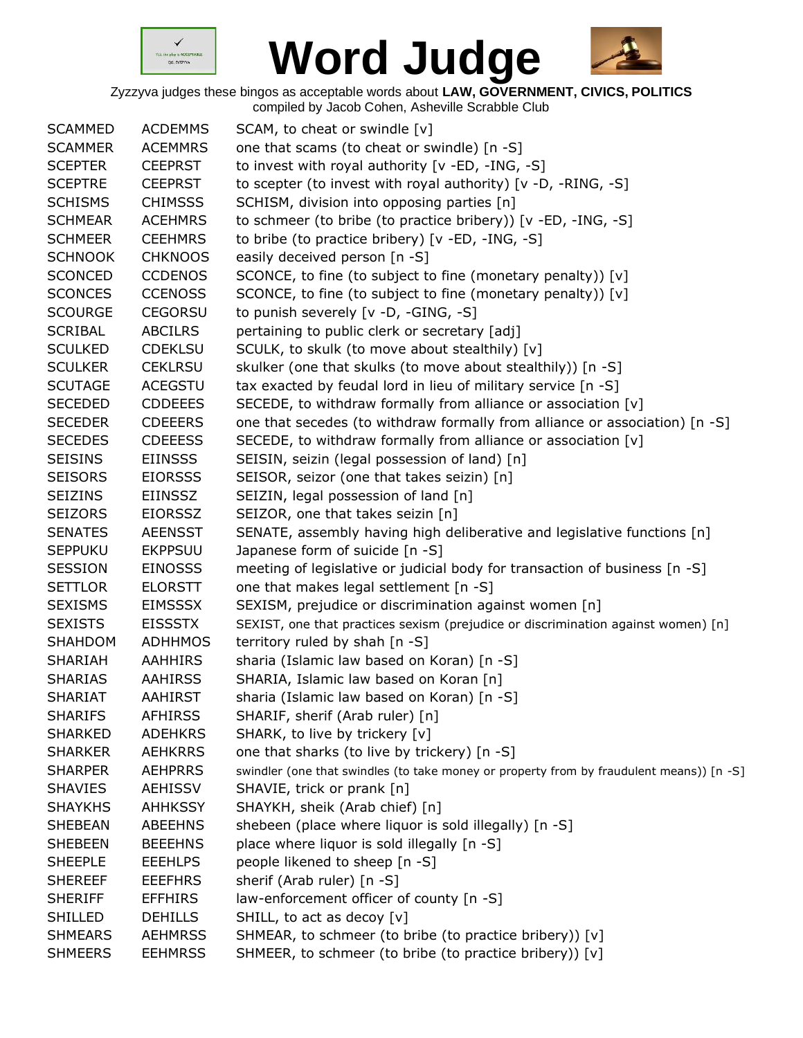



| <b>SCAMMED</b> | <b>ACDEMMS</b> | SCAM, to cheat or swindle [v]                                                            |
|----------------|----------------|------------------------------------------------------------------------------------------|
| <b>SCAMMER</b> | <b>ACEMMRS</b> | one that scams (to cheat or swindle) [n -S]                                              |
| <b>SCEPTER</b> | <b>CEEPRST</b> | to invest with royal authority [v -ED, -ING, -S]                                         |
| <b>SCEPTRE</b> | <b>CEEPRST</b> | to scepter (to invest with royal authority) [v -D, -RING, -S]                            |
| <b>SCHISMS</b> | <b>CHIMSSS</b> | SCHISM, division into opposing parties [n]                                               |
| <b>SCHMEAR</b> | <b>ACEHMRS</b> | to schmeer (to bribe (to practice bribery)) [v -ED, -ING, -S]                            |
| <b>SCHMEER</b> | <b>CEEHMRS</b> | to bribe (to practice bribery) [v -ED, -ING, -S]                                         |
| <b>SCHNOOK</b> | <b>CHKNOOS</b> | easily deceived person [n -S]                                                            |
| <b>SCONCED</b> | <b>CCDENOS</b> | SCONCE, to fine (to subject to fine (monetary penalty)) [v]                              |
| <b>SCONCES</b> | <b>CCENOSS</b> | SCONCE, to fine (to subject to fine (monetary penalty)) [v]                              |
| <b>SCOURGE</b> | <b>CEGORSU</b> | to punish severely [v -D, -GING, -S]                                                     |
| <b>SCRIBAL</b> | <b>ABCILRS</b> | pertaining to public clerk or secretary [adj]                                            |
| <b>SCULKED</b> | <b>CDEKLSU</b> | SCULK, to skulk (to move about stealthily) [v]                                           |
| <b>SCULKER</b> | <b>CEKLRSU</b> | skulker (one that skulks (to move about stealthily)) [n -S]                              |
| <b>SCUTAGE</b> | <b>ACEGSTU</b> | tax exacted by feudal lord in lieu of military service [n -S]                            |
| <b>SECEDED</b> | <b>CDDEEES</b> | SECEDE, to withdraw formally from alliance or association [v]                            |
| <b>SECEDER</b> | <b>CDEEERS</b> | one that secedes (to withdraw formally from alliance or association) [n -S]              |
| <b>SECEDES</b> | <b>CDEEESS</b> | SECEDE, to withdraw formally from alliance or association [v]                            |
| <b>SEISINS</b> | <b>EIINSSS</b> | SEISIN, seizin (legal possession of land) [n]                                            |
| <b>SEISORS</b> | <b>EIORSSS</b> | SEISOR, seizor (one that takes seizin) [n]                                               |
| <b>SEIZINS</b> | EIINSSZ        | SEIZIN, legal possession of land [n]                                                     |
| <b>SEIZORS</b> | <b>EIORSSZ</b> | SEIZOR, one that takes seizin [n]                                                        |
| <b>SENATES</b> | <b>AEENSST</b> | SENATE, assembly having high deliberative and legislative functions [n]                  |
| <b>SEPPUKU</b> | <b>EKPPSUU</b> | Japanese form of suicide [n -S]                                                          |
| <b>SESSION</b> | <b>EINOSSS</b> | meeting of legislative or judicial body for transaction of business [n -S]               |
| <b>SETTLOR</b> | <b>ELORSTT</b> | one that makes legal settlement [n -S]                                                   |
| <b>SEXISMS</b> | <b>EIMSSSX</b> | SEXISM, prejudice or discrimination against women [n]                                    |
| <b>SEXISTS</b> | <b>EISSSTX</b> | SEXIST, one that practices sexism (prejudice or discrimination against women) [n]        |
| SHAHDOM        | ADHHMOS        | territory ruled by shah [n -S]                                                           |
| SHARIAH        | <b>AAHHIRS</b> | sharia (Islamic law based on Koran) [n -S]                                               |
| <b>SHARIAS</b> | <b>AAHIRSS</b> | SHARIA, Islamic law based on Koran [n]                                                   |
| <b>SHARIAT</b> | AAHIRST        | sharia (Islamic law based on Koran) [n -S]                                               |
| <b>SHARIFS</b> | <b>AFHIRSS</b> | SHARIF, sherif (Arab ruler) [n]                                                          |
| <b>SHARKED</b> | <b>ADEHKRS</b> | SHARK, to live by trickery [v]                                                           |
| <b>SHARKER</b> | <b>AEHKRRS</b> | one that sharks (to live by trickery) [n -S]                                             |
| <b>SHARPER</b> | <b>AEHPRRS</b> | swindler (one that swindles (to take money or property from by fraudulent means)) [n -S] |
| <b>SHAVIES</b> | <b>AEHISSV</b> | SHAVIE, trick or prank [n]                                                               |
| <b>SHAYKHS</b> | <b>AHHKSSY</b> | SHAYKH, sheik (Arab chief) [n]                                                           |
| <b>SHEBEAN</b> | <b>ABEEHNS</b> | shebeen (place where liquor is sold illegally) [n -S]                                    |
| <b>SHEBEEN</b> | <b>BEEEHNS</b> | place where liquor is sold illegally [n -S]                                              |
| <b>SHEEPLE</b> | <b>EEEHLPS</b> | people likened to sheep [n -S]                                                           |
| <b>SHEREEF</b> | <b>EEEFHRS</b> | sherif (Arab ruler) [n -S]                                                               |
| <b>SHERIFF</b> | <b>EFFHIRS</b> | law-enforcement officer of county [n -S]                                                 |
| <b>SHILLED</b> | <b>DEHILLS</b> | SHILL, to act as decoy [v]                                                               |
| <b>SHMEARS</b> | <b>AEHMRSS</b> | SHMEAR, to schmeer (to bribe (to practice bribery)) [v]                                  |
| <b>SHMEERS</b> | <b>EEHMRSS</b> | SHMEER, to schmeer (to bribe (to practice bribery)) [v]                                  |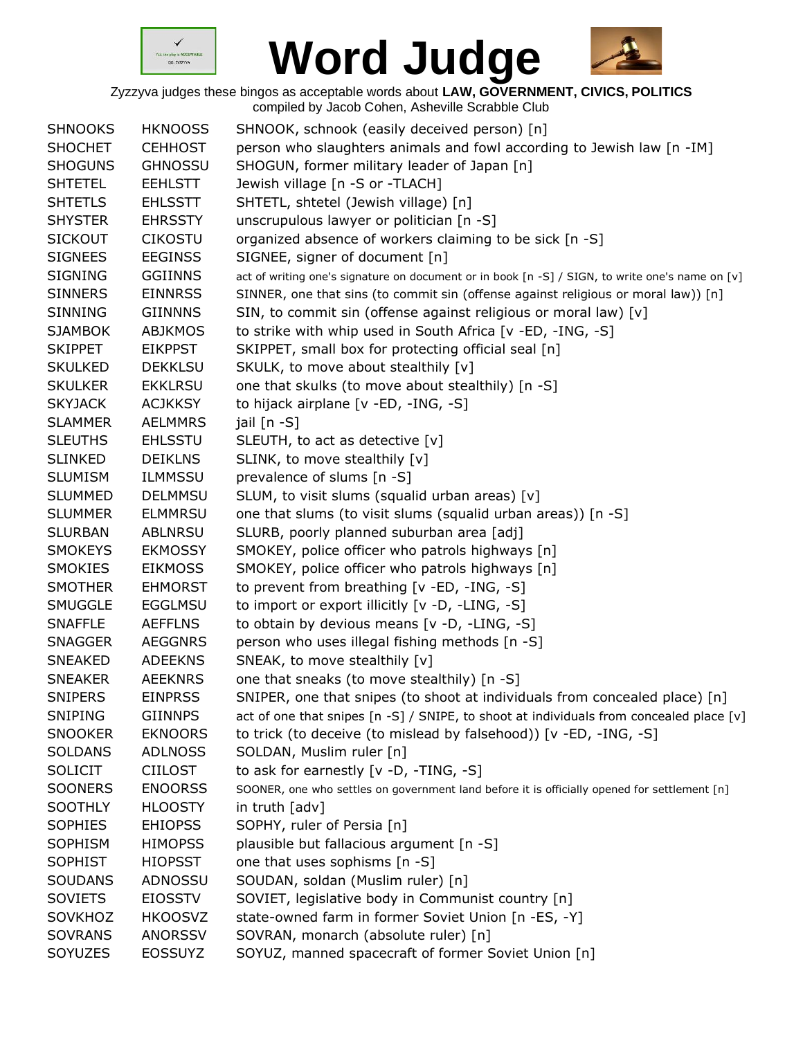



| <b>SHNOOKS</b> | <b>HKNOOSS</b> | SHNOOK, schnook (easily deceived person) [n]                                                    |
|----------------|----------------|-------------------------------------------------------------------------------------------------|
| <b>SHOCHET</b> | <b>CEHHOST</b> | person who slaughters animals and fowl according to Jewish law [n -IM]                          |
| <b>SHOGUNS</b> | <b>GHNOSSU</b> | SHOGUN, former military leader of Japan [n]                                                     |
| <b>SHTETEL</b> | <b>EEHLSTT</b> | Jewish village [n -S or -TLACH]                                                                 |
| <b>SHTETLS</b> | <b>EHLSSTT</b> | SHTETL, shtetel (Jewish village) [n]                                                            |
| <b>SHYSTER</b> | <b>EHRSSTY</b> | unscrupulous lawyer or politician [n -S]                                                        |
| <b>SICKOUT</b> | <b>CIKOSTU</b> | organized absence of workers claiming to be sick [n -S]                                         |
| <b>SIGNEES</b> | <b>EEGINSS</b> | SIGNEE, signer of document [n]                                                                  |
| <b>SIGNING</b> | <b>GGIINNS</b> | act of writing one's signature on document or in book [n -S] / SIGN, to write one's name on [v] |
| <b>SINNERS</b> | <b>EINNRSS</b> | SINNER, one that sins (to commit sin (offense against religious or moral law)) [n]              |
| <b>SINNING</b> | <b>GIINNNS</b> | SIN, to commit sin (offense against religious or moral law) [v]                                 |
| <b>SJAMBOK</b> | <b>ABJKMOS</b> | to strike with whip used in South Africa [v -ED, -ING, -S]                                      |
| <b>SKIPPET</b> | <b>EIKPPST</b> | SKIPPET, small box for protecting official seal [n]                                             |
| <b>SKULKED</b> | <b>DEKKLSU</b> | SKULK, to move about stealthily [v]                                                             |
| <b>SKULKER</b> | <b>EKKLRSU</b> | one that skulks (to move about stealthily) [n -S]                                               |
| <b>SKYJACK</b> | <b>ACJKKSY</b> | to hijack airplane [v -ED, -ING, -S]                                                            |
| <b>SLAMMER</b> | <b>AELMMRS</b> | jail [n -S]                                                                                     |
| <b>SLEUTHS</b> | <b>EHLSSTU</b> | SLEUTH, to act as detective [v]                                                                 |
| <b>SLINKED</b> | <b>DEIKLNS</b> | SLINK, to move stealthily [v]                                                                   |
| <b>SLUMISM</b> | <b>ILMMSSU</b> | prevalence of slums [n -S]                                                                      |
| <b>SLUMMED</b> | <b>DELMMSU</b> | SLUM, to visit slums (squalid urban areas) [v]                                                  |
| <b>SLUMMER</b> | <b>ELMMRSU</b> | one that slums (to visit slums (squalid urban areas)) [n -S]                                    |
| <b>SLURBAN</b> | <b>ABLNRSU</b> | SLURB, poorly planned suburban area [adj]                                                       |
| <b>SMOKEYS</b> | <b>EKMOSSY</b> | SMOKEY, police officer who patrols highways [n]                                                 |
| <b>SMOKIES</b> | <b>EIKMOSS</b> | SMOKEY, police officer who patrols highways [n]                                                 |
| <b>SMOTHER</b> | <b>EHMORST</b> | to prevent from breathing [v -ED, -ING, -S]                                                     |
| <b>SMUGGLE</b> | <b>EGGLMSU</b> | to import or export illicitly [v -D, -LING, -S]                                                 |
| <b>SNAFFLE</b> | <b>AEFFLNS</b> | to obtain by devious means [v -D, -LING, -S]                                                    |
| <b>SNAGGER</b> | <b>AEGGNRS</b> | person who uses illegal fishing methods [n -S]                                                  |
| <b>SNEAKED</b> | <b>ADEEKNS</b> | SNEAK, to move stealthily [v]                                                                   |
| <b>SNEAKER</b> | <b>AEEKNRS</b> | one that sneaks (to move stealthily) [n -S]                                                     |
| <b>SNIPERS</b> | <b>EINPRSS</b> | SNIPER, one that snipes (to shoot at individuals from concealed place) [n]                      |
| <b>SNIPING</b> | <b>GIINNPS</b> | act of one that snipes [n -S] / SNIPE, to shoot at individuals from concealed place [v]         |
| <b>SNOOKER</b> | <b>EKNOORS</b> | to trick (to deceive (to mislead by falsehood)) [v -ED, -ING, -S]                               |
| <b>SOLDANS</b> | <b>ADLNOSS</b> | SOLDAN, Muslim ruler [n]                                                                        |
| <b>SOLICIT</b> | <b>CIILOST</b> | to ask for earnestly [v -D, -TING, -S]                                                          |
| <b>SOONERS</b> | <b>ENOORSS</b> | SOONER, one who settles on government land before it is officially opened for settlement [n]    |
| SOOTHLY        | <b>HLOOSTY</b> | in truth [adv]                                                                                  |
| <b>SOPHIES</b> | <b>EHIOPSS</b> | SOPHY, ruler of Persia [n]                                                                      |
| <b>SOPHISM</b> | <b>HIMOPSS</b> | plausible but fallacious argument [n -S]                                                        |
| <b>SOPHIST</b> | <b>HIOPSST</b> | one that uses sophisms [n -S]                                                                   |
| <b>SOUDANS</b> | ADNOSSU        | SOUDAN, soldan (Muslim ruler) [n]                                                               |
| <b>SOVIETS</b> | <b>EIOSSTV</b> | SOVIET, legislative body in Communist country [n]                                               |
| SOVKHOZ        | <b>HKOOSVZ</b> | state-owned farm in former Soviet Union [n -ES, -Y]                                             |
| <b>SOVRANS</b> | <b>ANORSSV</b> | SOVRAN, monarch (absolute ruler) [n]                                                            |
| SOYUZES        | EOSSUYZ        | SOYUZ, manned spacecraft of former Soviet Union [n]                                             |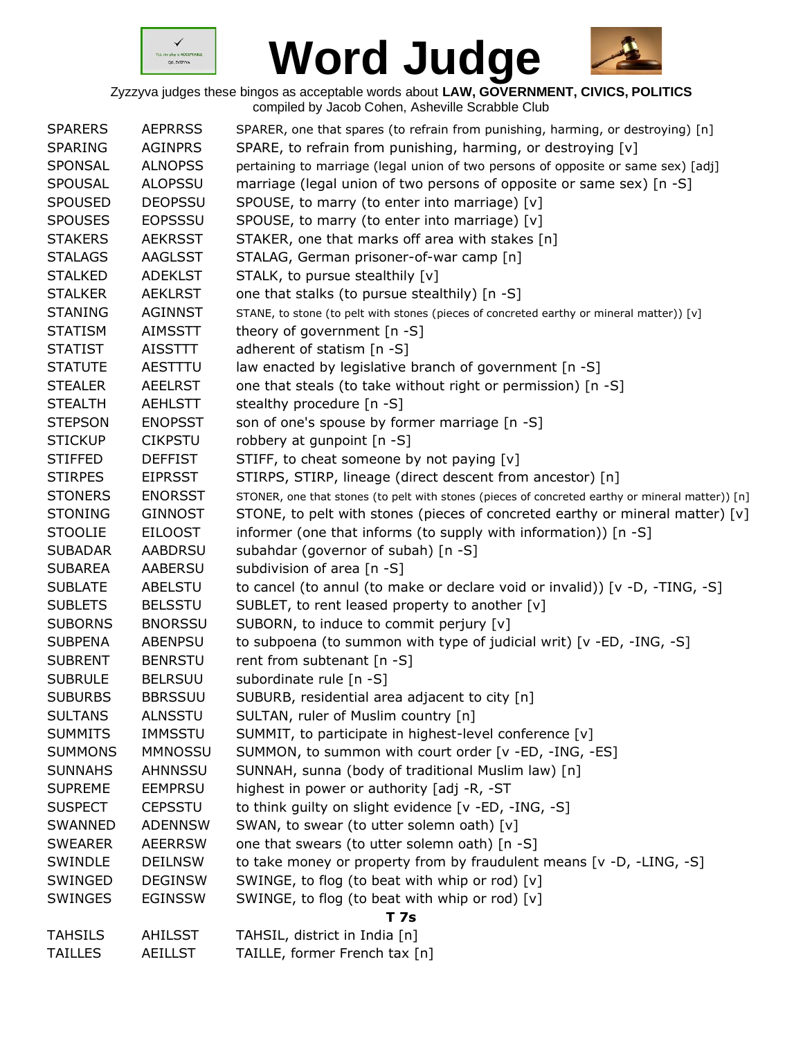



| <b>SPARERS</b> | <b>AEPRRSS</b> | SPARER, one that spares (to refrain from punishing, harming, or destroying) [n]                  |
|----------------|----------------|--------------------------------------------------------------------------------------------------|
| <b>SPARING</b> | <b>AGINPRS</b> | SPARE, to refrain from punishing, harming, or destroying [v]                                     |
| <b>SPONSAL</b> | <b>ALNOPSS</b> | pertaining to marriage (legal union of two persons of opposite or same sex) [adj]                |
| <b>SPOUSAL</b> | <b>ALOPSSU</b> | marriage (legal union of two persons of opposite or same sex) [n -S]                             |
| <b>SPOUSED</b> | <b>DEOPSSU</b> | SPOUSE, to marry (to enter into marriage) [v]                                                    |
| <b>SPOUSES</b> | <b>EOPSSSU</b> | SPOUSE, to marry (to enter into marriage) [v]                                                    |
| <b>STAKERS</b> | <b>AEKRSST</b> | STAKER, one that marks off area with stakes [n]                                                  |
| <b>STALAGS</b> | AAGLSST        | STALAG, German prisoner-of-war camp [n]                                                          |
| <b>STALKED</b> | <b>ADEKLST</b> | STALK, to pursue stealthily [v]                                                                  |
| <b>STALKER</b> | <b>AEKLRST</b> | one that stalks (to pursue stealthily) [n -S]                                                    |
| <b>STANING</b> | <b>AGINNST</b> | STANE, to stone (to pelt with stones (pieces of concreted earthy or mineral matter)) [v]         |
| <b>STATISM</b> | <b>AIMSSTT</b> | theory of government [n -S]                                                                      |
| <b>STATIST</b> | AISSTTT        | adherent of statism [n -S]                                                                       |
| <b>STATUTE</b> | AESTTTU        | law enacted by legislative branch of government [n -S]                                           |
| <b>STEALER</b> | <b>AEELRST</b> | one that steals (to take without right or permission) [n -S]                                     |
| <b>STEALTH</b> | <b>AEHLSTT</b> | stealthy procedure [n -S]                                                                        |
| <b>STEPSON</b> | <b>ENOPSST</b> | son of one's spouse by former marriage [n -S]                                                    |
| <b>STICKUP</b> | <b>CIKPSTU</b> | robbery at gunpoint [n -S]                                                                       |
| <b>STIFFED</b> | <b>DEFFIST</b> | STIFF, to cheat someone by not paying [v]                                                        |
| <b>STIRPES</b> | <b>EIPRSST</b> | STIRPS, STIRP, lineage (direct descent from ancestor) [n]                                        |
| <b>STONERS</b> | <b>ENORSST</b> | STONER, one that stones (to pelt with stones (pieces of concreted earthy or mineral matter)) [n] |
| <b>STONING</b> | <b>GINNOST</b> | STONE, to pelt with stones (pieces of concreted earthy or mineral matter) [v]                    |
| <b>STOOLIE</b> | <b>EILOOST</b> | informer (one that informs (to supply with information)) [n -S]                                  |
| <b>SUBADAR</b> | <b>AABDRSU</b> | subahdar (governor of subah) [n -S]                                                              |
| <b>SUBAREA</b> | AABERSU        | subdivision of area [n -S]                                                                       |
| <b>SUBLATE</b> | <b>ABELSTU</b> | to cancel (to annul (to make or declare void or invalid)) [v -D, -TING, -S]                      |
| <b>SUBLETS</b> | <b>BELSSTU</b> | SUBLET, to rent leased property to another [v]                                                   |
| <b>SUBORNS</b> | <b>BNORSSU</b> | SUBORN, to induce to commit perjury [v]                                                          |
| <b>SUBPENA</b> | ABENPSU        | to subpoena (to summon with type of judicial writ) [v -ED, -ING, -S]                             |
| <b>SUBRENT</b> | <b>BENRSTU</b> | rent from subtenant [n -S]                                                                       |
| <b>SUBRULE</b> | <b>BELRSUU</b> | subordinate rule [n -S]                                                                          |
| <b>SUBURBS</b> | <b>BBRSSUU</b> | SUBURB, residential area adjacent to city [n]                                                    |
| <b>SULTANS</b> | <b>ALNSSTU</b> | SULTAN, ruler of Muslim country [n]                                                              |
| <b>SUMMITS</b> | <b>IMMSSTU</b> | SUMMIT, to participate in highest-level conference [v]                                           |
| <b>SUMMONS</b> | <b>MMNOSSU</b> | SUMMON, to summon with court order [v -ED, -ING, -ES]                                            |
| <b>SUNNAHS</b> | AHNNSSU        | SUNNAH, sunna (body of traditional Muslim law) [n]                                               |
| <b>SUPREME</b> | <b>EEMPRSU</b> | highest in power or authority [adj -R, -ST                                                       |
| <b>SUSPECT</b> | <b>CEPSSTU</b> | to think guilty on slight evidence [v -ED, -ING, -S]                                             |
| <b>SWANNED</b> | <b>ADENNSW</b> | SWAN, to swear (to utter solemn oath) [v]                                                        |
| <b>SWEARER</b> | <b>AEERRSW</b> | one that swears (to utter solemn oath) [n -S]                                                    |
| SWINDLE        | <b>DEILNSW</b> | to take money or property from by fraudulent means [v -D, -LING, -S]                             |
| SWINGED        | <b>DEGINSW</b> | SWINGE, to flog (to beat with whip or rod) [v]                                                   |
| <b>SWINGES</b> | <b>EGINSSW</b> | SWINGE, to flog (to beat with whip or rod) [v]                                                   |
|                |                | <b>T7s</b>                                                                                       |
| <b>TAHSILS</b> | <b>AHILSST</b> | TAHSIL, district in India [n]                                                                    |
| <b>TAILLES</b> | <b>AEILLST</b> | TAILLE, former French tax [n]                                                                    |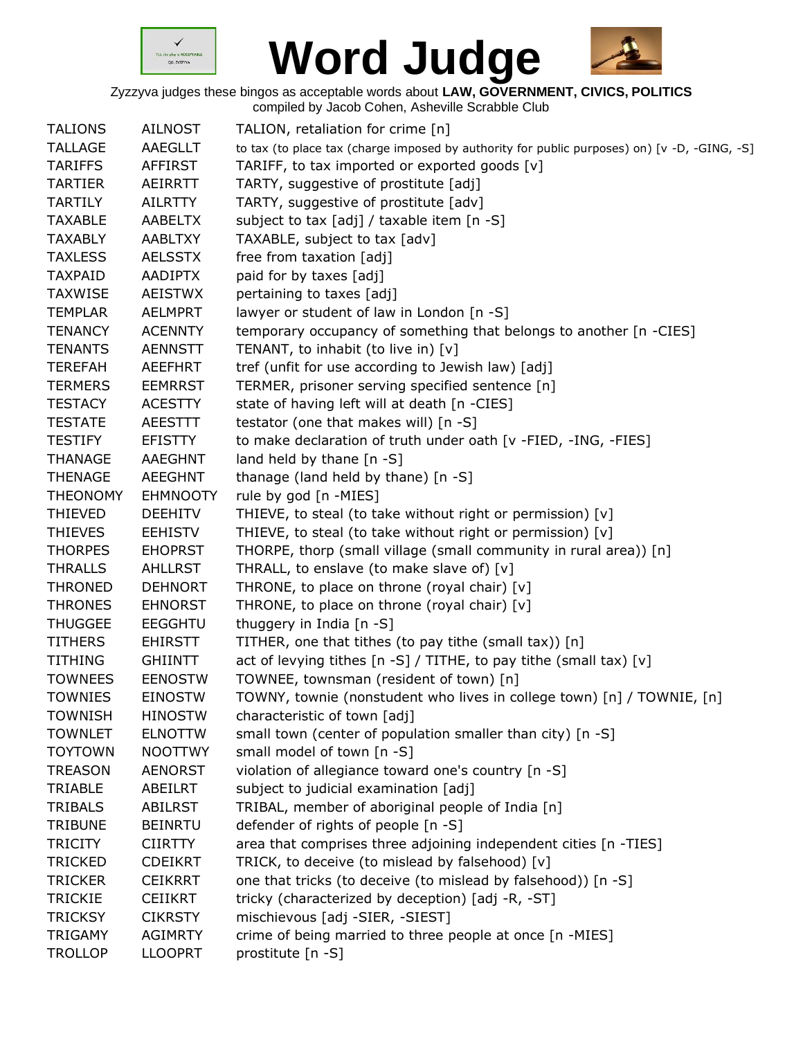



| <b>TALIONS</b><br><b>AILNOST</b><br>TALION, retaliation for crime [n]<br><b>TALLAGE</b><br>AAEGLLT<br>to tax (to place tax (charge imposed by authority for public purposes) on) [v -D, -GING, -S]<br>TARIFF, to tax imported or exported goods [v]<br><b>TARIFFS</b><br>AFFIRST<br>TARTY, suggestive of prostitute [adj]<br><b>TARTIER</b><br>AEIRRTT<br>TARTY, suggestive of prostitute [adv]<br><b>TARTILY</b><br><b>AILRTTY</b><br>subject to tax [adj] / taxable item [n -S]<br><b>TAXABLE</b><br><b>AABELTX</b><br>TAXABLE, subject to tax [adv]<br><b>TAXABLY</b><br>AABLTXY<br>free from taxation [adj]<br><b>TAXLESS</b><br><b>AELSSTX</b><br><b>AADIPTX</b><br>paid for by taxes [adj]<br><b>TAXPAID</b><br>pertaining to taxes [adj]<br><b>TAXWISE</b><br><b>AEISTWX</b><br>lawyer or student of law in London [n -S]<br><b>TEMPLAR</b><br><b>AELMPRT</b><br>temporary occupancy of something that belongs to another [n -CIES]<br><b>TENANCY</b><br><b>ACENNTY</b><br>TENANT, to inhabit (to live in) [v]<br><b>TENANTS</b><br><b>AENNSTT</b><br>tref (unfit for use according to Jewish law) [adj]<br><b>TEREFAH</b><br><b>AEEFHRT</b><br>TERMER, prisoner serving specified sentence [n]<br><b>TERMERS</b><br><b>EEMRRST</b><br>state of having left will at death [n -CIES]<br><b>TESTACY</b><br><b>ACESTTY</b><br>testator (one that makes will) [n -S]<br><b>TESTATE</b><br><b>AEESTTT</b><br>to make declaration of truth under oath [v -FIED, -ING, -FIES]<br><b>TESTIFY</b><br><b>EFISTTY</b><br>land held by thane $[n - S]$<br><b>THANAGE</b><br>AAEGHNT<br>thanage (land held by thane) [n -S]<br><b>THENAGE</b><br><b>AEEGHNT</b><br>rule by god [n -MIES]<br><b>THEONOMY</b><br><b>EHMNOOTY</b><br>THIEVE, to steal (to take without right or permission) [v]<br><b>THIEVED</b><br><b>DEEHITV</b><br>THIEVE, to steal (to take without right or permission) [v]<br><b>THIEVES</b><br><b>EEHISTV</b><br>THORPE, thorp (small village (small community in rural area)) [n]<br><b>THORPES</b><br><b>EHOPRST</b><br>THRALL, to enslave (to make slave of) [v]<br><b>THRALLS</b><br><b>AHLLRST</b><br>THRONE, to place on throne (royal chair) [v]<br>THRONED<br><b>DEHNORT</b><br>THRONE, to place on throne (royal chair) [v]<br><b>THRONES</b><br><b>EHNORST</b><br>thuggery in India [n -S]<br><b>THUGGEE</b><br><b>EEGGHTU</b><br>TITHER, one that tithes (to pay tithe (small tax)) [n]<br><b>TITHERS</b><br><b>EHIRSTT</b><br>act of levying tithes [n -S] / TITHE, to pay tithe (small tax) [v]<br><b>TITHING</b><br><b>GHIINTT</b><br>TOWNEE, townsman (resident of town) [n]<br><b>TOWNEES</b><br><b>EENOSTW</b><br><b>TOWNIES</b><br><b>EINOSTW</b><br>TOWNY, townie (nonstudent who lives in college town) [n] / TOWNIE, [n]<br><b>TOWNISH</b><br><b>HINOSTW</b><br>characteristic of town [adj]<br><b>TOWNLET</b><br><b>ELNOTTW</b><br>small town (center of population smaller than city) [n -S]<br>small model of town [n -S]<br><b>TOYTOWN</b><br><b>NOOTTWY</b><br>violation of allegiance toward one's country [n -S]<br><b>TREASON</b><br><b>AENORST</b><br>subject to judicial examination [adj]<br><b>TRIABLE</b><br>ABEILRT<br>TRIBAL, member of aboriginal people of India [n]<br><b>TRIBALS</b><br><b>ABILRST</b><br>defender of rights of people [n -S]<br><b>TRIBUNE</b><br><b>BEINRTU</b><br>area that comprises three adjoining independent cities [n -TIES]<br><b>TRICITY</b><br><b>CIIRTTY</b><br><b>TRICKED</b><br>TRICK, to deceive (to mislead by falsehood) [v]<br><b>CDEIKRT</b><br><b>TRICKER</b><br>one that tricks (to deceive (to mislead by falsehood)) [n -S]<br><b>CEIKRRT</b><br>tricky (characterized by deception) [adj -R, -ST]<br><b>TRICKIE</b><br><b>CEIIKRT</b><br>mischievous [adj -SIER, -SIEST]<br><b>TRICKSY</b><br><b>CIKRSTY</b><br>crime of being married to three people at once [n -MIES]<br>TRIGAMY<br><b>AGIMRTY</b><br><b>TROLLOP</b><br><b>LLOOPRT</b><br>prostitute [n -S] |  |  |
|----------------------------------------------------------------------------------------------------------------------------------------------------------------------------------------------------------------------------------------------------------------------------------------------------------------------------------------------------------------------------------------------------------------------------------------------------------------------------------------------------------------------------------------------------------------------------------------------------------------------------------------------------------------------------------------------------------------------------------------------------------------------------------------------------------------------------------------------------------------------------------------------------------------------------------------------------------------------------------------------------------------------------------------------------------------------------------------------------------------------------------------------------------------------------------------------------------------------------------------------------------------------------------------------------------------------------------------------------------------------------------------------------------------------------------------------------------------------------------------------------------------------------------------------------------------------------------------------------------------------------------------------------------------------------------------------------------------------------------------------------------------------------------------------------------------------------------------------------------------------------------------------------------------------------------------------------------------------------------------------------------------------------------------------------------------------------------------------------------------------------------------------------------------------------------------------------------------------------------------------------------------------------------------------------------------------------------------------------------------------------------------------------------------------------------------------------------------------------------------------------------------------------------------------------------------------------------------------------------------------------------------------------------------------------------------------------------------------------------------------------------------------------------------------------------------------------------------------------------------------------------------------------------------------------------------------------------------------------------------------------------------------------------------------------------------------------------------------------------------------------------------------------------------------------------------------------------------------------------------------------------------------------------------------------------------------------------------------------------------------------------------------------------------------------------------------------------------------------------------------------------------------------------------------------------------------------------------------------------------------------------------------------------------------------------------------------------------------------------------------------------------------------------------------------------------------------------------------------------------------------------------------------------------------------------------------------------------|--|--|
|                                                                                                                                                                                                                                                                                                                                                                                                                                                                                                                                                                                                                                                                                                                                                                                                                                                                                                                                                                                                                                                                                                                                                                                                                                                                                                                                                                                                                                                                                                                                                                                                                                                                                                                                                                                                                                                                                                                                                                                                                                                                                                                                                                                                                                                                                                                                                                                                                                                                                                                                                                                                                                                                                                                                                                                                                                                                                                                                                                                                                                                                                                                                                                                                                                                                                                                                                                                                                                                                                                                                                                                                                                                                                                                                                                                                                                                                                                                                                                |  |  |
|                                                                                                                                                                                                                                                                                                                                                                                                                                                                                                                                                                                                                                                                                                                                                                                                                                                                                                                                                                                                                                                                                                                                                                                                                                                                                                                                                                                                                                                                                                                                                                                                                                                                                                                                                                                                                                                                                                                                                                                                                                                                                                                                                                                                                                                                                                                                                                                                                                                                                                                                                                                                                                                                                                                                                                                                                                                                                                                                                                                                                                                                                                                                                                                                                                                                                                                                                                                                                                                                                                                                                                                                                                                                                                                                                                                                                                                                                                                                                                |  |  |
|                                                                                                                                                                                                                                                                                                                                                                                                                                                                                                                                                                                                                                                                                                                                                                                                                                                                                                                                                                                                                                                                                                                                                                                                                                                                                                                                                                                                                                                                                                                                                                                                                                                                                                                                                                                                                                                                                                                                                                                                                                                                                                                                                                                                                                                                                                                                                                                                                                                                                                                                                                                                                                                                                                                                                                                                                                                                                                                                                                                                                                                                                                                                                                                                                                                                                                                                                                                                                                                                                                                                                                                                                                                                                                                                                                                                                                                                                                                                                                |  |  |
|                                                                                                                                                                                                                                                                                                                                                                                                                                                                                                                                                                                                                                                                                                                                                                                                                                                                                                                                                                                                                                                                                                                                                                                                                                                                                                                                                                                                                                                                                                                                                                                                                                                                                                                                                                                                                                                                                                                                                                                                                                                                                                                                                                                                                                                                                                                                                                                                                                                                                                                                                                                                                                                                                                                                                                                                                                                                                                                                                                                                                                                                                                                                                                                                                                                                                                                                                                                                                                                                                                                                                                                                                                                                                                                                                                                                                                                                                                                                                                |  |  |
|                                                                                                                                                                                                                                                                                                                                                                                                                                                                                                                                                                                                                                                                                                                                                                                                                                                                                                                                                                                                                                                                                                                                                                                                                                                                                                                                                                                                                                                                                                                                                                                                                                                                                                                                                                                                                                                                                                                                                                                                                                                                                                                                                                                                                                                                                                                                                                                                                                                                                                                                                                                                                                                                                                                                                                                                                                                                                                                                                                                                                                                                                                                                                                                                                                                                                                                                                                                                                                                                                                                                                                                                                                                                                                                                                                                                                                                                                                                                                                |  |  |
|                                                                                                                                                                                                                                                                                                                                                                                                                                                                                                                                                                                                                                                                                                                                                                                                                                                                                                                                                                                                                                                                                                                                                                                                                                                                                                                                                                                                                                                                                                                                                                                                                                                                                                                                                                                                                                                                                                                                                                                                                                                                                                                                                                                                                                                                                                                                                                                                                                                                                                                                                                                                                                                                                                                                                                                                                                                                                                                                                                                                                                                                                                                                                                                                                                                                                                                                                                                                                                                                                                                                                                                                                                                                                                                                                                                                                                                                                                                                                                |  |  |
|                                                                                                                                                                                                                                                                                                                                                                                                                                                                                                                                                                                                                                                                                                                                                                                                                                                                                                                                                                                                                                                                                                                                                                                                                                                                                                                                                                                                                                                                                                                                                                                                                                                                                                                                                                                                                                                                                                                                                                                                                                                                                                                                                                                                                                                                                                                                                                                                                                                                                                                                                                                                                                                                                                                                                                                                                                                                                                                                                                                                                                                                                                                                                                                                                                                                                                                                                                                                                                                                                                                                                                                                                                                                                                                                                                                                                                                                                                                                                                |  |  |
|                                                                                                                                                                                                                                                                                                                                                                                                                                                                                                                                                                                                                                                                                                                                                                                                                                                                                                                                                                                                                                                                                                                                                                                                                                                                                                                                                                                                                                                                                                                                                                                                                                                                                                                                                                                                                                                                                                                                                                                                                                                                                                                                                                                                                                                                                                                                                                                                                                                                                                                                                                                                                                                                                                                                                                                                                                                                                                                                                                                                                                                                                                                                                                                                                                                                                                                                                                                                                                                                                                                                                                                                                                                                                                                                                                                                                                                                                                                                                                |  |  |
|                                                                                                                                                                                                                                                                                                                                                                                                                                                                                                                                                                                                                                                                                                                                                                                                                                                                                                                                                                                                                                                                                                                                                                                                                                                                                                                                                                                                                                                                                                                                                                                                                                                                                                                                                                                                                                                                                                                                                                                                                                                                                                                                                                                                                                                                                                                                                                                                                                                                                                                                                                                                                                                                                                                                                                                                                                                                                                                                                                                                                                                                                                                                                                                                                                                                                                                                                                                                                                                                                                                                                                                                                                                                                                                                                                                                                                                                                                                                                                |  |  |
|                                                                                                                                                                                                                                                                                                                                                                                                                                                                                                                                                                                                                                                                                                                                                                                                                                                                                                                                                                                                                                                                                                                                                                                                                                                                                                                                                                                                                                                                                                                                                                                                                                                                                                                                                                                                                                                                                                                                                                                                                                                                                                                                                                                                                                                                                                                                                                                                                                                                                                                                                                                                                                                                                                                                                                                                                                                                                                                                                                                                                                                                                                                                                                                                                                                                                                                                                                                                                                                                                                                                                                                                                                                                                                                                                                                                                                                                                                                                                                |  |  |
|                                                                                                                                                                                                                                                                                                                                                                                                                                                                                                                                                                                                                                                                                                                                                                                                                                                                                                                                                                                                                                                                                                                                                                                                                                                                                                                                                                                                                                                                                                                                                                                                                                                                                                                                                                                                                                                                                                                                                                                                                                                                                                                                                                                                                                                                                                                                                                                                                                                                                                                                                                                                                                                                                                                                                                                                                                                                                                                                                                                                                                                                                                                                                                                                                                                                                                                                                                                                                                                                                                                                                                                                                                                                                                                                                                                                                                                                                                                                                                |  |  |
|                                                                                                                                                                                                                                                                                                                                                                                                                                                                                                                                                                                                                                                                                                                                                                                                                                                                                                                                                                                                                                                                                                                                                                                                                                                                                                                                                                                                                                                                                                                                                                                                                                                                                                                                                                                                                                                                                                                                                                                                                                                                                                                                                                                                                                                                                                                                                                                                                                                                                                                                                                                                                                                                                                                                                                                                                                                                                                                                                                                                                                                                                                                                                                                                                                                                                                                                                                                                                                                                                                                                                                                                                                                                                                                                                                                                                                                                                                                                                                |  |  |
|                                                                                                                                                                                                                                                                                                                                                                                                                                                                                                                                                                                                                                                                                                                                                                                                                                                                                                                                                                                                                                                                                                                                                                                                                                                                                                                                                                                                                                                                                                                                                                                                                                                                                                                                                                                                                                                                                                                                                                                                                                                                                                                                                                                                                                                                                                                                                                                                                                                                                                                                                                                                                                                                                                                                                                                                                                                                                                                                                                                                                                                                                                                                                                                                                                                                                                                                                                                                                                                                                                                                                                                                                                                                                                                                                                                                                                                                                                                                                                |  |  |
|                                                                                                                                                                                                                                                                                                                                                                                                                                                                                                                                                                                                                                                                                                                                                                                                                                                                                                                                                                                                                                                                                                                                                                                                                                                                                                                                                                                                                                                                                                                                                                                                                                                                                                                                                                                                                                                                                                                                                                                                                                                                                                                                                                                                                                                                                                                                                                                                                                                                                                                                                                                                                                                                                                                                                                                                                                                                                                                                                                                                                                                                                                                                                                                                                                                                                                                                                                                                                                                                                                                                                                                                                                                                                                                                                                                                                                                                                                                                                                |  |  |
|                                                                                                                                                                                                                                                                                                                                                                                                                                                                                                                                                                                                                                                                                                                                                                                                                                                                                                                                                                                                                                                                                                                                                                                                                                                                                                                                                                                                                                                                                                                                                                                                                                                                                                                                                                                                                                                                                                                                                                                                                                                                                                                                                                                                                                                                                                                                                                                                                                                                                                                                                                                                                                                                                                                                                                                                                                                                                                                                                                                                                                                                                                                                                                                                                                                                                                                                                                                                                                                                                                                                                                                                                                                                                                                                                                                                                                                                                                                                                                |  |  |
|                                                                                                                                                                                                                                                                                                                                                                                                                                                                                                                                                                                                                                                                                                                                                                                                                                                                                                                                                                                                                                                                                                                                                                                                                                                                                                                                                                                                                                                                                                                                                                                                                                                                                                                                                                                                                                                                                                                                                                                                                                                                                                                                                                                                                                                                                                                                                                                                                                                                                                                                                                                                                                                                                                                                                                                                                                                                                                                                                                                                                                                                                                                                                                                                                                                                                                                                                                                                                                                                                                                                                                                                                                                                                                                                                                                                                                                                                                                                                                |  |  |
|                                                                                                                                                                                                                                                                                                                                                                                                                                                                                                                                                                                                                                                                                                                                                                                                                                                                                                                                                                                                                                                                                                                                                                                                                                                                                                                                                                                                                                                                                                                                                                                                                                                                                                                                                                                                                                                                                                                                                                                                                                                                                                                                                                                                                                                                                                                                                                                                                                                                                                                                                                                                                                                                                                                                                                                                                                                                                                                                                                                                                                                                                                                                                                                                                                                                                                                                                                                                                                                                                                                                                                                                                                                                                                                                                                                                                                                                                                                                                                |  |  |
|                                                                                                                                                                                                                                                                                                                                                                                                                                                                                                                                                                                                                                                                                                                                                                                                                                                                                                                                                                                                                                                                                                                                                                                                                                                                                                                                                                                                                                                                                                                                                                                                                                                                                                                                                                                                                                                                                                                                                                                                                                                                                                                                                                                                                                                                                                                                                                                                                                                                                                                                                                                                                                                                                                                                                                                                                                                                                                                                                                                                                                                                                                                                                                                                                                                                                                                                                                                                                                                                                                                                                                                                                                                                                                                                                                                                                                                                                                                                                                |  |  |
|                                                                                                                                                                                                                                                                                                                                                                                                                                                                                                                                                                                                                                                                                                                                                                                                                                                                                                                                                                                                                                                                                                                                                                                                                                                                                                                                                                                                                                                                                                                                                                                                                                                                                                                                                                                                                                                                                                                                                                                                                                                                                                                                                                                                                                                                                                                                                                                                                                                                                                                                                                                                                                                                                                                                                                                                                                                                                                                                                                                                                                                                                                                                                                                                                                                                                                                                                                                                                                                                                                                                                                                                                                                                                                                                                                                                                                                                                                                                                                |  |  |
|                                                                                                                                                                                                                                                                                                                                                                                                                                                                                                                                                                                                                                                                                                                                                                                                                                                                                                                                                                                                                                                                                                                                                                                                                                                                                                                                                                                                                                                                                                                                                                                                                                                                                                                                                                                                                                                                                                                                                                                                                                                                                                                                                                                                                                                                                                                                                                                                                                                                                                                                                                                                                                                                                                                                                                                                                                                                                                                                                                                                                                                                                                                                                                                                                                                                                                                                                                                                                                                                                                                                                                                                                                                                                                                                                                                                                                                                                                                                                                |  |  |
|                                                                                                                                                                                                                                                                                                                                                                                                                                                                                                                                                                                                                                                                                                                                                                                                                                                                                                                                                                                                                                                                                                                                                                                                                                                                                                                                                                                                                                                                                                                                                                                                                                                                                                                                                                                                                                                                                                                                                                                                                                                                                                                                                                                                                                                                                                                                                                                                                                                                                                                                                                                                                                                                                                                                                                                                                                                                                                                                                                                                                                                                                                                                                                                                                                                                                                                                                                                                                                                                                                                                                                                                                                                                                                                                                                                                                                                                                                                                                                |  |  |
|                                                                                                                                                                                                                                                                                                                                                                                                                                                                                                                                                                                                                                                                                                                                                                                                                                                                                                                                                                                                                                                                                                                                                                                                                                                                                                                                                                                                                                                                                                                                                                                                                                                                                                                                                                                                                                                                                                                                                                                                                                                                                                                                                                                                                                                                                                                                                                                                                                                                                                                                                                                                                                                                                                                                                                                                                                                                                                                                                                                                                                                                                                                                                                                                                                                                                                                                                                                                                                                                                                                                                                                                                                                                                                                                                                                                                                                                                                                                                                |  |  |
|                                                                                                                                                                                                                                                                                                                                                                                                                                                                                                                                                                                                                                                                                                                                                                                                                                                                                                                                                                                                                                                                                                                                                                                                                                                                                                                                                                                                                                                                                                                                                                                                                                                                                                                                                                                                                                                                                                                                                                                                                                                                                                                                                                                                                                                                                                                                                                                                                                                                                                                                                                                                                                                                                                                                                                                                                                                                                                                                                                                                                                                                                                                                                                                                                                                                                                                                                                                                                                                                                                                                                                                                                                                                                                                                                                                                                                                                                                                                                                |  |  |
|                                                                                                                                                                                                                                                                                                                                                                                                                                                                                                                                                                                                                                                                                                                                                                                                                                                                                                                                                                                                                                                                                                                                                                                                                                                                                                                                                                                                                                                                                                                                                                                                                                                                                                                                                                                                                                                                                                                                                                                                                                                                                                                                                                                                                                                                                                                                                                                                                                                                                                                                                                                                                                                                                                                                                                                                                                                                                                                                                                                                                                                                                                                                                                                                                                                                                                                                                                                                                                                                                                                                                                                                                                                                                                                                                                                                                                                                                                                                                                |  |  |
|                                                                                                                                                                                                                                                                                                                                                                                                                                                                                                                                                                                                                                                                                                                                                                                                                                                                                                                                                                                                                                                                                                                                                                                                                                                                                                                                                                                                                                                                                                                                                                                                                                                                                                                                                                                                                                                                                                                                                                                                                                                                                                                                                                                                                                                                                                                                                                                                                                                                                                                                                                                                                                                                                                                                                                                                                                                                                                                                                                                                                                                                                                                                                                                                                                                                                                                                                                                                                                                                                                                                                                                                                                                                                                                                                                                                                                                                                                                                                                |  |  |
|                                                                                                                                                                                                                                                                                                                                                                                                                                                                                                                                                                                                                                                                                                                                                                                                                                                                                                                                                                                                                                                                                                                                                                                                                                                                                                                                                                                                                                                                                                                                                                                                                                                                                                                                                                                                                                                                                                                                                                                                                                                                                                                                                                                                                                                                                                                                                                                                                                                                                                                                                                                                                                                                                                                                                                                                                                                                                                                                                                                                                                                                                                                                                                                                                                                                                                                                                                                                                                                                                                                                                                                                                                                                                                                                                                                                                                                                                                                                                                |  |  |
|                                                                                                                                                                                                                                                                                                                                                                                                                                                                                                                                                                                                                                                                                                                                                                                                                                                                                                                                                                                                                                                                                                                                                                                                                                                                                                                                                                                                                                                                                                                                                                                                                                                                                                                                                                                                                                                                                                                                                                                                                                                                                                                                                                                                                                                                                                                                                                                                                                                                                                                                                                                                                                                                                                                                                                                                                                                                                                                                                                                                                                                                                                                                                                                                                                                                                                                                                                                                                                                                                                                                                                                                                                                                                                                                                                                                                                                                                                                                                                |  |  |
|                                                                                                                                                                                                                                                                                                                                                                                                                                                                                                                                                                                                                                                                                                                                                                                                                                                                                                                                                                                                                                                                                                                                                                                                                                                                                                                                                                                                                                                                                                                                                                                                                                                                                                                                                                                                                                                                                                                                                                                                                                                                                                                                                                                                                                                                                                                                                                                                                                                                                                                                                                                                                                                                                                                                                                                                                                                                                                                                                                                                                                                                                                                                                                                                                                                                                                                                                                                                                                                                                                                                                                                                                                                                                                                                                                                                                                                                                                                                                                |  |  |
|                                                                                                                                                                                                                                                                                                                                                                                                                                                                                                                                                                                                                                                                                                                                                                                                                                                                                                                                                                                                                                                                                                                                                                                                                                                                                                                                                                                                                                                                                                                                                                                                                                                                                                                                                                                                                                                                                                                                                                                                                                                                                                                                                                                                                                                                                                                                                                                                                                                                                                                                                                                                                                                                                                                                                                                                                                                                                                                                                                                                                                                                                                                                                                                                                                                                                                                                                                                                                                                                                                                                                                                                                                                                                                                                                                                                                                                                                                                                                                |  |  |
|                                                                                                                                                                                                                                                                                                                                                                                                                                                                                                                                                                                                                                                                                                                                                                                                                                                                                                                                                                                                                                                                                                                                                                                                                                                                                                                                                                                                                                                                                                                                                                                                                                                                                                                                                                                                                                                                                                                                                                                                                                                                                                                                                                                                                                                                                                                                                                                                                                                                                                                                                                                                                                                                                                                                                                                                                                                                                                                                                                                                                                                                                                                                                                                                                                                                                                                                                                                                                                                                                                                                                                                                                                                                                                                                                                                                                                                                                                                                                                |  |  |
|                                                                                                                                                                                                                                                                                                                                                                                                                                                                                                                                                                                                                                                                                                                                                                                                                                                                                                                                                                                                                                                                                                                                                                                                                                                                                                                                                                                                                                                                                                                                                                                                                                                                                                                                                                                                                                                                                                                                                                                                                                                                                                                                                                                                                                                                                                                                                                                                                                                                                                                                                                                                                                                                                                                                                                                                                                                                                                                                                                                                                                                                                                                                                                                                                                                                                                                                                                                                                                                                                                                                                                                                                                                                                                                                                                                                                                                                                                                                                                |  |  |
|                                                                                                                                                                                                                                                                                                                                                                                                                                                                                                                                                                                                                                                                                                                                                                                                                                                                                                                                                                                                                                                                                                                                                                                                                                                                                                                                                                                                                                                                                                                                                                                                                                                                                                                                                                                                                                                                                                                                                                                                                                                                                                                                                                                                                                                                                                                                                                                                                                                                                                                                                                                                                                                                                                                                                                                                                                                                                                                                                                                                                                                                                                                                                                                                                                                                                                                                                                                                                                                                                                                                                                                                                                                                                                                                                                                                                                                                                                                                                                |  |  |
|                                                                                                                                                                                                                                                                                                                                                                                                                                                                                                                                                                                                                                                                                                                                                                                                                                                                                                                                                                                                                                                                                                                                                                                                                                                                                                                                                                                                                                                                                                                                                                                                                                                                                                                                                                                                                                                                                                                                                                                                                                                                                                                                                                                                                                                                                                                                                                                                                                                                                                                                                                                                                                                                                                                                                                                                                                                                                                                                                                                                                                                                                                                                                                                                                                                                                                                                                                                                                                                                                                                                                                                                                                                                                                                                                                                                                                                                                                                                                                |  |  |
|                                                                                                                                                                                                                                                                                                                                                                                                                                                                                                                                                                                                                                                                                                                                                                                                                                                                                                                                                                                                                                                                                                                                                                                                                                                                                                                                                                                                                                                                                                                                                                                                                                                                                                                                                                                                                                                                                                                                                                                                                                                                                                                                                                                                                                                                                                                                                                                                                                                                                                                                                                                                                                                                                                                                                                                                                                                                                                                                                                                                                                                                                                                                                                                                                                                                                                                                                                                                                                                                                                                                                                                                                                                                                                                                                                                                                                                                                                                                                                |  |  |
|                                                                                                                                                                                                                                                                                                                                                                                                                                                                                                                                                                                                                                                                                                                                                                                                                                                                                                                                                                                                                                                                                                                                                                                                                                                                                                                                                                                                                                                                                                                                                                                                                                                                                                                                                                                                                                                                                                                                                                                                                                                                                                                                                                                                                                                                                                                                                                                                                                                                                                                                                                                                                                                                                                                                                                                                                                                                                                                                                                                                                                                                                                                                                                                                                                                                                                                                                                                                                                                                                                                                                                                                                                                                                                                                                                                                                                                                                                                                                                |  |  |
|                                                                                                                                                                                                                                                                                                                                                                                                                                                                                                                                                                                                                                                                                                                                                                                                                                                                                                                                                                                                                                                                                                                                                                                                                                                                                                                                                                                                                                                                                                                                                                                                                                                                                                                                                                                                                                                                                                                                                                                                                                                                                                                                                                                                                                                                                                                                                                                                                                                                                                                                                                                                                                                                                                                                                                                                                                                                                                                                                                                                                                                                                                                                                                                                                                                                                                                                                                                                                                                                                                                                                                                                                                                                                                                                                                                                                                                                                                                                                                |  |  |
|                                                                                                                                                                                                                                                                                                                                                                                                                                                                                                                                                                                                                                                                                                                                                                                                                                                                                                                                                                                                                                                                                                                                                                                                                                                                                                                                                                                                                                                                                                                                                                                                                                                                                                                                                                                                                                                                                                                                                                                                                                                                                                                                                                                                                                                                                                                                                                                                                                                                                                                                                                                                                                                                                                                                                                                                                                                                                                                                                                                                                                                                                                                                                                                                                                                                                                                                                                                                                                                                                                                                                                                                                                                                                                                                                                                                                                                                                                                                                                |  |  |
|                                                                                                                                                                                                                                                                                                                                                                                                                                                                                                                                                                                                                                                                                                                                                                                                                                                                                                                                                                                                                                                                                                                                                                                                                                                                                                                                                                                                                                                                                                                                                                                                                                                                                                                                                                                                                                                                                                                                                                                                                                                                                                                                                                                                                                                                                                                                                                                                                                                                                                                                                                                                                                                                                                                                                                                                                                                                                                                                                                                                                                                                                                                                                                                                                                                                                                                                                                                                                                                                                                                                                                                                                                                                                                                                                                                                                                                                                                                                                                |  |  |
|                                                                                                                                                                                                                                                                                                                                                                                                                                                                                                                                                                                                                                                                                                                                                                                                                                                                                                                                                                                                                                                                                                                                                                                                                                                                                                                                                                                                                                                                                                                                                                                                                                                                                                                                                                                                                                                                                                                                                                                                                                                                                                                                                                                                                                                                                                                                                                                                                                                                                                                                                                                                                                                                                                                                                                                                                                                                                                                                                                                                                                                                                                                                                                                                                                                                                                                                                                                                                                                                                                                                                                                                                                                                                                                                                                                                                                                                                                                                                                |  |  |
|                                                                                                                                                                                                                                                                                                                                                                                                                                                                                                                                                                                                                                                                                                                                                                                                                                                                                                                                                                                                                                                                                                                                                                                                                                                                                                                                                                                                                                                                                                                                                                                                                                                                                                                                                                                                                                                                                                                                                                                                                                                                                                                                                                                                                                                                                                                                                                                                                                                                                                                                                                                                                                                                                                                                                                                                                                                                                                                                                                                                                                                                                                                                                                                                                                                                                                                                                                                                                                                                                                                                                                                                                                                                                                                                                                                                                                                                                                                                                                |  |  |
|                                                                                                                                                                                                                                                                                                                                                                                                                                                                                                                                                                                                                                                                                                                                                                                                                                                                                                                                                                                                                                                                                                                                                                                                                                                                                                                                                                                                                                                                                                                                                                                                                                                                                                                                                                                                                                                                                                                                                                                                                                                                                                                                                                                                                                                                                                                                                                                                                                                                                                                                                                                                                                                                                                                                                                                                                                                                                                                                                                                                                                                                                                                                                                                                                                                                                                                                                                                                                                                                                                                                                                                                                                                                                                                                                                                                                                                                                                                                                                |  |  |
|                                                                                                                                                                                                                                                                                                                                                                                                                                                                                                                                                                                                                                                                                                                                                                                                                                                                                                                                                                                                                                                                                                                                                                                                                                                                                                                                                                                                                                                                                                                                                                                                                                                                                                                                                                                                                                                                                                                                                                                                                                                                                                                                                                                                                                                                                                                                                                                                                                                                                                                                                                                                                                                                                                                                                                                                                                                                                                                                                                                                                                                                                                                                                                                                                                                                                                                                                                                                                                                                                                                                                                                                                                                                                                                                                                                                                                                                                                                                                                |  |  |
|                                                                                                                                                                                                                                                                                                                                                                                                                                                                                                                                                                                                                                                                                                                                                                                                                                                                                                                                                                                                                                                                                                                                                                                                                                                                                                                                                                                                                                                                                                                                                                                                                                                                                                                                                                                                                                                                                                                                                                                                                                                                                                                                                                                                                                                                                                                                                                                                                                                                                                                                                                                                                                                                                                                                                                                                                                                                                                                                                                                                                                                                                                                                                                                                                                                                                                                                                                                                                                                                                                                                                                                                                                                                                                                                                                                                                                                                                                                                                                |  |  |
|                                                                                                                                                                                                                                                                                                                                                                                                                                                                                                                                                                                                                                                                                                                                                                                                                                                                                                                                                                                                                                                                                                                                                                                                                                                                                                                                                                                                                                                                                                                                                                                                                                                                                                                                                                                                                                                                                                                                                                                                                                                                                                                                                                                                                                                                                                                                                                                                                                                                                                                                                                                                                                                                                                                                                                                                                                                                                                                                                                                                                                                                                                                                                                                                                                                                                                                                                                                                                                                                                                                                                                                                                                                                                                                                                                                                                                                                                                                                                                |  |  |
|                                                                                                                                                                                                                                                                                                                                                                                                                                                                                                                                                                                                                                                                                                                                                                                                                                                                                                                                                                                                                                                                                                                                                                                                                                                                                                                                                                                                                                                                                                                                                                                                                                                                                                                                                                                                                                                                                                                                                                                                                                                                                                                                                                                                                                                                                                                                                                                                                                                                                                                                                                                                                                                                                                                                                                                                                                                                                                                                                                                                                                                                                                                                                                                                                                                                                                                                                                                                                                                                                                                                                                                                                                                                                                                                                                                                                                                                                                                                                                |  |  |
|                                                                                                                                                                                                                                                                                                                                                                                                                                                                                                                                                                                                                                                                                                                                                                                                                                                                                                                                                                                                                                                                                                                                                                                                                                                                                                                                                                                                                                                                                                                                                                                                                                                                                                                                                                                                                                                                                                                                                                                                                                                                                                                                                                                                                                                                                                                                                                                                                                                                                                                                                                                                                                                                                                                                                                                                                                                                                                                                                                                                                                                                                                                                                                                                                                                                                                                                                                                                                                                                                                                                                                                                                                                                                                                                                                                                                                                                                                                                                                |  |  |
|                                                                                                                                                                                                                                                                                                                                                                                                                                                                                                                                                                                                                                                                                                                                                                                                                                                                                                                                                                                                                                                                                                                                                                                                                                                                                                                                                                                                                                                                                                                                                                                                                                                                                                                                                                                                                                                                                                                                                                                                                                                                                                                                                                                                                                                                                                                                                                                                                                                                                                                                                                                                                                                                                                                                                                                                                                                                                                                                                                                                                                                                                                                                                                                                                                                                                                                                                                                                                                                                                                                                                                                                                                                                                                                                                                                                                                                                                                                                                                |  |  |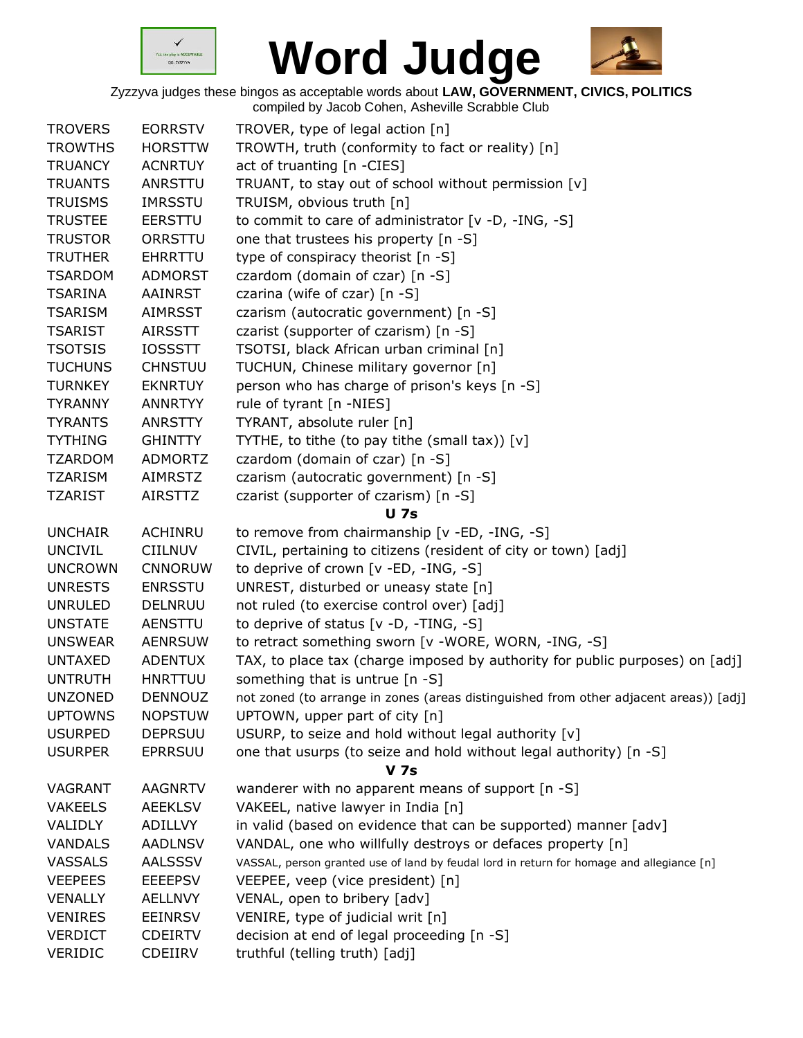



| <b>TROVERS</b>                   | <b>EORRSTV</b> | TROVER, type of legal action [n]                                                          |
|----------------------------------|----------------|-------------------------------------------------------------------------------------------|
| <b>TROWTHS</b>                   | <b>HORSTTW</b> | TROWTH, truth (conformity to fact or reality) [n]                                         |
| <b>TRUANCY</b>                   | <b>ACNRTUY</b> | act of truanting [n -CIES]                                                                |
| <b>TRUANTS</b>                   | ANRSTTU        | TRUANT, to stay out of school without permission [v]                                      |
| <b>TRUISMS</b>                   | <b>IMRSSTU</b> | TRUISM, obvious truth [n]                                                                 |
| <b>TRUSTEE</b>                   | <b>EERSTTU</b> | to commit to care of administrator [v -D, -ING, -S]                                       |
| <b>TRUSTOR</b>                   | ORRSTTU        | one that trustees his property [n -S]                                                     |
| <b>TRUTHER</b>                   | <b>EHRRTTU</b> | type of conspiracy theorist [n -S]                                                        |
| <b>TSARDOM</b>                   | <b>ADMORST</b> | czardom (domain of czar) [n -S]                                                           |
| <b>TSARINA</b>                   | AAINRST        | czarina (wife of czar) [n -S]                                                             |
| <b>TSARISM</b>                   | <b>AIMRSST</b> | czarism (autocratic government) [n -S]                                                    |
| <b>TSARIST</b>                   | <b>AIRSSTT</b> | czarist (supporter of czarism) [n -S]                                                     |
| <b>TSOTSIS</b>                   | <b>IOSSSTT</b> | TSOTSI, black African urban criminal [n]                                                  |
| <b>TUCHUNS</b>                   | <b>CHNSTUU</b> | TUCHUN, Chinese military governor [n]                                                     |
| <b>TURNKEY</b>                   | <b>EKNRTUY</b> | person who has charge of prison's keys [n -S]                                             |
| <b>TYRANNY</b>                   | <b>ANNRTYY</b> | rule of tyrant [n -NIES]                                                                  |
| <b>TYRANTS</b>                   | <b>ANRSTTY</b> | TYRANT, absolute ruler [n]                                                                |
| <b>TYTHING</b>                   | <b>GHINTTY</b> | TYTHE, to tithe (to pay tithe (small tax)) [v]                                            |
| <b>TZARDOM</b>                   | <b>ADMORTZ</b> | czardom (domain of czar) [n -S]                                                           |
| <b>TZARISM</b>                   | <b>AIMRSTZ</b> | czarism (autocratic government) [n -S]                                                    |
| <b>TZARIST</b>                   | <b>AIRSTTZ</b> | czarist (supporter of czarism) [n -S]                                                     |
|                                  |                | <b>U</b> 7s                                                                               |
| <b>UNCHAIR</b>                   | <b>ACHINRU</b> | to remove from chairmanship [v -ED, -ING, -S]                                             |
| <b>UNCIVIL</b>                   | <b>CIILNUV</b> | CIVIL, pertaining to citizens (resident of city or town) [adj]                            |
| <b>UNCROWN</b>                   | <b>CNNORUW</b> | to deprive of crown [v -ED, -ING, -S]                                                     |
| <b>UNRESTS</b>                   | <b>ENRSSTU</b> | UNREST, disturbed or uneasy state [n]                                                     |
| <b>UNRULED</b>                   | DELNRUU        | not ruled (to exercise control over) [adj]                                                |
| <b>UNSTATE</b>                   | AENSTTU        | to deprive of status $[v -D, -TING, -S]$                                                  |
| <b>UNSWEAR</b>                   | <b>AENRSUW</b> | to retract something sworn [v -WORE, WORN, -ING, -S]                                      |
| <b>UNTAXED</b>                   | <b>ADENTUX</b> | TAX, to place tax (charge imposed by authority for public purposes) on [adj]              |
| <b>UNTRUTH</b>                   | <b>HNRTTUU</b> | something that is untrue [n -S]                                                           |
| <b>UNZONED</b>                   | DENNOUZ        | not zoned (to arrange in zones (areas distinguished from other adjacent areas)) [adj]     |
| <b>UPTOWNS</b>                   | <b>NOPSTUW</b> | UPTOWN, upper part of city [n]                                                            |
| <b>USURPED</b>                   | <b>DEPRSUU</b> | USURP, to seize and hold without legal authority [v]                                      |
| <b>USURPER</b>                   | <b>EPRRSUU</b> | one that usurps (to seize and hold without legal authority) [n -S]                        |
|                                  |                | <b>V</b> 7s                                                                               |
| VAGRANT                          | <b>AAGNRTV</b> | wanderer with no apparent means of support [n -S]                                         |
| <b>VAKEELS</b>                   | <b>AEEKLSV</b> | VAKEEL, native lawyer in India [n]                                                        |
| VALIDLY                          | ADILLVY        | in valid (based on evidence that can be supported) manner [adv]                           |
| <b>VANDALS</b>                   | <b>AADLNSV</b> | VANDAL, one who willfully destroys or defaces property [n]                                |
| <b>VASSALS</b>                   | <b>AALSSSV</b> | VASSAL, person granted use of land by feudal lord in return for homage and allegiance [n] |
|                                  |                |                                                                                           |
| <b>VEEPEES</b><br><b>VENALLY</b> | <b>EEEEPSV</b> | VEEPEE, veep (vice president) [n]                                                         |
|                                  | <b>AELLNVY</b> | VENAL, open to bribery [adv]                                                              |
| <b>VENIRES</b>                   | <b>EEINRSV</b> | VENIRE, type of judicial writ [n]                                                         |
| <b>VERDICT</b>                   | <b>CDEIRTV</b> | decision at end of legal proceeding [n -S]                                                |
| <b>VERIDIC</b>                   | CDEIIRV        | truthful (telling truth) [adj]                                                            |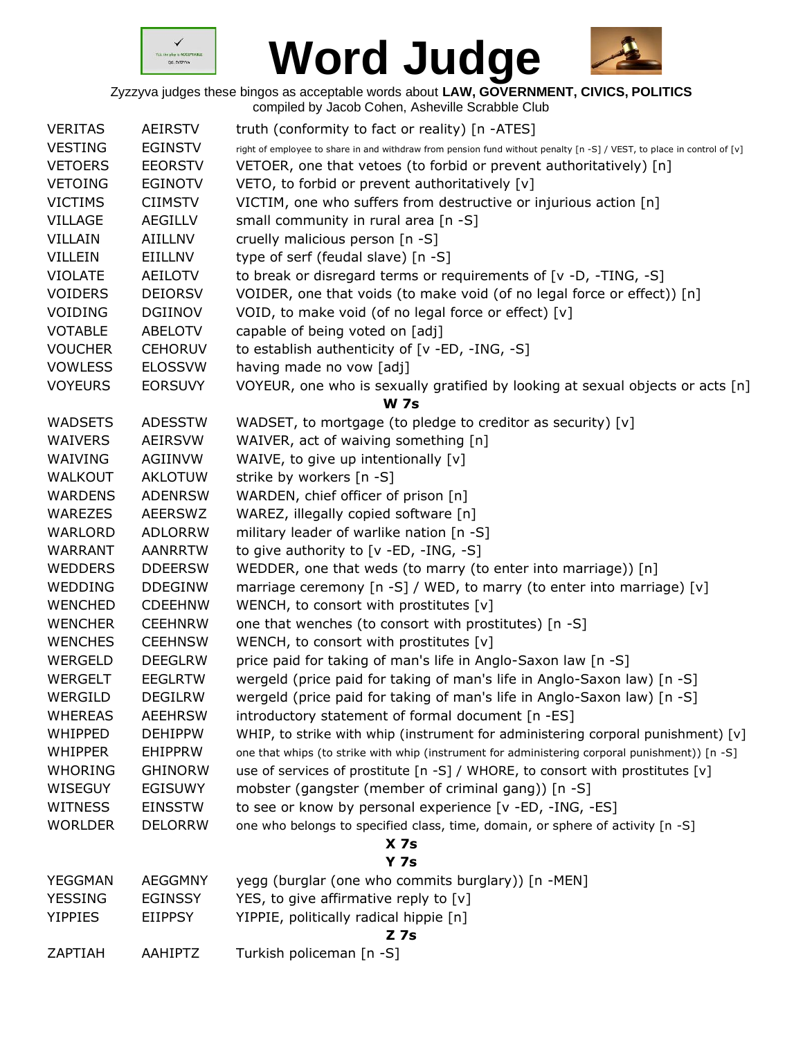



Zyzzyva judges these bingos as acceptable words about **LAW, GOVERNMENT, CIVICS, POLITICS**

|                |                | compiled by Jacob Cohen, Asheville Scrabble Club                                                                       |
|----------------|----------------|------------------------------------------------------------------------------------------------------------------------|
| <b>VERITAS</b> | <b>AEIRSTV</b> | truth (conformity to fact or reality) [n -ATES]                                                                        |
| <b>VESTING</b> | <b>EGINSTV</b> | right of employee to share in and withdraw from pension fund without penalty [n -S] / VEST, to place in control of [v] |
| <b>VETOERS</b> | <b>EEORSTV</b> | VETOER, one that vetoes (to forbid or prevent authoritatively) [n]                                                     |
| <b>VETOING</b> | <b>EGINOTV</b> | VETO, to forbid or prevent authoritatively [v]                                                                         |
| <b>VICTIMS</b> | <b>CIIMSTV</b> | VICTIM, one who suffers from destructive or injurious action [n]                                                       |
| <b>VILLAGE</b> | <b>AEGILLV</b> | small community in rural area [n -S]                                                                                   |
| <b>VILLAIN</b> | AIILLNV        | cruelly malicious person [n -S]                                                                                        |
| <b>VILLEIN</b> | EIILLNV        | type of serf (feudal slave) [n -S]                                                                                     |
| <b>VIOLATE</b> | AEILOTV        | to break or disregard terms or requirements of [v -D, -TING, -S]                                                       |
| <b>VOIDERS</b> | <b>DEIORSV</b> | VOIDER, one that voids (to make void (of no legal force or effect)) [n]                                                |
| VOIDING        | <b>DGIINOV</b> | VOID, to make void (of no legal force or effect) [v]                                                                   |
| <b>VOTABLE</b> | <b>ABELOTV</b> | capable of being voted on [adj]                                                                                        |
| <b>VOUCHER</b> | <b>CEHORUV</b> | to establish authenticity of [v -ED, -ING, -S]                                                                         |
| <b>VOWLESS</b> | <b>ELOSSVW</b> | having made no vow [adj]                                                                                               |
| <b>VOYEURS</b> | <b>EORSUVY</b> | VOYEUR, one who is sexually gratified by looking at sexual objects or acts [n]                                         |
|                |                | <b>W 7s</b>                                                                                                            |
| <b>WADSETS</b> | <b>ADESSTW</b> | WADSET, to mortgage (to pledge to creditor as security) [v]                                                            |
| <b>WAIVERS</b> | <b>AEIRSVW</b> | WAIVER, act of waiving something [n]                                                                                   |
| WAIVING        | AGIINVW        | WAIVE, to give up intentionally [v]                                                                                    |
| <b>WALKOUT</b> | <b>AKLOTUW</b> | strike by workers [n -S]                                                                                               |
| <b>WARDENS</b> | <b>ADENRSW</b> | WARDEN, chief officer of prison [n]                                                                                    |
| <b>WAREZES</b> | <b>AEERSWZ</b> | WAREZ, illegally copied software [n]                                                                                   |
| WARLORD        | <b>ADLORRW</b> | military leader of warlike nation [n -S]                                                                               |
| <b>WARRANT</b> | <b>AANRRTW</b> | to give authority to $[v - ED, -ING, -S]$                                                                              |
| <b>WEDDERS</b> | <b>DDEERSW</b> | WEDDER, one that weds (to marry (to enter into marriage)) [n]                                                          |
| WEDDING        | <b>DDEGINW</b> | marriage ceremony [n -S] / WED, to marry (to enter into marriage) [v]                                                  |
| <b>WENCHED</b> | <b>CDEEHNW</b> | WENCH, to consort with prostitutes [v]                                                                                 |
| <b>WENCHER</b> | <b>CEEHNRW</b> | one that wenches (to consort with prostitutes) [n -S]                                                                  |
| <b>WENCHES</b> | <b>CEEHNSW</b> | WENCH, to consort with prostitutes [v]                                                                                 |
| WERGELD        | <b>DEEGLRW</b> | price paid for taking of man's life in Anglo-Saxon law [n -S]                                                          |
| <b>WERGELT</b> | <b>EEGLRTW</b> | wergeld (price paid for taking of man's life in Anglo-Saxon law) [n -S]                                                |
| WERGILD        | <b>DEGILRW</b> | wergeld (price paid for taking of man's life in Anglo-Saxon law) [n -S]                                                |
| <b>WHEREAS</b> | <b>AEEHRSW</b> | introductory statement of formal document [n -ES]                                                                      |
| WHIPPED        | <b>DEHIPPW</b> | WHIP, to strike with whip (instrument for administering corporal punishment) $[v]$                                     |
| <b>WHIPPER</b> | <b>EHIPPRW</b> | one that whips (to strike with whip (instrument for administering corporal punishment)) [n -S]                         |
| <b>WHORING</b> | <b>GHINORW</b> | use of services of prostitute [n -S] / WHORE, to consort with prostitutes [v]                                          |
| WISEGUY        | <b>EGISUWY</b> | mobster (gangster (member of criminal gang)) [n -S]                                                                    |
| <b>WITNESS</b> | <b>EINSSTW</b> | to see or know by personal experience [v -ED, -ING, -ES]                                                               |
| <b>WORLDER</b> | <b>DELORRW</b> | one who belongs to specified class, time, domain, or sphere of activity [n -S]                                         |
|                |                | X <sub>7s</sub>                                                                                                        |
|                |                | <b>Y 7s</b>                                                                                                            |
| YEGGMAN        | <b>AEGGMNY</b> | yegg (burglar (one who commits burglary)) [n -MEN]                                                                     |
| <b>YESSING</b> | <b>EGINSSY</b> | YES, to give affirmative reply to [v]                                                                                  |
| <b>YIPPIES</b> | <b>EIIPPSY</b> | YIPPIE, politically radical hippie [n]                                                                                 |
|                |                | $Z$ 7s                                                                                                                 |
| ZAPTIAH        | AAHIPTZ        | Turkish policeman [n -S]                                                                                               |